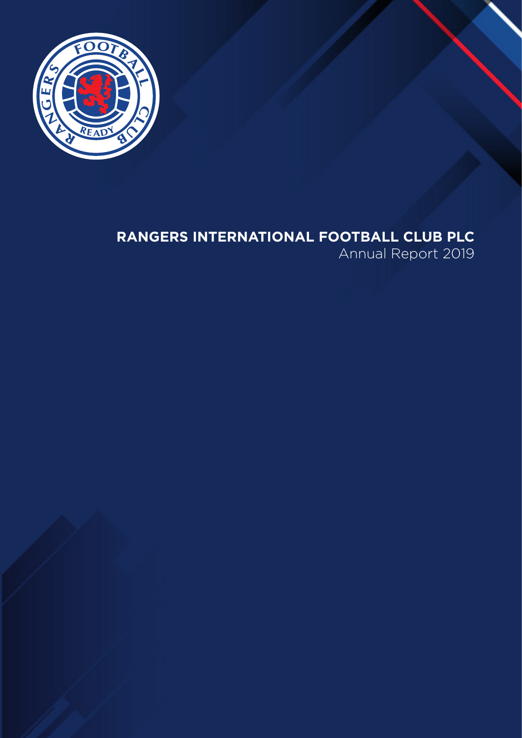

# **RANGERS INTERNATIONAL FOOTBALL CLUB PLC**

Annual Report 2019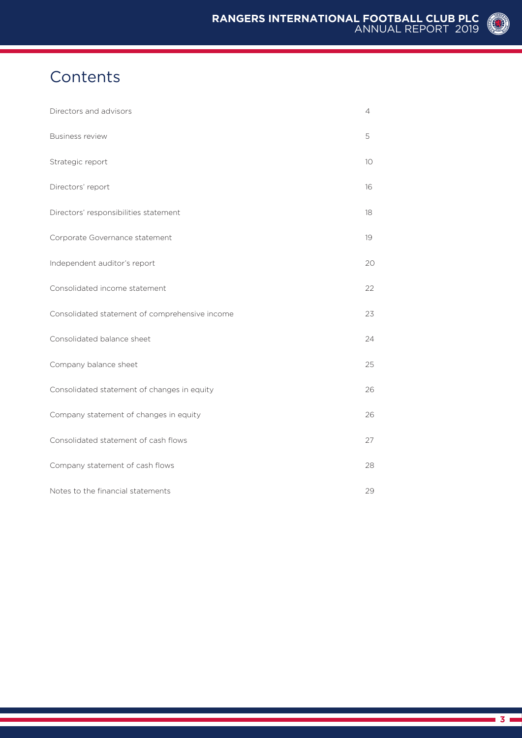# **Contents**

| Directors and advisors                         | $\overline{4}$ |
|------------------------------------------------|----------------|
| <b>Business review</b>                         | 5              |
| Strategic report                               | 10             |
| Directors' report                              | 16             |
| Directors' responsibilities statement          | 18             |
| Corporate Governance statement                 | 19             |
| Independent auditor's report                   | 20             |
| Consolidated income statement                  | 22             |
| Consolidated statement of comprehensive income | 23             |
| Consolidated balance sheet                     | 24             |
| Company balance sheet                          | 25             |
| Consolidated statement of changes in equity    | 26             |
| Company statement of changes in equity         | 26             |
| Consolidated statement of cash flows           | 27             |
| Company statement of cash flows                | 28             |
| Notes to the financial statements              | 29             |

(O)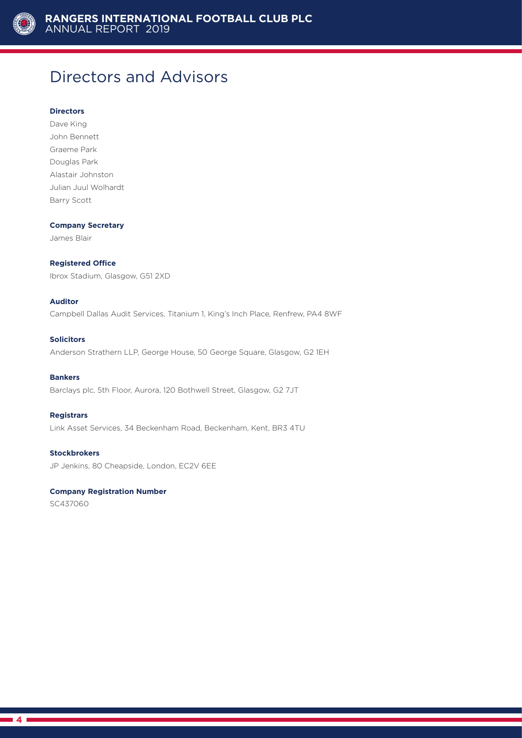

#### **Directors**

**Directors and Advisors**<br>
Directors<br>
Directors<br>
Dave King<br>
John Bennett<br>
Graen Park<br>
Douglas Park<br>
Alabiar Johnston<br>
Julian Jund Welhardt<br>
Benry Scott<br> **4**Directors<br> **4**Directors<br> **4**Directors<br> **4**Directors<br> **4**Directors<br> Dave King John Bennett Graeme Park Douglas Park Alastair Johnston Julian Juul Wolhardt Barry Scott

#### **Company Secretary**

James Blair

#### **Registered Office**

Ibrox Stadium, Glasgow, G51 2XD

#### **Auditor**

Campbell Dallas Audit Services, Titanium 1, King's Inch Place, Renfrew, PA4 8WF

#### **Solicitors**

Anderson Strathern LLP, George House, 50 George Square, Glasgow, G2 1EH

#### **Bankers**

Barclays plc, 5th Floor, Aurora, 120 Bothwell Street, Glasgow, G2 7JT

#### **Registrars**

Link Asset Services, 34 Beckenham Road, Beckenham, Kent, BR3 4TU

**Stockbrokers** JP Jenkins, 80 Cheapside, London, EC2V 6EE

#### **Company Registration Number**

SC437060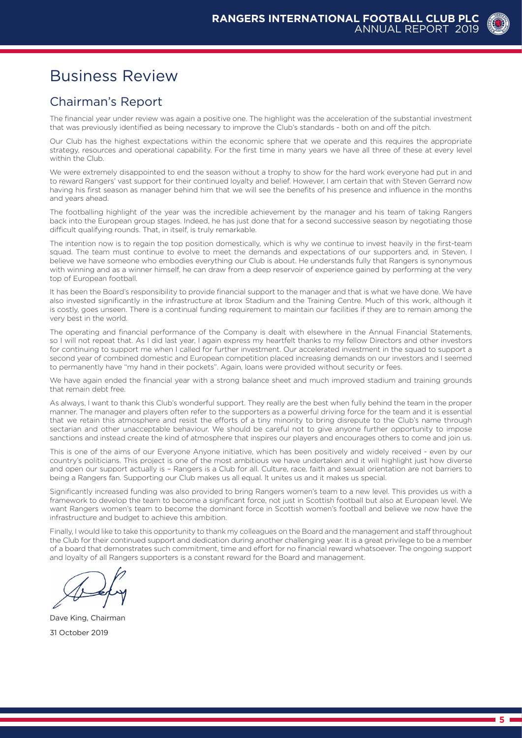

### Chairman's Report

The financial year under review was again a positive one. The highlight was the acceleration of the substantial investment that was previously identified as being necessary to improve the Club's standards - both on and off the pitch.

Our Club has the highest expectations within the economic sphere that we operate and this requires the appropriate strategy, resources and operational capability. For the first time in many years we have all three of these at every level within the Club.

We were extremely disappointed to end the season without a trophy to show for the hard work everyone had put in and to reward Rangers' vast support for their continued loyalty and belief. However, I am certain that with Steven Gerrard now having his first season as manager behind him that we will see the benefits of his presence and influence in the months and years ahead.

The footballing highlight of the year was the incredible achievement by the manager and his team of taking Rangers back into the European group stages. Indeed, he has just done that for a second successive season by negotiating those difficult qualifying rounds. That, in itself, is truly remarkable.

**Business Review**<br>
Charmachisette appel to the control of the control of the control of the control of the control of the control of the control of the control of the control of the control of the control of the control of The intention now is to regain the top position domestically, which is why we continue to invest heavily in the first-team squad. The team must continue to evolve to meet the demands and expectations of our supporters and, in Steven, I believe we have someone who embodies everything our Club is about. He understands fully that Rangers is synonymous with winning and as a winner himself, he can draw from a deep reservoir of experience gained by performing at the very top of European football.

It has been the Board's responsibility to provide financial support to the manager and that is what we have done. We have also invested significantly in the infrastructure at Ibrox Stadium and the Training Centre. Much of this work, although it is costly, goes unseen. There is a continual funding requirement to maintain our facilities if they are to remain among the very best in the world.

The operating and financial performance of the Company is dealt with elsewhere in the Annual Financial Statements, so I will not repeat that. As I did last year, I again express my heartfelt thanks to my fellow Directors and other investors for continuing to support me when I called for further investment. Our accelerated investment in the squad to support a second year of combined domestic and European competition placed increasing demands on our investors and I seemed to permanently have "my hand in their pockets". Again, loans were provided without security or fees.

We have again ended the financial year with a strong balance sheet and much improved stadium and training grounds that remain debt free.

As always, I want to thank this Club's wonderful support. They really are the best when fully behind the team in the proper manner. The manager and players often refer to the supporters as a powerful driving force for the team and it is essential that we retain this atmosphere and resist the efforts of a tiny minority to bring disrepute to the Club's name through sectarian and other unacceptable behaviour. We should be careful not to give anyone further opportunity to impose sanctions and instead create the kind of atmosphere that inspires our players and encourages others to come and join us.

This is one of the aims of our Everyone Anyone initiative, which has been positively and widely received - even by our country's politicians. This project is one of the most ambitious we have undertaken and it will highlight just how diverse and open our support actually is – Rangers is a Club for all. Culture, race, faith and sexual orientation are not barriers to being a Rangers fan. Supporting our Club makes us all equal. lt unites us and it makes us special.

Significantly increased funding was also provided to bring Rangers women's team to a new level. This provides us with a framework to develop the team to become a significant force, not just in Scottish football but also at European level. We want Rangers women's team to become the dominant force in Scottish women's football and believe we now have the infrastructure and budget to achieve this ambition.

Finally, I would like to take this opportunity to thank my colleagues on the Board and the management and staff throughout the Club for their continued support and dedication during another challenging year. It is a great privilege to be a member of a board that demonstrates such commitment, time and effort for no financial reward whatsoever. The ongoing support and loyalty of all Rangers supporters is a constant reward for the Board and management.

Dave King, Chairman 31 October 2019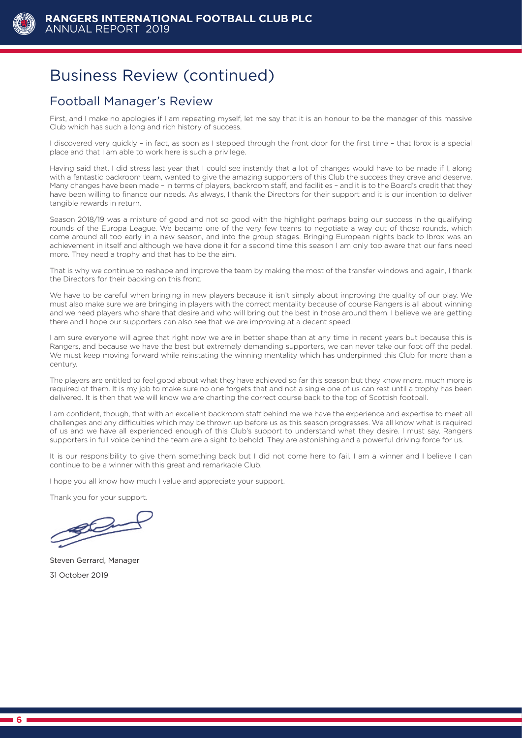

### Football Manager's Review

First, and I make no apologies if I am repeating myself, let me say that it is an honour to be the manager of this massive Club which has such a long and rich history of success.

I discovered very quickly – in fact, as soon as I stepped through the front door for the first time – that Ibrox is a special place and that I am able to work here is such a privilege.

**Business Review (continued)**<br>
Football Manager's Review<br>
Trut, and make no apploate than measure myset is time as<br>
Clin which has also along a and rich halony of allocase.<br>
I discovered with an ancien along and rich halon Having said that, I did stress last year that I could see instantly that a lot of changes would have to be made if I, along with a fantastic backroom team, wanted to give the amazing supporters of this Club the success they crave and deserve. Many changes have been made – in terms of players, backroom staff, and facilities – and it is to the Board's credit that they have been willing to finance our needs. As always, I thank the Directors for their support and it is our intention to deliver tangible rewards in return.

Season 2018/19 was a mixture of good and not so good with the highlight perhaps being our success in the qualifying rounds of the Europa League. We became one of the very few teams to negotiate a way out of those rounds, which come around all too early in a new season, and into the group stages. Bringing European nights back to Ibrox was an achievement in itself and although we have done it for a second time this season I am only too aware that our fans need more. They need a trophy and that has to be the aim.

That is why we continue to reshape and improve the team by making the most of the transfer windows and again, I thank the Directors for their backing on this front.

We have to be careful when bringing in new players because it isn't simply about improving the quality of our play. We must also make sure we are bringing in players with the correct mentality because of course Rangers is all about winning and we need players who share that desire and who will bring out the best in those around them. I believe we are getting there and I hope our supporters can also see that we are improving at a decent speed.

I am sure everyone will agree that right now we are in better shape than at any time in recent years but because this is Rangers, and because we have the best but extremely demanding supporters, we can never take our foot off the pedal. We must keep moving forward while reinstating the winning mentality which has underpinned this Club for more than a century.

The players are entitled to feel good about what they have achieved so far this season but they know more, much more is required of them. It is my job to make sure no one forgets that and not a single one of us can rest until a trophy has been delivered. It is then that we will know we are charting the correct course back to the top of Scottish football.

I am confident, though, that with an excellent backroom staff behind me we have the experience and expertise to meet all challenges and any difficulties which may be thrown up before us as this season progresses. We all know what is required of us and we have all experienced enough of this Club's support to understand what they desire. I must say, Rangers supporters in full voice behind the team are a sight to behold. They are astonishing and a powerful driving force for us.

It is our responsibility to give them something back but I did not come here to fail. I am a winner and I believe I can continue to be a winner with this great and remarkable Club.

I hope you all know how much I value and appreciate your support.

Thank you for your support.

Steven Gerrard, Manager 31 October 2019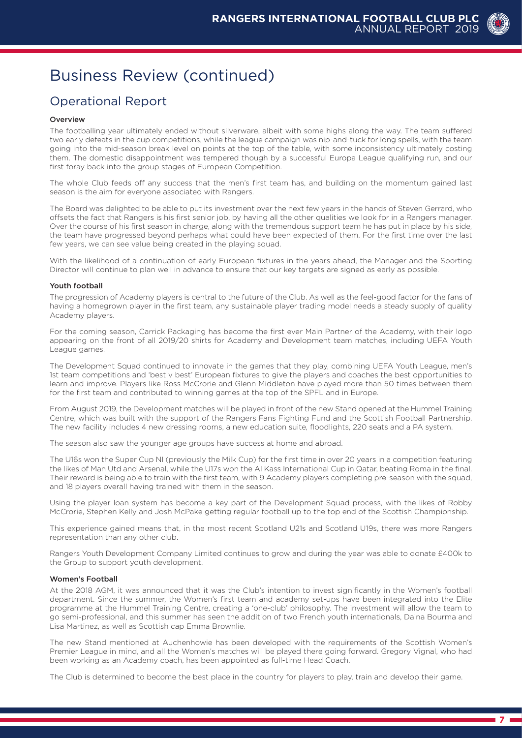### Operational Report

#### Overview

**Business Review (continued)**<br>
Operations Report content and a state of secular secular secular secular secular secular secular secular secular secular secular secular secular secular secular secular secular secular secula The footballing year ultimately ended without silverware, albeit with some highs along the way. The team suffered two early defeats in the cup competitions, while the league campaign was nip-and-tuck for long spells, with the team going into the mid-season break level on points at the top of the table, with some inconsistency ultimately costing them. The domestic disappointment was tempered though by a successful Europa League qualifying run, and our first foray back into the group stages of European Competition.

The whole Club feeds off any success that the men's first team has, and building on the momentum gained last season is the aim for everyone associated with Rangers.

The Board was delighted to be able to put its investment over the next few years in the hands of Steven Gerrard, who offsets the fact that Rangers is his first senior job, by having all the other qualities we look for in a Rangers manager. Over the course of his first season in charge, along with the tremendous support team he has put in place by his side, the team have progressed beyond perhaps what could have been expected of them. For the first time over the last few years, we can see value being created in the playing squad.

With the likelihood of a continuation of early European fixtures in the years ahead, the Manager and the Sporting Director will continue to plan well in advance to ensure that our key targets are signed as early as possible.

#### Youth football

The progression of Academy players is central to the future of the Club. As well as the feel-good factor for the fans of having a homegrown player in the first team, any sustainable player trading model needs a steady supply of quality Academy players.

For the coming season, Carrick Packaging has become the first ever Main Partner of the Academy, with their logo appearing on the front of all 2019/20 shirts for Academy and Development team matches, including UEFA Youth League games.

The Development Squad continued to innovate in the games that they play, combining UEFA Youth League, men's 1st team competitions and 'best v best' European fixtures to give the players and coaches the best opportunities to learn and improve. Players like Ross McCrorie and Glenn Middleton have played more than 50 times between them for the first team and contributed to winning games at the top of the SPFL and in Europe.

From August 2019, the Development matches will be played in front of the new Stand opened at the Hummel Training Centre, which was built with the support of the Rangers Fans Fighting Fund and the Scottish Football Partnership. The new facility includes 4 new dressing rooms, a new education suite, floodlights, 220 seats and a PA system.

The season also saw the younger age groups have success at home and abroad.

The U16s won the Super Cup NI (previously the Milk Cup) for the first time in over 20 years in a competition featuring the likes of Man Utd and Arsenal, while the U17s won the Al Kass International Cup in Qatar, beating Roma in the final. Their reward is being able to train with the first team, with 9 Academy players completing pre-season with the squad, and 18 players overall having trained with them in the season.

Using the player loan system has become a key part of the Development Squad process, with the likes of Robby McCrorie, Stephen Kelly and Josh McPake getting regular football up to the top end of the Scottish Championship.

This experience gained means that, in the most recent Scotland U21s and Scotland U19s, there was more Rangers representation than any other club.

Rangers Youth Development Company Limited continues to grow and during the year was able to donate £400k to the Group to support youth development.

#### Women's Football

At the 2018 AGM, it was announced that it was the Club's intention to invest significantly in the Women's football department. Since the summer, the Women's first team and academy set-ups have been integrated into the Elite programme at the Hummel Training Centre, creating a 'one-club' philosophy. The investment will allow the team to go semi-professional, and this summer has seen the addition of two French youth internationals, Daina Bourma and Lisa Martinez, as well as Scottish cap Emma Brownlie.

The new Stand mentioned at Auchenhowie has been developed with the requirements of the Scottish Women's Premier League in mind, and all the Women's matches will be played there going forward. Gregory Vignal, who had been working as an Academy coach, has been appointed as full-time Head Coach.

The Club is determined to become the best place in the country for players to play, train and develop their game.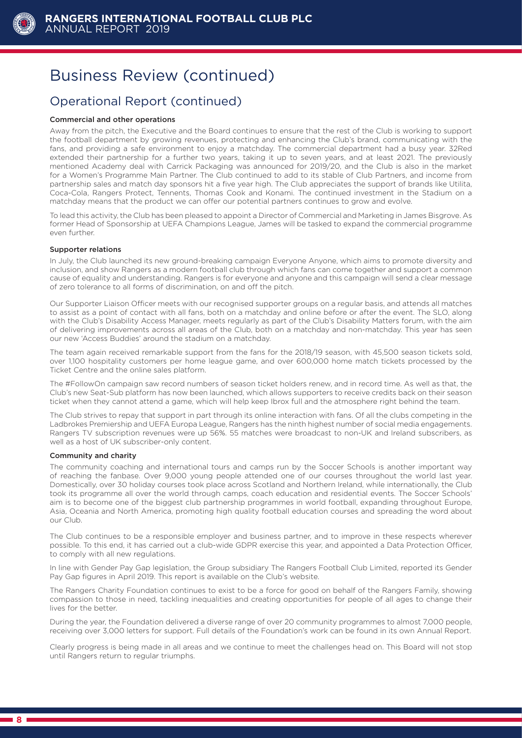

### Operational Report (continued)

#### Commercial and other operations

**Business Review (continued)**<br> **Operational Report (continued)**<br> **Operational Report (continued)**<br> **Comerational and these operations**<br> **EVALUATION** Associated these propositions and the Board continues be from and previdi Away from the pitch, the Executive and the Board continues to ensure that the rest of the Club is working to support the football department by growing revenues, protecting and enhancing the Club's brand, communicating with the fans, and providing a safe environment to enjoy a matchday. The commercial department had a busy year. 32Red extended their partnership for a further two years, taking it up to seven years, and at least 2021. The previously mentioned Academy deal with Carrick Packaging was announced for 2019/20, and the Club is also in the market for a Women's Programme Main Partner. The Club continued to add to its stable of Club Partners, and income from partnership sales and match day sponsors hit a five year high. The Club appreciates the support of brands like Utilita, Coca-Cola, Rangers Protect, Tennents, Thomas Cook and Konami. The continued investment in the Stadium on a matchday means that the product we can offer our potential partners continues to grow and evolve.

To lead this activity, the Club has been pleased to appoint a Director of Commercial and Marketing in James Bisgrove. As former Head of Sponsorship at UEFA Champions League, James will be tasked to expand the commercial programme even further.

#### Supporter relations

In July, the Club launched its new ground-breaking campaign Everyone Anyone, which aims to promote diversity and inclusion, and show Rangers as a modern football club through which fans can come together and support a common cause of equality and understanding. Rangers is for everyone and anyone and this campaign will send a clear message of zero tolerance to all forms of discrimination, on and off the pitch.

Our Supporter Liaison Officer meets with our recognised supporter groups on a regular basis, and attends all matches to assist as a point of contact with all fans, both on a matchday and online before or after the event. The SLO, along with the Club's Disability Access Manager, meets regularly as part of the Club's Disability Matters forum, with the aim of delivering improvements across all areas of the Club, both on a matchday and non-matchday. This year has seen our new 'Access Buddies' around the stadium on a matchday.

The team again received remarkable support from the fans for the 2018/19 season, with 45,500 season tickets sold, over 1,100 hospitality customers per home league game, and over 600,000 home match tickets processed by the Ticket Centre and the online sales platform.

The #FollowOn campaign saw record numbers of season ticket holders renew, and in record time. As well as that, the Club's new Seat-Sub platform has now been launched, which allows supporters to receive credits back on their season ticket when they cannot attend a game, which will help keep Ibrox full and the atmosphere right behind the team.

The Club strives to repay that support in part through its online interaction with fans. Of all the clubs competing in the Ladbrokes Premiership and UEFA Europa League, Rangers has the ninth highest number of social media engagements. Rangers TV subscription revenues were up 56%. 55 matches were broadcast to non-UK and Ireland subscribers, as well as a host of UK subscriber-only content.

#### Community and charity

The community coaching and international tours and camps run by the Soccer Schools is another important way of reaching the fanbase. Over 9,000 young people attended one of our courses throughout the world last year. Domestically, over 30 holiday courses took place across Scotland and Northern Ireland, while internationally, the Club took its programme all over the world through camps, coach education and residential events. The Soccer Schools' aim is to become one of the biggest club partnership programmes in world football, expanding throughout Europe, Asia, Oceania and North America, promoting high quality football education courses and spreading the word about our Club.

The Club continues to be a responsible employer and business partner, and to improve in these respects wherever possible. To this end, it has carried out a club-wide GDPR exercise this year, and appointed a Data Protection Officer, to comply with all new regulations.

In line with Gender Pay Gap legislation, the Group subsidiary The Rangers Football Club Limited, reported its Gender Pay Gap figures in April 2019. This report is available on the Club's website.

The Rangers Charity Foundation continues to exist to be a force for good on behalf of the Rangers Family, showing compassion to those in need, tackling inequalities and creating opportunities for people of all ages to change their lives for the better.

During the year, the Foundation delivered a diverse range of over 20 community programmes to almost 7,000 people, receiving over 3,000 letters for support. Full details of the Foundation's work can be found in its own Annual Report.

Clearly progress is being made in all areas and we continue to meet the challenges head on. This Board will not stop until Rangers return to regular triumphs.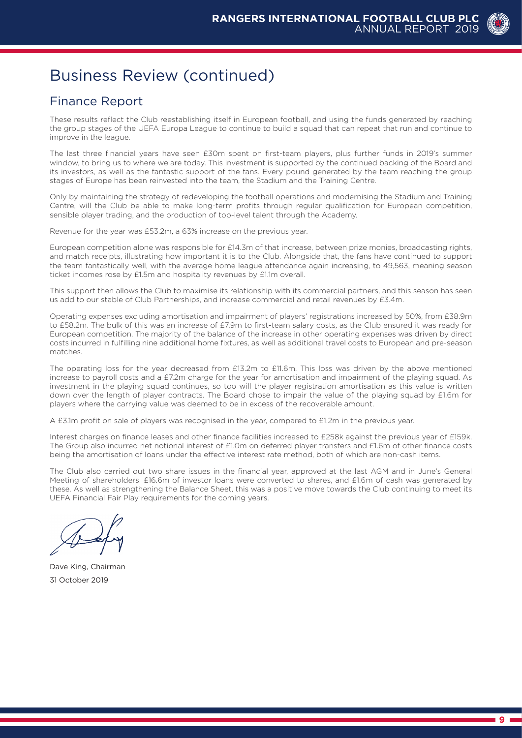### Finance Report

These results reflect the Club reestablishing itself in European football, and using the funds generated by reaching the group stages of the UEFA Europa League to continue to build a squad that can repeat that run and continue to improve in the league.

The last three financial years have seen £30m spent on first-team players, plus further funds in 2019's summer window, to bring us to where we are today. This investment is supported by the continued backing of the Board and its investors, as well as the fantastic support of the fans. Every pound generated by the team reaching the group stages of Europe has been reinvested into the team, the Stadium and the Training Centre.

Only by maintaining the strategy of redeveloping the football operations and modernising the Stadium and Training Centre, will the Club be able to make long-term profits through regular qualification for European competition, sensible player trading, and the production of top-level talent through the Academy.

Revenue for the year was £53.2m, a 63% increase on the previous year.

European competition alone was responsible for £14.3m of that increase, between prize monies, broadcasting rights, and match receipts, illustrating how important it is to the Club. Alongside that, the fans have continued to support the team fantastically well, with the average home league attendance again increasing, to 49,563, meaning season ticket incomes rose by £1.5m and hospitality revenues by £1.1m overall.

This support then allows the Club to maximise its relationship with its commercial partners, and this season has seen us add to our stable of Club Partnerships, and increase commercial and retail revenues by £3.4m.

**Business Review (continued)**<br>
Finance Report<br>
Framework and the distribution that the proposition is an any material second with the second<br>
Framework of the distribution is a set of the distribution is a set of the conti Operating expenses excluding amortisation and impairment of players' registrations increased by 50%, from £38.9m to £58.2m. The bulk of this was an increase of £7.9m to first-team salary costs, as the Club ensured it was ready for European competition. The majority of the balance of the increase in other operating expenses was driven by direct costs incurred in fulfilling nine additional home fixtures, as well as additional travel costs to European and pre-season matches.

The operating loss for the year decreased from £13.2m to £11.6m. This loss was driven by the above mentioned increase to payroll costs and a £7.2m charge for the year for amortisation and impairment of the playing squad. As investment in the playing squad continues, so too will the player registration amortisation as this value is written down over the length of player contracts. The Board chose to impair the value of the playing squad by £1.6m for players where the carrying value was deemed to be in excess of the recoverable amount.

A £3.1m profit on sale of players was recognised in the year, compared to £1.2m in the previous year.

Interest charges on finance leases and other finance facilities increased to £258k against the previous year of £159k. The Group also incurred net notional interest of £1.0m on deferred player transfers and £1.6m of other finance costs being the amortisation of loans under the effective interest rate method, both of which are non-cash items.

The Club also carried out two share issues in the financial year, approved at the last AGM and in June's General Meeting of shareholders. £16.6m of investor loans were converted to shares, and £1.6m of cash was generated by these. As well as strengthening the Balance Sheet, this was a positive move towards the Club continuing to meet its UEFA Financial Fair Play requirements for the coming years.

Dave King, Chairman 31 October 2019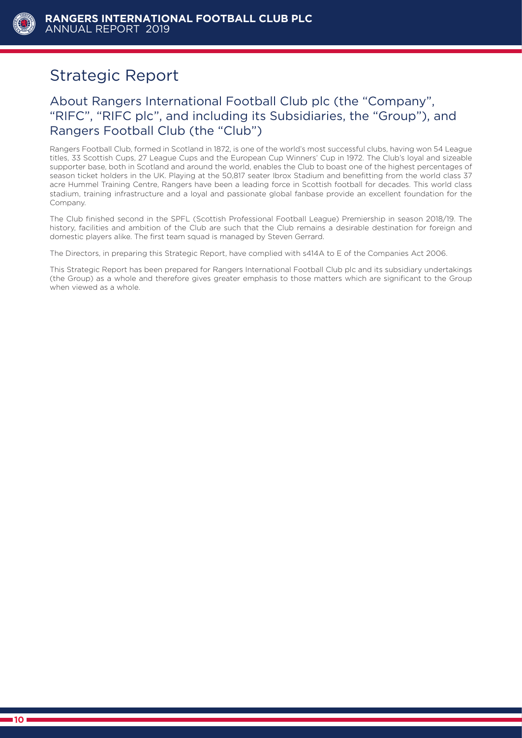

### Strategic Report

### About Rangers International Football Club plc (the "Company", "RIFC", "RIFC plc", and including its Subsidiaries, the "Group"), and Rangers Football Club (the "Club")

Rangers Football Club, formed in Scotland in 1872, is one of the world's most successful clubs, having won 54 League titles, 33 Scottish Cups, 27 League Cups and the European Cup Winners' Cup in 1972. The Club's loyal and sizeable supporter base, both in Scotland and around the world, enables the Club to boast one of the highest percentages of season ticket holders in the UK. Playing at the 50,817 seater Ibrox Stadium and benefitting from the world class 37 acre Hummel Training Centre, Rangers have been a leading force in Scottish football for decades. This world class stadium, training infrastructure and a loyal and passionate global fanbase provide an excellent foundation for the Company.

The Club finished second in the SPFL (Scottish Professional Football League) Premiership in season 2018/19. The history, facilities and ambition of the Club are such that the Club remains a desirable destination for foreign and domestic players alike. The first team squad is managed by Steven Gerrard.

The Directors, in preparing this Strategic Report, have complied with s414A to E of the Companies Act 2006.

This Strategic Report has been prepared for Rangers International Football Club plc and its subsidiary undertakings (the Group) as a whole and therefore gives greater emphasis to those matters which are significant to the Group when viewed as a whole.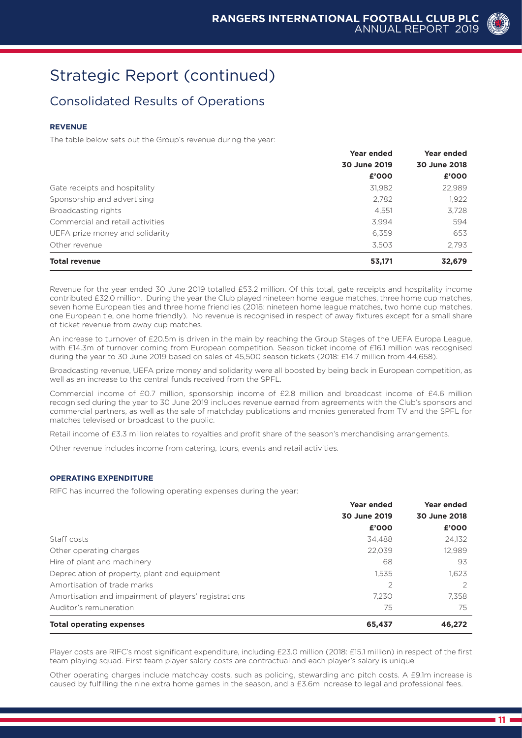### Consolidated Results of Operations

#### **REVENUE**

The table below sets out the Group's revenue during the year:

|                                  | <b>Year ended</b> | Year ended   |
|----------------------------------|-------------------|--------------|
|                                  | 30 June 2019      | 30 June 2018 |
|                                  | £'000             | £'000        |
| Gate receipts and hospitality    | 31,982            | 22,989       |
| Sponsorship and advertising      | 2,782             | 1,922        |
| Broadcasting rights              | 4,551             | 3,728        |
| Commercial and retail activities | 3,994             | 594          |
| UEFA prize money and solidarity  | 6,359             | 653          |
| Other revenue                    | 3,503             | 2.793        |
| <b>Total revenue</b>             | 53,171            | 32,679       |

Revenue for the year ended 30 June 2019 totalled £53.2 million. Of this total, gate receipts and hospitality income contributed £32.0 million. During the year the Club played nineteen home league matches, three home cup matches, seven home European ties and three home friendlies (2018: nineteen home league matches, two home cup matches, one European tie, one home friendly). No revenue is recognised in respect of away fixtures except for a small share of ticket revenue from away cup matches.

An increase to turnover of £20.5m is driven in the main by reaching the Group Stages of the UEFA Europa League, with £14.3m of turnover coming from European competition. Season ticket income of £16.1 million was recognised during the year to 30 June 2019 based on sales of 45,500 season tickets (2018: £14.7 million from 44,658).

Broadcasting revenue, UEFA prize money and solidarity were all boosted by being back in European competition, as well as an increase to the central funds received from the SPFL.

Commercial income of £0.7 million, sponsorship income of £2.8 million and broadcast income of £4.6 million recognised during the year to 30 June 2019 includes revenue earned from agreements with the Club's sponsors and commercial partners, as well as the sale of matchday publications and monies generated from TV and the SPFL for matches televised or broadcast to the public.

Retail income of £3.3 million relates to royalties and profit share of the season's merchandising arrangements.

Other revenue includes income from catering, tours, events and retail activities.

#### **OPERATING EXPENDITURE**

RIFC has incurred the following operating expenses during the year:

|                                                       | Year ended     | Year ended   |
|-------------------------------------------------------|----------------|--------------|
|                                                       | 30 June 2019   | 30 June 2018 |
|                                                       | £'000          | £'000        |
| Staff costs                                           | 34.488         | 24,132       |
| Other operating charges                               | 22,039         | 12,989       |
| Hire of plant and machinery                           | 68             | 93           |
| Depreciation of property, plant and equipment         | 1,535          | 1.623        |
| Amortisation of trade marks                           | $\overline{2}$ | 2            |
| Amortisation and impairment of players' registrations | 7.230          | 7.358        |
| Auditor's remuneration                                | 75             | 75           |
| <b>Total operating expenses</b>                       | 65,437         | 46,272       |

Player costs are RIFC's most significant expenditure, including £23.0 million (2018: £15.1 million) in respect of the first team playing squad. First team player salary costs are contractual and each player's salary is unique.

Other operating charges include matchday costs, such as policing, stewarding and pitch costs. A £9.1m increase is caused by fulfilling the nine extra home games in the season, and a £3.6m increase to legal and professional fees.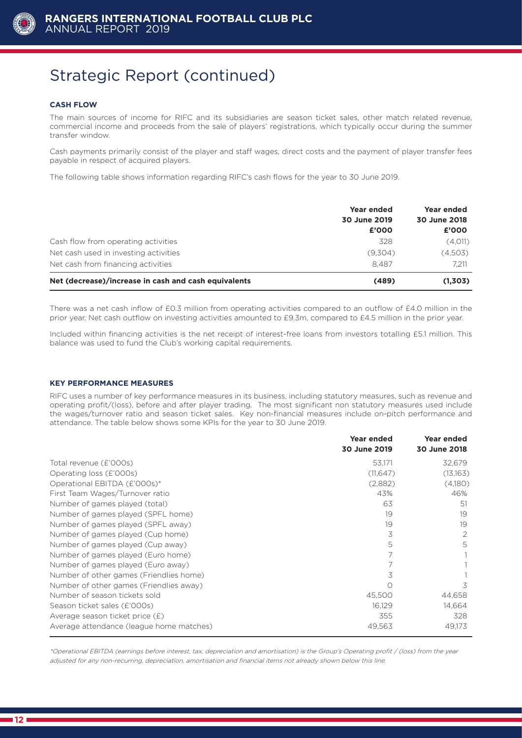

#### **CASH FLOW**

The main sources of income for RIFC and its subsidiaries are season ticket sales, other match related revenue, commercial income and proceeds from the sale of players' registrations, which typically occur during the summer transfer window.

Cash payments primarily consist of the player and staff wages, direct costs and the payment of player transfer fees payable in respect of acquired players.

The following table shows information regarding RIFC's cash flows for the year to 30 June 2019.

|                                                      | Year ended<br>30 June 2019<br>£'000 | Year ended<br>30 June 2018<br>£'000 |
|------------------------------------------------------|-------------------------------------|-------------------------------------|
| Cash flow from operating activities                  | 328                                 | (4,011)                             |
| Net cash used in investing activities                | (9,304)                             | (4,503)                             |
| Net cash from financing activities                   | 8.487                               | 7.211                               |
| Net (decrease)/increase in cash and cash equivalents | (489)                               | (1,303)                             |

There was a net cash inflow of £0.3 million from operating activities compared to an outflow of £4.0 million in the prior year. Net cash outflow on investing activities amounted to £9.3m, compared to £4.5 million in the prior year.

Included within financing activities is the net receipt of interest-free loans from investors totalling £5.1 million. This balance was used to fund the Club's working capital requirements.

#### **KEY PERFORMANCE MEASURES**

RIFC uses a number of key performance measures in its business, including statutory measures, such as revenue and operating profit/(loss), before and after player trading. The most significant non statutory measures used include the wages/turnover ratio and season ticket sales. Key non-financial measures include on-pitch performance and attendance. The table below shows some KPIs for the year to 30 June 2019.

|                                          | Year ended<br>30 June 2019 | <b>Year ended</b><br>30 June 2018 |
|------------------------------------------|----------------------------|-----------------------------------|
| Total revenue (£'000s)                   | 53,171                     | 32,679                            |
| Operating loss (£'000s)                  | (11,647)                   | (13,163)                          |
| Operational EBITDA (£'000s)*             | (2,882)                    | (4,180)                           |
| First Team Wages/Turnover ratio          | 43%                        | 46%                               |
| Number of games played (total)           | 63                         | 51                                |
| Number of games played (SPFL home)       | 19                         | 19                                |
| Number of games played (SPFL away)       | 19                         | 19                                |
| Number of games played (Cup home)        | 3                          | 2                                 |
| Number of games played (Cup away)        | 5                          | 5                                 |
| Number of games played (Euro home)       | 7                          |                                   |
| Number of games played (Euro away)       | 7                          |                                   |
| Number of other games (Friendlies home)  | 3                          |                                   |
| Number of other games (Friendlies away)  | ∩                          | 3                                 |
| Number of season tickets sold            | 45,500                     | 44,658                            |
| Season ticket sales (£'000s)             | 16,129                     | 14,664                            |
| Average season ticket price $(E)$        | 355                        | 328                               |
| Average attendance (league home matches) | 49,563                     | 49,173                            |

\*Operational EBITDA (earnings before interest, tax, depreciation and amortisation) is the Group's Operating profit / (loss) from the year adjusted for any non-recurring, depreciation, amortisation and financial items not already shown below this line.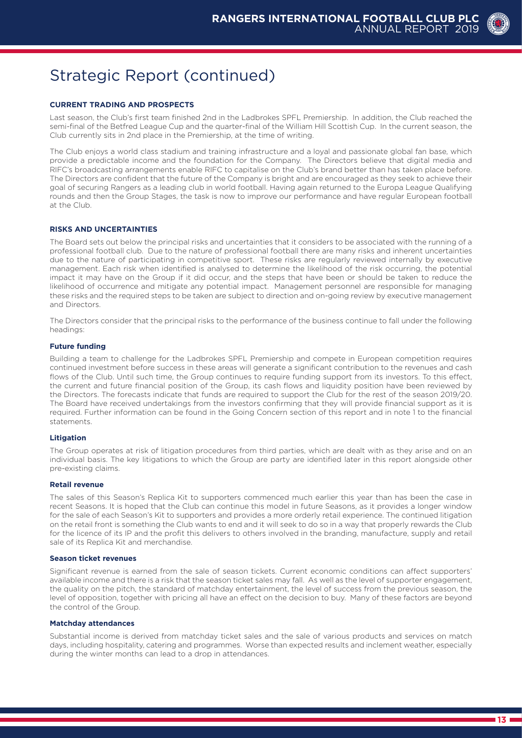#### **CURRENT TRADING AND PROSPECTS**

Last season, the Club's first team finished 2nd in the Ladbrokes SPFL Premiership. In addition, the Club reached the semi-final of the Betfred League Cup and the quarter-final of the William Hill Scottish Cup. In the current season, the Club currently sits in 2nd place in the Premiership, at the time of writing.

The Club enjoys a world class stadium and training infrastructure and a loyal and passionate global fan base, which provide a predictable income and the foundation for the Company. The Directors believe that digital media and RIFC's broadcasting arrangements enable RIFC to capitalise on the Club's brand better than has taken place before. The Directors are confident that the future of the Company is bright and are encouraged as they seek to achieve their goal of securing Rangers as a leading club in world football. Having again returned to the Europa League Qualifying rounds and then the Group Stages, the task is now to improve our performance and have regular European football at the Club.

#### **RISKS AND UNCERTAINTIES**

The Board sets out below the principal risks and uncertainties that it considers to be associated with the running of a professional football club. Due to the nature of professional football there are many risks and inherent uncertainties due to the nature of participating in competitive sport. These risks are regularly reviewed internally by executive management. Each risk when identified is analysed to determine the likelihood of the risk occurring, the potential impact it may have on the Group if it did occur, and the steps that have been or should be taken to reduce the likelihood of occurrence and mitigate any potential impact. Management personnel are responsible for managing these risks and the required steps to be taken are subject to direction and on-going review by executive management and Directors.

The Directors consider that the principal risks to the performance of the business continue to fall under the following headings:

#### **Future funding**

Building a team to challenge for the Ladbrokes SPFL Premiership and compete in European competition requires continued investment before success in these areas will generate a significant contribution to the revenues and cash flows of the Club. Until such time, the Group continues to require funding support from its investors. To this effect, the current and future financial position of the Group, its cash flows and liquidity position have been reviewed by the Directors. The forecasts indicate that funds are required to support the Club for the rest of the season 2019/20. The Board have received undertakings from the investors confirming that they will provide financial support as it is required. Further information can be found in the Going Concern section of this report and in note 1 to the financial statements.

#### **Litigation**

The Group operates at risk of litigation procedures from third parties, which are dealt with as they arise and on an individual basis. The key litigations to which the Group are party are identified later in this report alongside other pre-existing claims.

#### **Retail revenue**

The sales of this Season's Replica Kit to supporters commenced much earlier this year than has been the case in recent Seasons. It is hoped that the Club can continue this model in future Seasons, as it provides a longer window for the sale of each Season's Kit to supporters and provides a more orderly retail experience. The continued litigation on the retail front is something the Club wants to end and it will seek to do so in a way that properly rewards the Club for the licence of its IP and the profit this delivers to others involved in the branding, manufacture, supply and retail sale of its Replica Kit and merchandise.

#### **Season ticket revenues**

Significant revenue is earned from the sale of season tickets. Current economic conditions can affect supporters' available income and there is a risk that the season ticket sales may fall. As well as the level of supporter engagement, the quality on the pitch, the standard of matchday entertainment, the level of success from the previous season, the level of opposition, together with pricing all have an effect on the decision to buy. Many of these factors are beyond the control of the Group.

#### **Matchday attendances**

Substantial income is derived from matchday ticket sales and the sale of various products and services on match days, including hospitality, catering and programmes. Worse than expected results and inclement weather, especially during the winter months can lead to a drop in attendances.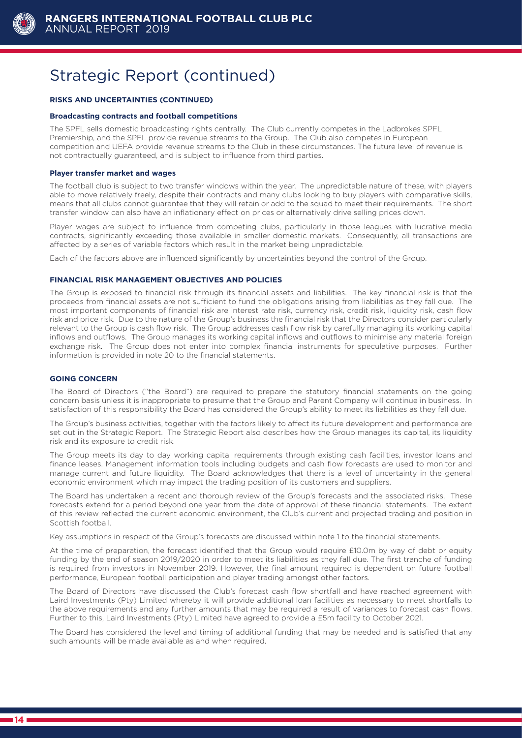

#### **RISKS AND UNCERTAINTIES (CONTINUED)**

#### **Broadcasting contracts and football competitions**

The SPFL sells domestic broadcasting rights centrally. The Club currently competes in the Ladbrokes SPFL Premiership, and the SPFL provide revenue streams to the Group. The Club also competes in European competition and UEFA provide revenue streams to the Club in these circumstances. The future level of revenue is not contractually guaranteed, and is subject to influence from third parties.

#### **Player transfer market and wages**

The football club is subject to two transfer windows within the year. The unpredictable nature of these, with players able to move relatively freely, despite their contracts and many clubs looking to buy players with comparative skills, means that all clubs cannot guarantee that they will retain or add to the squad to meet their requirements. The short transfer window can also have an inflationary effect on prices or alternatively drive selling prices down.

Player wages are subject to influence from competing clubs, particularly in those leagues with lucrative media contracts, significantly exceeding those available in smaller domestic markets. Consequently, all transactions are affected by a series of variable factors which result in the market being unpredictable.

Each of the factors above are influenced significantly by uncertainties beyond the control of the Group.

#### **FINANCIAL RISK MANAGEMENT OBJECTIVES AND POLICIES**

The Group is exposed to financial risk through its financial assets and liabilities. The key financial risk is that the proceeds from financial assets are not sufficient to fund the obligations arising from liabilities as they fall due. The most important components of financial risk are interest rate risk, currency risk, credit risk, liquidity risk, cash flow risk and price risk. Due to the nature of the Group's business the financial risk that the Directors consider particularly relevant to the Group is cash flow risk. The Group addresses cash flow risk by carefully managing its working capital inflows and outflows. The Group manages its working capital inflows and outflows to minimise any material foreign exchange risk. The Group does not enter into complex financial instruments for speculative purposes. Further information is provided in note 20 to the financial statements.

#### **GOING CONCERN**

The Board of Directors ("the Board") are required to prepare the statutory financial statements on the going concern basis unless it is inappropriate to presume that the Group and Parent Company will continue in business. In satisfaction of this responsibility the Board has considered the Group's ability to meet its liabilities as they fall due.

The Group's business activities, together with the factors likely to affect its future development and performance are set out in the Strategic Report. The Strategic Report also describes how the Group manages its capital, its liquidity risk and its exposure to credit risk.

The Group meets its day to day working capital requirements through existing cash facilities, investor loans and finance leases. Management information tools including budgets and cash flow forecasts are used to monitor and manage current and future liquidity. The Board acknowledges that there is a level of uncertainty in the general economic environment which may impact the trading position of its customers and suppliers.

The Board has undertaken a recent and thorough review of the Group's forecasts and the associated risks. These forecasts extend for a period beyond one year from the date of approval of these financial statements. The extent of this review reflected the current economic environment, the Club's current and projected trading and position in Scottish football.

Key assumptions in respect of the Group's forecasts are discussed within note 1 to the financial statements.

At the time of preparation, the forecast identified that the Group would require £10.0m by way of debt or equity funding by the end of season 2019/2020 in order to meet its liabilities as they fall due. The first tranche of funding is required from investors in November 2019. However, the final amount required is dependent on future football performance, European football participation and player trading amongst other factors.

The Board of Directors have discussed the Club's forecast cash flow shortfall and have reached agreement with Laird Investments (Pty) Limited whereby it will provide additional loan facilities as necessary to meet shortfalls to the above requirements and any further amounts that may be required a result of variances to forecast cash flows. Further to this, Laird Investments (Pty) Limited have agreed to provide a £5m facility to October 2021.

The Board has considered the level and timing of additional funding that may be needed and is satisfied that any such amounts will be made available as and when required.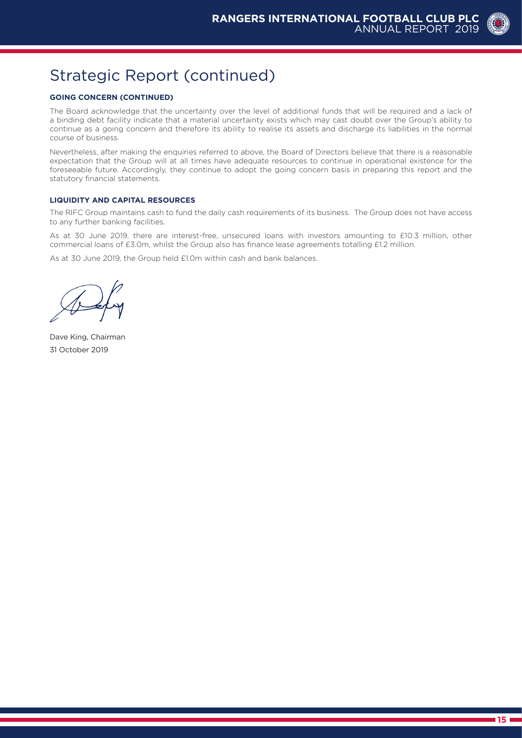

#### **GOING CONCERN (CONTINUED)**

The Board acknowledge that the uncertainty over the level of additional funds that will be required and a lack of a binding debt facility indicate that a material uncertainty exists which may cast doubt over the Group's ability to continue as a going concern and therefore its ability to realise its assets and discharge its liabilities in the normal course of business.

Nevertheless, after making the enquiries referred to above, the Board of Directors believe that there is a reasonable expectation that the Group will at all times have adequate resources to continue in operational existence for the foreseeable future. Accordingly, they continue to adopt the going concern basis in preparing this report and the statutory financial statements.

#### **LIQUIDITY AND CAPITAL RESOURCES**

The RIFC Group maintains cash to fund the daily cash requirements of its business. The Group does not have access to any further banking facilities.

As at 30 June 2019, there are interest-free, unsecured loans with investors amounting to £10.3 million, other commercial loans of £3.0m, whilst the Group also has finance lease agreements totalling £1.2 million.

As at 30 June 2019, the Group held £1.0m within cash and bank balances.

Dave King, Chairman 31 October 2019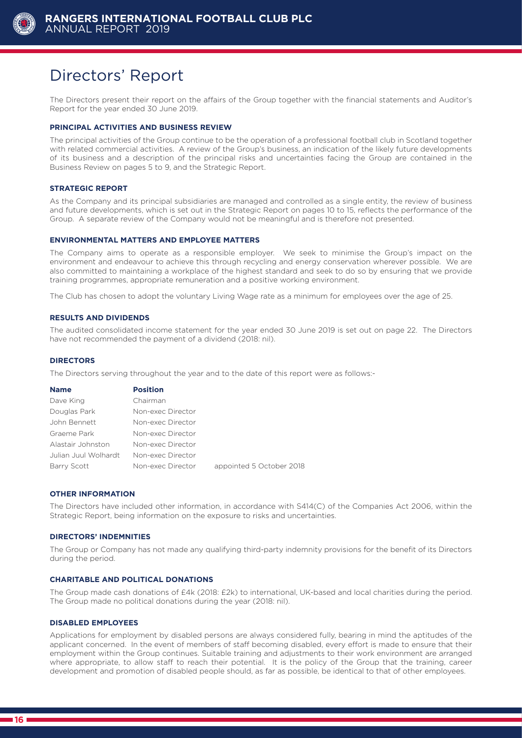

### Directors' Report

The Directors present their report on the affairs of the Group together with the financial statements and Auditor's Report for the year ended 30 June 2019.

#### **PRINCIPAL ACTIVITIES AND BUSINESS REVIEW**

The principal activities of the Group continue to be the operation of a professional football club in Scotland together with related commercial activities. A review of the Group's business, an indication of the likely future developments of its business and a description of the principal risks and uncertainties facing the Group are contained in the Business Review on pages 5 to 9, and the Strategic Report.

#### **STRATEGIC REPORT**

As the Company and its principal subsidiaries are managed and controlled as a single entity, the review of business and future developments, which is set out in the Strategic Report on pages 10 to 15, reflects the performance of the Group. A separate review of the Company would not be meaningful and is therefore not presented.

#### **ENVIRONMENTAL MATTERS AND EMPLOYEE MATTERS**

The Company aims to operate as a responsible employer. We seek to minimise the Group's impact on the environment and endeavour to achieve this through recycling and energy conservation wherever possible. We are also committed to maintaining a workplace of the highest standard and seek to do so by ensuring that we provide training programmes, appropriate remuneration and a positive working environment.

The Club has chosen to adopt the voluntary Living Wage rate as a minimum for employees over the age of 25.

#### **RESULTS AND DIVIDENDS**

The audited consolidated income statement for the year ended 30 June 2019 is set out on page 22. The Directors have not recommended the payment of a dividend (2018: nil).

#### **DIRECTORS**

The Directors serving throughout the year and to the date of this report were as follows:-

| <b>Name</b>          | <b>Position</b>   |                          |
|----------------------|-------------------|--------------------------|
| Dave King            | Chairman          |                          |
| Douglas Park         | Non-exec Director |                          |
| John Bennett         | Non-exec Director |                          |
| Graeme Park          | Non-exec Director |                          |
| Alastair Johnston    | Non-exec Director |                          |
| Julian Juul Wolhardt | Non-exec Director |                          |
| Barry Scott          | Non-exec Director | appointed 5 October 2018 |

#### **OTHER INFORMATION**

The Directors have included other information, in accordance with S414(C) of the Companies Act 2006, within the Strategic Report, being information on the exposure to risks and uncertainties.

#### **DIRECTORS' INDEMNITIES**

The Group or Company has not made any qualifying third-party indemnity provisions for the benefit of its Directors during the period.

#### **CHARITABLE AND POLITICAL DONATIONS**

The Group made cash donations of £4k (2018: £2k) to international, UK-based and local charities during the period. The Group made no political donations during the year (2018: nil).

#### **DISABLED EMPLOYEES**

Applications for employment by disabled persons are always considered fully, bearing in mind the aptitudes of the applicant concerned. In the event of members of staff becoming disabled, every effort is made to ensure that their employment within the Group continues. Suitable training and adjustments to their work environment are arranged where appropriate, to allow staff to reach their potential. It is the policy of the Group that the training, career development and promotion of disabled people should, as far as possible, be identical to that of other employees.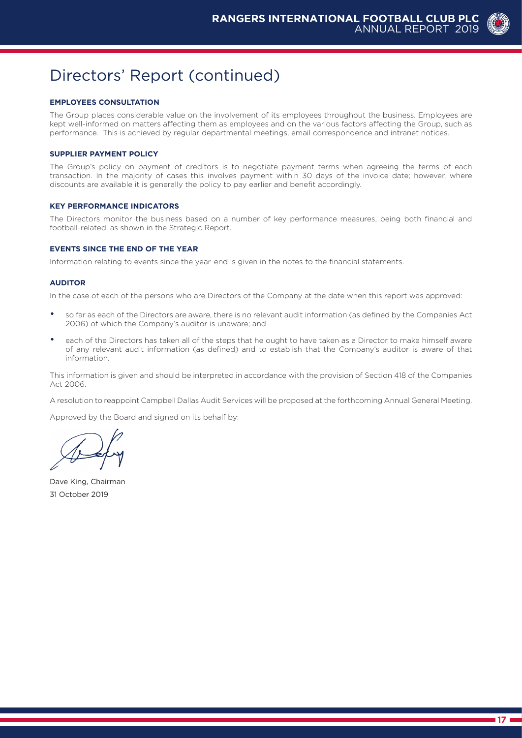### Directors' Report (continued)

#### **EMPLOYEES CONSULTATION**

The Group places considerable value on the involvement of its employees throughout the business. Employees are kept well-informed on matters affecting them as employees and on the various factors affecting the Group, such as performance. This is achieved by regular departmental meetings, email correspondence and intranet notices.

#### **SUPPLIER PAYMENT POLICY**

The Group's policy on payment of creditors is to negotiate payment terms when agreeing the terms of each transaction. In the majority of cases this involves payment within 30 days of the invoice date; however, where discounts are available it is generally the policy to pay earlier and benefit accordingly.

#### **KEY PERFORMANCE INDICATORS**

The Directors monitor the business based on a number of key performance measures, being both financial and football-related, as shown in the Strategic Report.

#### **EVENTS SINCE THE END OF THE YEAR**

Information relating to events since the year-end is given in the notes to the financial statements.

#### **AUDITOR**

In the case of each of the persons who are Directors of the Company at the date when this report was approved:

- so far as each of the Directors are aware, there is no relevant audit information (as defined by the Companies Act 2006) of which the Company's auditor is unaware; and
- each of the Directors has taken all of the steps that he ought to have taken as a Director to make himself aware of any relevant audit information (as defined) and to establish that the Company's auditor is aware of that information.

This information is given and should be interpreted in accordance with the provision of Section 418 of the Companies Act 2006.

A resolution to reappoint Campbell Dallas Audit Services will be proposed at the forthcoming Annual General Meeting.

Approved by the Board and signed on its behalf by:

Dave King, Chairman 31 October 2019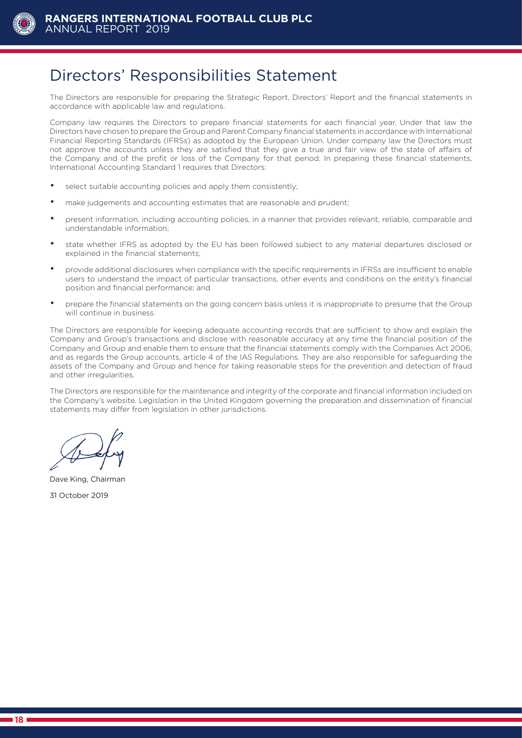

### Directors' Responsibilities Statement

The Directors are responsible for preparing the Strategic Report, Directors' Report and the financial statements in accordance with applicable law and regulations.

Company law requires the Directors to prepare financial statements for each financial year. Under that law the Directors have chosen to prepare the Group and Parent Company financial statements in accordance with International Financial Reporting Standards (IFRSs) as adopted by the European Union. Under company law the Directors must not approve the accounts unless they are satisfied that they give a true and fair view of the state of affairs of the Company and of the profit or loss of the Company for that period. In preparing these financial statements, International Accounting Standard 1 requires that Directors:

- select suitable accounting policies and apply them consistently;
- make judgements and accounting estimates that are reasonable and prudent;
- present information, including accounting policies, in a manner that provides relevant, reliable, comparable and understandable information;
- state whether IFRS as adopted by the EU has been followed subject to any material departures disclosed or explained in the financial statements;
- provide additional disclosures when compliance with the specific requirements in IFRSs are insufficient to enable users to understand the impact of particular transactions, other events and conditions on the entity's financial position and financial performance; and
- prepare the financial statements on the going concern basis unless it is inappropriate to presume that the Group will continue in business.

The Directors are responsible for keeping adequate accounting records that are sufficient to show and explain the Company and Group's transactions and disclose with reasonable accuracy at any time the financial position of the Company and Group and enable them to ensure that the financial statements comply with the Companies Act 2006, and as regards the Group accounts, article 4 of the IAS Regulations. They are also responsible for safeguarding the assets of the Company and Group and hence for taking reasonable steps for the prevention and detection of fraud and other irregularities.

The Directors are responsible for the maintenance and integrity of the corporate and financial information included on the Company's website. Legislation in the United Kingdom governing the preparation and dissemination of financial statements may differ from legislation in other jurisdictions.

Dave King, Chairman

31 October 2019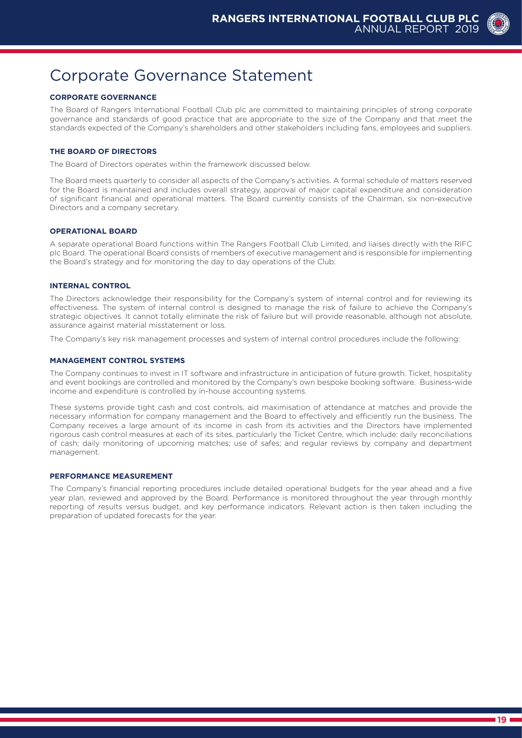### Corporate Governance Statement

#### **CORPORATE GOVERNANCE**

The Board of Rangers International Football Club plc are committed to maintaining principles of strong corporate governance and standards of good practice that are appropriate to the size of the Company and that meet the standards expected of the Company's shareholders and other stakeholders including fans, employees and suppliers.

#### **THE BOARD OF DIRECTORS**

The Board of Directors operates within the framework discussed below.

The Board meets quarterly to consider all aspects of the Company's activities. A formal schedule of matters reserved for the Board is maintained and includes overall strategy, approval of major capital expenditure and consideration of significant financial and operational matters. The Board currently consists of the Chairman, six non-executive Directors and a company secretary.

#### **OPERATIONAL BOARD**

A separate operational Board functions within The Rangers Football Club Limited, and liaises directly with the RIFC plc Board. The operational Board consists of members of executive management and is responsible for implementing the Board's strategy and for monitoring the day to day operations of the Club.

#### **INTERNAL CONTROL**

The Directors acknowledge their responsibility for the Company's system of internal control and for reviewing its effectiveness. The system of internal control is designed to manage the risk of failure to achieve the Company's strategic objectives. It cannot totally eliminate the risk of failure but will provide reasonable, although not absolute, assurance against material misstatement or loss.

The Company's key risk management processes and system of internal control procedures include the following:

#### **MANAGEMENT CONTROL SYSTEMS**

The Company continues to invest in IT software and infrastructure in anticipation of future growth. Ticket, hospitality and event bookings are controlled and monitored by the Company's own bespoke booking software. Business-wide income and expenditure is controlled by in-house accounting systems.

These systems provide tight cash and cost controls, aid maximisation of attendance at matches and provide the necessary information for company management and the Board to effectively and efficiently run the business. The Company receives a large amount of its income in cash from its activities and the Directors have implemented rigorous cash control measures at each of its sites, particularly the Ticket Centre, which include: daily reconciliations of cash; daily monitoring of upcoming matches; use of safes; and regular reviews by company and department management.

#### **PERFORMANCE MEASUREMENT**

The Company's financial reporting procedures include detailed operational budgets for the year ahead and a five year plan, reviewed and approved by the Board. Performance is monitored throughout the year through monthly reporting of results versus budget, and key performance indicators. Relevant action is then taken including the preparation of updated forecasts for the year.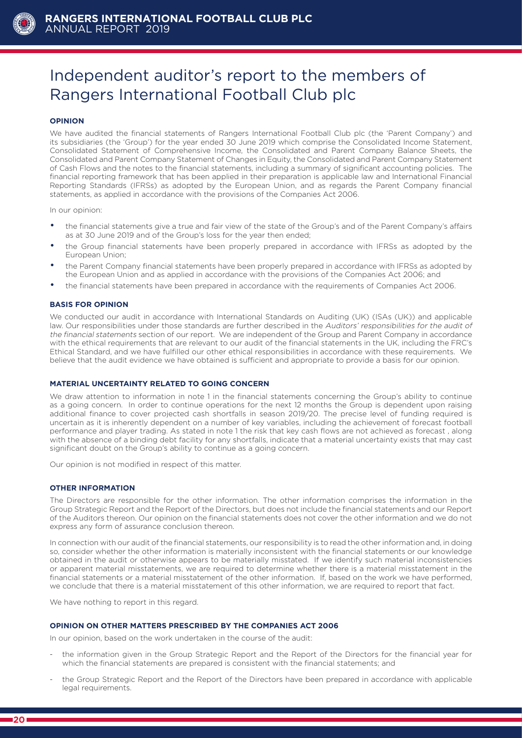

# Independent auditor's report to the members of Rangers International Football Club plc

#### **OPINION**

We have audited the financial statements of Rangers International Football Club plc (the 'Parent Company') and its subsidiaries (the 'Group') for the year ended 30 June 2019 which comprise the Consolidated Income Statement, Consolidated Statement of Comprehensive Income, the Consolidated and Parent Company Balance Sheets, the Consolidated and Parent Company Statement of Changes in Equity, the Consolidated and Parent Company Statement of Cash Flows and the notes to the financial statements, including a summary of significant accounting policies. The financial reporting framework that has been applied in their preparation is applicable law and International Financial Reporting Standards (IFRSs) as adopted by the European Union, and as regards the Parent Company financial statements, as applied in accordance with the provisions of the Companies Act 2006.

In our opinion:

- the financial statements give a true and fair view of the state of the Group's and of the Parent Company's affairs as at 30 June 2019 and of the Group's loss for the year then ended;
- the Group financial statements have been properly prepared in accordance with IFRSs as adopted by the European Union;
- the Parent Company financial statements have been properly prepared in accordance with IFRSs as adopted by the European Union and as applied in accordance with the provisions of the Companies Act 2006; and
- the financial statements have been prepared in accordance with the requirements of Companies Act 2006.

#### **BASIS FOR OPINION**

We conducted our audit in accordance with International Standards on Auditing (UK) (ISAs (UK)) and applicable law. Our responsibilities under those standards are further described in the Auditors' responsibilities for the audit of the financial statements section of our report. We are independent of the Group and Parent Company in accordance with the ethical requirements that are relevant to our audit of the financial statements in the UK, including the FRC's Ethical Standard, and we have fulfilled our other ethical responsibilities in accordance with these requirements. We believe that the audit evidence we have obtained is sufficient and appropriate to provide a basis for our opinion.

#### **MATERIAL UNCERTAINTY RELATED TO GOING CONCERN**

We draw attention to information in note 1 in the financial statements concerning the Group's ability to continue as a going concern. In order to continue operations for the next 12 months the Group is dependent upon raising additional finance to cover projected cash shortfalls in season 2019/20. The precise level of funding required is uncertain as it is inherently dependent on a number of key variables, including the achievement of forecast football performance and player trading. As stated in note 1 the risk that key cash flows are not achieved as forecast , along with the absence of a binding debt facility for any shortfalls, indicate that a material uncertainty exists that may cast significant doubt on the Group's ability to continue as a going concern.

Our opinion is not modified in respect of this matter.

#### **OTHER INFORMATION**

The Directors are responsible for the other information. The other information comprises the information in the Group Strategic Report and the Report of the Directors, but does not include the financial statements and our Report of the Auditors thereon. Our opinion on the financial statements does not cover the other information and we do not express any form of assurance conclusion thereon.

In connection with our audit of the financial statements, our responsibility is to read the other information and, in doing so, consider whether the other information is materially inconsistent with the financial statements or our knowledge obtained in the audit or otherwise appears to be materially misstated. If we identify such material inconsistencies or apparent material misstatements, we are required to determine whether there is a material misstatement in the financial statements or a material misstatement of the other information. If, based on the work we have performed, we conclude that there is a material misstatement of this other information, we are required to report that fact.

We have nothing to report in this regard.

#### **OPINION ON OTHER MATTERS PRESCRIBED BY THE COMPANIES ACT 2006**

In our opinion, based on the work undertaken in the course of the audit:

- the information given in the Group Strategic Report and the Report of the Directors for the financial year for which the financial statements are prepared is consistent with the financial statements; and
- the Group Strategic Report and the Report of the Directors have been prepared in accordance with applicable legal requirements.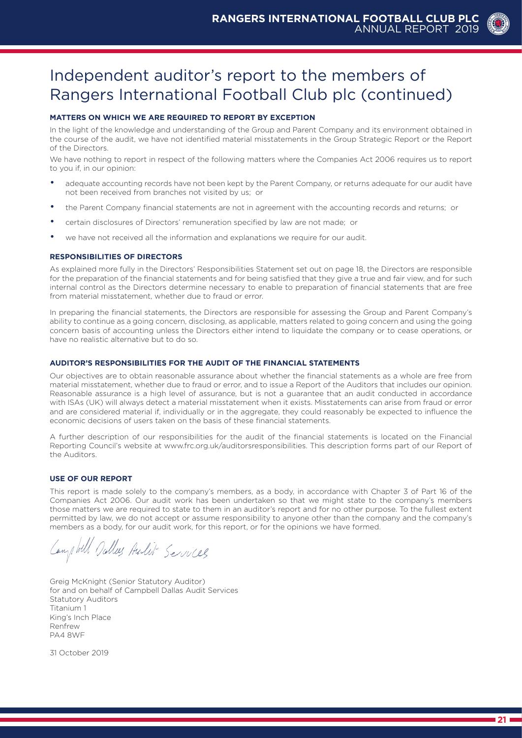## Independent auditor's report to the members of Rangers International Football Club plc (continued)

#### **MATTERS ON WHICH WE ARE REQUIRED TO REPORT BY EXCEPTION**

In the light of the knowledge and understanding of the Group and Parent Company and its environment obtained in the course of the audit, we have not identified material misstatements in the Group Strategic Report or the Report of the Directors.

We have nothing to report in respect of the following matters where the Companies Act 2006 requires us to report to you if, in our opinion:

- adequate accounting records have not been kept by the Parent Company, or returns adequate for our audit have not been received from branches not visited by us; or
- the Parent Company financial statements are not in agreement with the accounting records and returns; or
- certain disclosures of Directors' remuneration specified by law are not made; or
- we have not received all the information and explanations we require for our audit.

#### **RESPONSIBILITIES OF DIRECTORS**

As explained more fully in the Directors' Responsibilities Statement set out on page 18, the Directors are responsible for the preparation of the financial statements and for being satisfied that they give a true and fair view, and for such internal control as the Directors determine necessary to enable to preparation of financial statements that are free from material misstatement, whether due to fraud or error.

In preparing the financial statements, the Directors are responsible for assessing the Group and Parent Company's ability to continue as a going concern, disclosing, as applicable, matters related to going concern and using the going concern basis of accounting unless the Directors either intend to liquidate the company or to cease operations, or have no realistic alternative but to do so.

#### **AUDITOR'S RESPONSIBILITIES FOR THE AUDIT OF THE FINANCIAL STATEMENTS**

Our objectives are to obtain reasonable assurance about whether the financial statements as a whole are free from material misstatement, whether due to fraud or error, and to issue a Report of the Auditors that includes our opinion. Reasonable assurance is a high level of assurance, but is not a guarantee that an audit conducted in accordance with ISAs (UK) will always detect a material misstatement when it exists. Misstatements can arise from fraud or error and are considered material if, individually or in the aggregate, they could reasonably be expected to influence the economic decisions of users taken on the basis of these financial statements.

A further description of our responsibilities for the audit of the financial statements is located on the Financial Reporting Council's website at www.frc.org.uk/auditorsresponsibilities. This description forms part of our Report of the Auditors.

#### **USE OF OUR REPORT**

This report is made solely to the company's members, as a body, in accordance with Chapter 3 of Part 16 of the Companies Act 2006. Our audit work has been undertaken so that we might state to the company's members those matters we are required to state to them in an auditor's report and for no other purpose. To the fullest extent permitted by law, we do not accept or assume responsibility to anyone other than the company and the company's members as a body, for our audit work, for this report, or for the opinions we have formed.

Cany Will Salles Aulin Services

Greig McKnight (Senior Statutory Auditor) for and on behalf of Campbell Dallas Audit Services Statutory Auditors Titanium 1 King's Inch Place Renfrew PA4 8WF

31 October 2019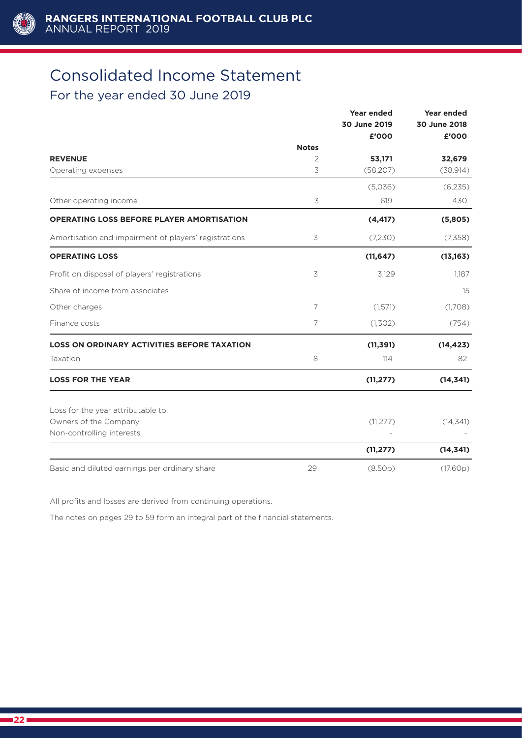

# Consolidated Income Statement

### For the year ended 30 June 2019

|                                                       |              | <b>Year ended</b> | <b>Year ended</b> |
|-------------------------------------------------------|--------------|-------------------|-------------------|
|                                                       |              | 30 June 2019      | 30 June 2018      |
|                                                       |              | £'000             | £'000             |
|                                                       | <b>Notes</b> |                   |                   |
| <b>REVENUE</b>                                        | 2            | 53,171            | 32,679            |
| Operating expenses                                    | 3            | (58, 207)         | (38, 914)         |
|                                                       |              | (5,036)           | (6,235)           |
| Other operating income                                | $\preceq$    | 619               | 430               |
| <b>OPERATING LOSS BEFORE PLAYER AMORTISATION</b>      |              | (4, 417)          | (5,805)           |
| Amortisation and impairment of players' registrations | 3            | (7,230)           | (7,358)           |
| <b>OPERATING LOSS</b>                                 |              | (11, 647)         | (13, 163)         |
| Profit on disposal of players' registrations          | 3            | 3,129             | 1.187             |
| Share of income from associates                       |              |                   | 15                |
| Other charges                                         | 7            | (1,571)           | (1,708)           |
| Finance costs                                         | 7            | (1,302)           | (754)             |
| <b>LOSS ON ORDINARY ACTIVITIES BEFORE TAXATION</b>    |              | (11, 391)         | (14, 423)         |
| Taxation                                              | 8            | 114               | 82                |
| <b>LOSS FOR THE YEAR</b>                              |              | (11, 277)         | (14, 341)         |
| Loss for the year attributable to:                    |              |                   |                   |
| Owners of the Company                                 |              | (11, 277)         | (14, 341)         |
| Non-controlling interests                             |              |                   |                   |
|                                                       |              | (11, 277)         | (14, 341)         |
| Basic and diluted earnings per ordinary share         | 29           | (8.50p)           | (17.60p)          |

All profits and losses are derived from continuing operations.

The notes on pages 29 to 59 form an integral part of the financial statements.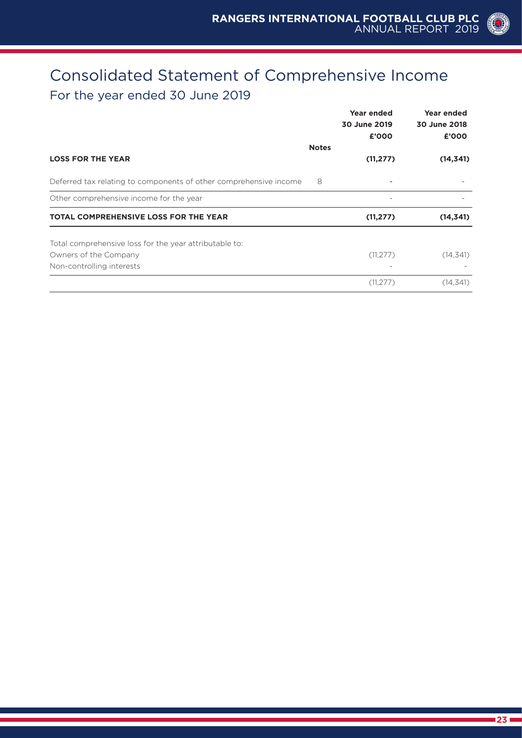### Consolidated Statement of Comprehensive Income For the year ended 30 June 2019

|                                                                   |              | Year ended<br>30 June 2019<br>£'000 | Year ended<br>30 June 2018<br>£'000 |
|-------------------------------------------------------------------|--------------|-------------------------------------|-------------------------------------|
| <b>LOSS FOR THE YEAR</b>                                          | <b>Notes</b> | (11, 277)                           | (14, 341)                           |
|                                                                   |              |                                     |                                     |
| Deferred tax relating to components of other comprehensive income | 8            |                                     |                                     |
| Other comprehensive income for the year                           |              |                                     |                                     |
| <b>TOTAL COMPREHENSIVE LOSS FOR THE YEAR</b>                      |              | (11, 277)                           | (14, 341)                           |
| Total comprehensive loss for the year attributable to:            |              |                                     |                                     |
| Owners of the Company                                             |              | (11, 277)                           | (14, 341)                           |
| Non-controlling interests                                         |              |                                     |                                     |
|                                                                   |              | (11, 277)                           | (14, 341)                           |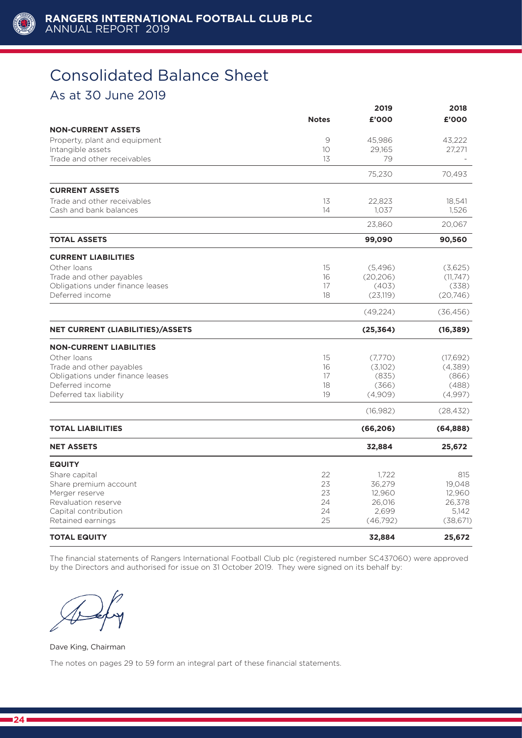

# Consolidated Balance Sheet

### As at 30 June 2019

|                                         |              | 2019      | 2018      |
|-----------------------------------------|--------------|-----------|-----------|
|                                         | <b>Notes</b> | £'000     | £'000     |
| <b>NON-CURRENT ASSETS</b>               |              |           |           |
| Property, plant and equipment           | 9            | 45,986    | 43,222    |
| Intangible assets                       | 10           | 29.165    | 27,271    |
| Trade and other receivables             | 13           | 79        |           |
|                                         |              | 75,230    | 70,493    |
| <b>CURRENT ASSETS</b>                   |              |           |           |
| Trade and other receivables             | 13           | 22,823    | 18,541    |
| Cash and bank balances                  | 14           | 1,037     | 1,526     |
|                                         |              | 23,860    | 20,067    |
| <b>TOTAL ASSETS</b>                     |              | 99,090    | 90,560    |
| <b>CURRENT LIABILITIES</b>              |              |           |           |
| Other loans                             | 15           | (5,496)   | (3,625)   |
| Trade and other payables                | 16           | (20, 206) | (11, 747) |
| Obligations under finance leases        | 17           | (403)     | (338)     |
| Deferred income                         | 18           | (23, 119) | (20,746)  |
|                                         |              | (49, 224) | (36, 456) |
| <b>NET CURRENT (LIABILITIES)/ASSETS</b> |              | (25, 364) | (16, 389) |
| <b>NON-CURRENT LIABILITIES</b>          |              |           |           |
| Other Joans                             | 15           | (7,770)   | (17,692)  |
| Trade and other payables                | 16           | (3,102)   | (4,389)   |
| Obligations under finance leases        | 17           | (835)     | (866)     |
| Deferred income                         | 18           | (366)     | (488)     |
| Deferred tax liability                  | 19           | (4,909)   | (4,997)   |
|                                         |              | (16, 982) | (28, 432) |
| <b>TOTAL LIABILITIES</b>                |              | (66, 206) | (64, 888) |
| <b>NET ASSETS</b>                       |              | 32,884    | 25,672    |
| <b>EQUITY</b>                           |              |           |           |
| Share capital                           | 22           | 1,722     | 815       |
| Share premium account                   | 23           | 36,279    | 19,048    |
| Merger reserve                          | 23           | 12,960    | 12,960    |
| Revaluation reserve                     | 24           | 26,016    | 26,378    |
| Capital contribution                    | 24           | 2,699     | 5,142     |
| Retained earnings                       | 25           | (46,792)  | (38, 671) |
| <b>TOTAL EQUITY</b>                     |              | 32,884    | 25,672    |

The financial statements of Rangers International Football Club plc (registered number SC437060) were approved by the Directors and authorised for issue on 31 October 2019. They were signed on its behalf by:

Dave King, Chairman

The notes on pages 29 to 59 form an integral part of these financial statements.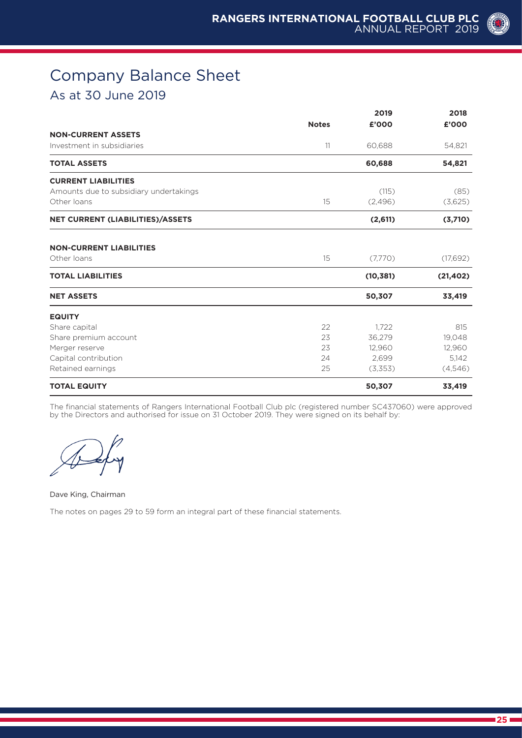### Company Balance Sheet As at 30 June 2019

|                                         |              | 2019      | 2018      |  |
|-----------------------------------------|--------------|-----------|-----------|--|
|                                         | <b>Notes</b> | £'000     | £'000     |  |
| <b>NON-CURRENT ASSETS</b>               |              |           |           |  |
| Investment in subsidiaries              | 11           | 60,688    | 54,821    |  |
| <b>TOTAL ASSETS</b>                     |              | 60,688    | 54,821    |  |
| <b>CURRENT LIABILITIES</b>              |              |           |           |  |
| Amounts due to subsidiary undertakings  |              | (115)     | (85)      |  |
| Other loans                             | 15           | (2,496)   | (3,625)   |  |
| <b>NET CURRENT (LIABILITIES)/ASSETS</b> |              | (2,611)   | (3,710)   |  |
| <b>NON-CURRENT LIABILITIES</b>          |              |           |           |  |
| Other loans                             | 15           | (7,770)   | (17,692)  |  |
| <b>TOTAL LIABILITIES</b>                |              | (10, 381) | (21, 402) |  |
| <b>NET ASSETS</b>                       |              | 50,307    | 33,419    |  |
| <b>EQUITY</b>                           |              |           |           |  |
| Share capital                           | 22           | 1,722     | 815       |  |
| Share premium account                   | 23           | 36,279    | 19,048    |  |
| Merger reserve                          | 23           | 12,960    | 12,960    |  |
| Capital contribution                    | 24           | 2,699     | 5,142     |  |
| Retained earnings                       | 25           | (3,353)   | (4,546)   |  |
| <b>TOTAL EQUITY</b>                     |              | 50,307    | 33,419    |  |

The financial statements of Rangers International Football Club plc (registered number SC437060) were approved by the Directors and authorised for issue on 31 October 2019. They were signed on its behalf by:

#### Dave King, Chairman

The notes on pages 29 to 59 form an integral part of these financial statements.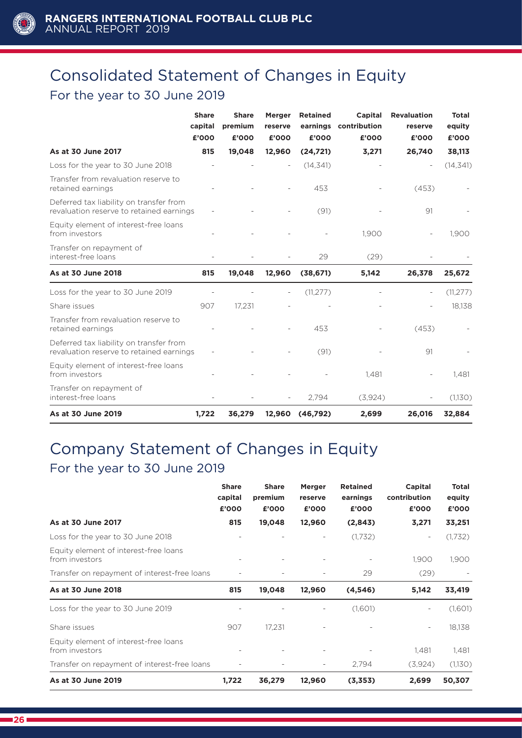

# Consolidated Statement of Changes in Equity For the year to 30 June 2019

|                                                                                     | <b>Share</b><br>capital<br>£'000 | <b>Share</b><br>premium<br>£'000 | <b>Merger</b><br>reserve<br>£'000 | <b>Retained</b><br>earnings<br>£'000 | Capital<br>contribution<br>£'000 | <b>Revaluation</b><br>reserve<br>£'000 | <b>Total</b><br>equity<br>£'000 |
|-------------------------------------------------------------------------------------|----------------------------------|----------------------------------|-----------------------------------|--------------------------------------|----------------------------------|----------------------------------------|---------------------------------|
| As at 30 June 2017                                                                  | 815                              | 19,048                           | 12,960                            | (24, 721)                            | 3,271                            | 26,740                                 | 38,113                          |
| Loss for the year to 30 June 2018                                                   |                                  |                                  |                                   | (14, 341)                            |                                  | $\overline{\phantom{a}}$               | (14, 341)                       |
| Transfer from revaluation reserve to<br>retained earnings                           |                                  |                                  |                                   | 453                                  |                                  | (453)                                  |                                 |
| Deferred tax liability on transfer from<br>revaluation reserve to retained earnings |                                  |                                  |                                   | (91)                                 |                                  | 91                                     |                                 |
| Equity element of interest-free loans<br>from investors                             |                                  |                                  |                                   |                                      | 1,900                            |                                        | 1,900                           |
| Transfer on repayment of<br>interest-free loans                                     |                                  |                                  |                                   | 29                                   | (29)                             |                                        |                                 |
| As at 30 June 2018                                                                  | 815                              | 19,048                           | 12,960                            | (38, 671)                            | 5,142                            | 26,378                                 | 25,672                          |
| Loss for the year to 30 June 2019                                                   |                                  |                                  |                                   | (11, 277)                            |                                  |                                        | (11, 277)                       |
| Share issues                                                                        | 907                              | 17,231                           |                                   |                                      |                                  |                                        | 18,138                          |
| Transfer from revaluation reserve to<br>retained earnings                           |                                  |                                  |                                   | 453                                  |                                  | (453)                                  |                                 |
| Deferred tax liability on transfer from<br>revaluation reserve to retained earnings |                                  |                                  |                                   | (91)                                 |                                  | 91                                     |                                 |
| Equity element of interest-free loans<br>from investors                             |                                  |                                  |                                   |                                      | 1,481                            |                                        | 1,481                           |
| Transfer on repayment of<br>interest-free loans                                     |                                  |                                  |                                   | 2,794                                | (3,924)                          |                                        | (1,130)                         |
| As at 30 June 2019                                                                  | 1,722                            | 36,279                           | 12,960                            | (46,792)                             | 2,699                            | 26,016                                 | 32,884                          |

# Company Statement of Changes in Equity For the year to 30 June 2019

|                                                         | <b>Share</b><br>capital<br>£'000 | <b>Share</b><br>premium<br>£'000 | <b>Merger</b><br>reserve<br>£'000 | <b>Retained</b><br>earnings<br>£'000 | Capital<br>contribution<br>£'000 | <b>Total</b><br>equity<br>£'000 |
|---------------------------------------------------------|----------------------------------|----------------------------------|-----------------------------------|--------------------------------------|----------------------------------|---------------------------------|
| As at 30 June 2017                                      | 815                              | 19,048                           | 12,960                            | (2,843)                              | 3,271                            | 33,251                          |
| Loss for the year to 30 June 2018                       |                                  |                                  |                                   | (1,732)                              |                                  | (1,732)                         |
| Equity element of interest-free loans<br>from investors |                                  |                                  |                                   |                                      | 1,900                            | 1,900                           |
| Transfer on repayment of interest-free loans            |                                  |                                  |                                   | 29                                   | (29)                             |                                 |
| As at 30 June 2018                                      | 815                              | 19,048                           | 12,960                            | (4, 546)                             | 5,142                            | 33,419                          |
| Loss for the year to 30 June 2019                       |                                  |                                  |                                   | (1,601)                              |                                  | (1,601)                         |
| Share issues                                            | 907                              | 17.231                           |                                   |                                      | $\overline{\phantom{a}}$         | 18,138                          |
| Equity element of interest-free loans<br>from investors |                                  |                                  |                                   |                                      | 1,481                            | 1,481                           |
| Transfer on repayment of interest-free loans            |                                  |                                  |                                   | 2,794                                | (3,924)                          | (1,130)                         |
| As at 30 June 2019                                      | 1,722                            | 36,279                           | 12,960                            | (3,353)                              | 2,699                            | 50,307                          |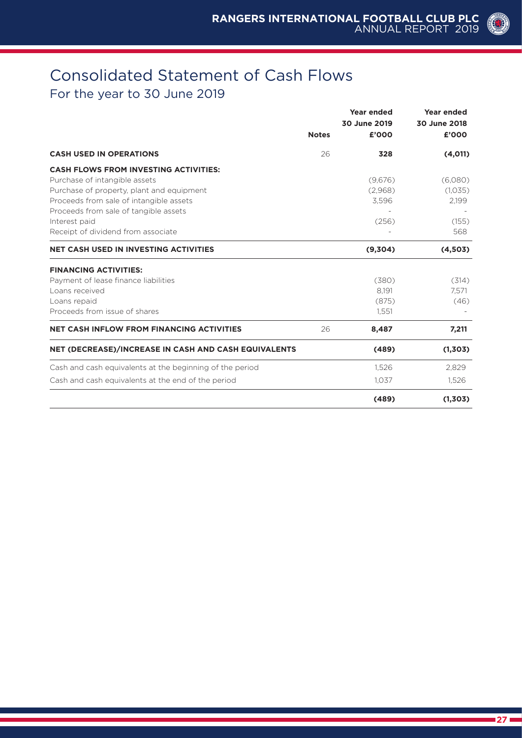### Consolidated Statement of Cash Flows For the year to 30 June 2019

|                                                          |              | Year ended   | Year ended   |
|----------------------------------------------------------|--------------|--------------|--------------|
|                                                          |              | 30 June 2019 | 30 June 2018 |
|                                                          | <b>Notes</b> | £'000        | £'000        |
| <b>CASH USED IN OPERATIONS</b>                           | 26           | 328          | (4,011)      |
| <b>CASH FLOWS FROM INVESTING ACTIVITIES:</b>             |              |              |              |
| Purchase of intangible assets                            |              | (9,676)      | (6,080)      |
| Purchase of property, plant and equipment                |              | (2,968)      | (1,035)      |
| Proceeds from sale of intangible assets                  |              | 3,596        | 2,199        |
| Proceeds from sale of tangible assets                    |              |              |              |
| Interest paid                                            |              | (256)        | (155)        |
| Receipt of dividend from associate                       |              |              | 568          |
| <b>NET CASH USED IN INVESTING ACTIVITIES</b>             |              | (9,304)      | (4,503)      |
| <b>FINANCING ACTIVITIES:</b>                             |              |              |              |
| Payment of lease finance liabilities                     |              | (380)        | (314)        |
| Loans received                                           |              | 8.191        | 7,571        |
| Loans repaid                                             |              | (875)        | (46)         |
| Proceeds from issue of shares                            |              | 1,551        |              |
| <b>NET CASH INFLOW FROM FINANCING ACTIVITIES</b>         | 26           | 8,487        | 7,211        |
| NET (DECREASE)/INCREASE IN CASH AND CASH EQUIVALENTS     |              | (489)        | (1,303)      |
| Cash and cash equivalents at the beginning of the period |              | 1,526        | 2,829        |
| Cash and cash equivalents at the end of the period       |              | 1,037        | 1,526        |
|                                                          |              | (489)        | (1,303)      |

(O)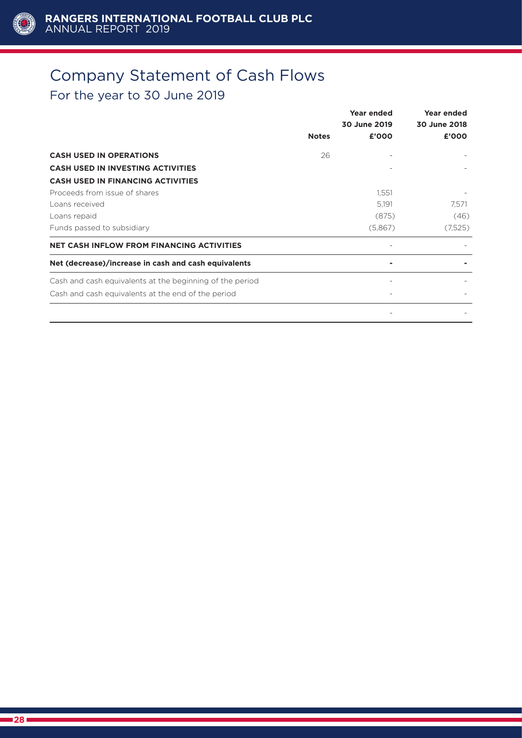

### Company Statement of Cash Flows For the year to 30 June 2019

|                                                          | <b>Notes</b> | Year ended<br>30 June 2019<br>£'000 | Year ended<br>30 June 2018<br>£'000 |
|----------------------------------------------------------|--------------|-------------------------------------|-------------------------------------|
| <b>CASH USED IN OPERATIONS</b>                           | 26           |                                     |                                     |
| <b>CASH USED IN INVESTING ACTIVITIES</b>                 |              |                                     |                                     |
| <b>CASH USED IN FINANCING ACTIVITIES</b>                 |              |                                     |                                     |
| Proceeds from issue of shares                            |              | 1,551                               |                                     |
| Loans received                                           |              | 5,191                               | 7,571                               |
| Loans repaid                                             |              | (875)                               | (46)                                |
| Funds passed to subsidiary                               |              | (5,867)                             | (7,525)                             |
| <b>NET CASH INFLOW FROM FINANCING ACTIVITIES</b>         |              |                                     |                                     |
| Net (decrease)/increase in cash and cash equivalents     |              |                                     |                                     |
| Cash and cash equivalents at the beginning of the period |              |                                     |                                     |
| Cash and cash equivalents at the end of the period       |              |                                     |                                     |
|                                                          |              |                                     |                                     |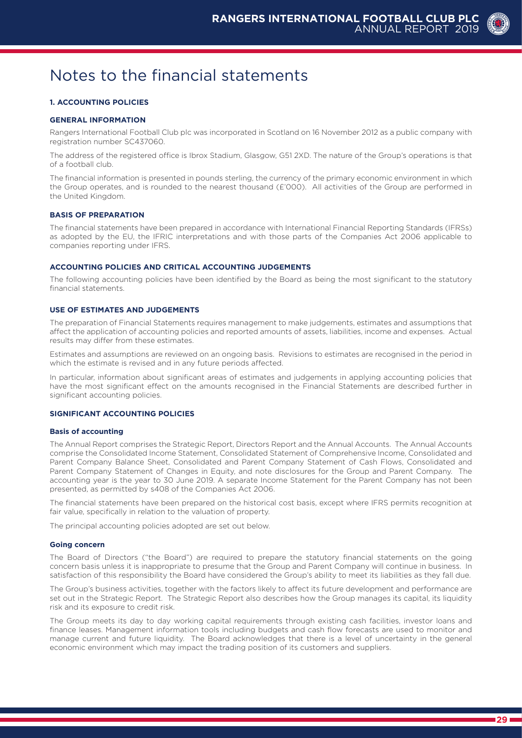

#### **1. ACCOUNTING POLICIES**

#### **GENERAL INFORMATION**

Rangers International Football Club plc was incorporated in Scotland on 16 November 2012 as a public company with registration number SC437060.

The address of the registered office is Ibrox Stadium, Glasgow, G51 2XD. The nature of the Group's operations is that of a football club.

The financial information is presented in pounds sterling, the currency of the primary economic environment in which the Group operates, and is rounded to the nearest thousand (£'000). All activities of the Group are performed in the United Kingdom.

#### **BASIS OF PREPARATION**

The financial statements have been prepared in accordance with International Financial Reporting Standards (IFRSs) as adopted by the EU, the IFRIC interpretations and with those parts of the Companies Act 2006 applicable to companies reporting under IFRS.

#### **ACCOUNTING POLICIES AND CRITICAL ACCOUNTING JUDGEMENTS**

The following accounting policies have been identified by the Board as being the most significant to the statutory financial statements.

#### **USE OF ESTIMATES AND JUDGEMENTS**

The preparation of Financial Statements requires management to make judgements, estimates and assumptions that affect the application of accounting policies and reported amounts of assets, liabilities, income and expenses. Actual results may differ from these estimates.

Estimates and assumptions are reviewed on an ongoing basis. Revisions to estimates are recognised in the period in which the estimate is revised and in any future periods affected.

In particular, information about significant areas of estimates and judgements in applying accounting policies that have the most significant effect on the amounts recognised in the Financial Statements are described further in significant accounting policies.

#### **SIGNIFICANT ACCOUNTING POLICIES**

#### **Basis of accounting**

The Annual Report comprises the Strategic Report, Directors Report and the Annual Accounts. The Annual Accounts comprise the Consolidated Income Statement, Consolidated Statement of Comprehensive Income, Consolidated and Parent Company Balance Sheet, Consolidated and Parent Company Statement of Cash Flows, Consolidated and Parent Company Statement of Changes in Equity, and note disclosures for the Group and Parent Company. The accounting year is the year to 30 June 2019. A separate Income Statement for the Parent Company has not been presented, as permitted by s408 of the Companies Act 2006.

The financial statements have been prepared on the historical cost basis, except where IFRS permits recognition at fair value, specifically in relation to the valuation of property.

The principal accounting policies adopted are set out below.

#### **Going concern**

The Board of Directors ("the Board") are required to prepare the statutory financial statements on the going concern basis unless it is inappropriate to presume that the Group and Parent Company will continue in business. In satisfaction of this responsibility the Board have considered the Group's ability to meet its liabilities as they fall due.

The Group's business activities, together with the factors likely to affect its future development and performance are set out in the Strategic Report. The Strategic Report also describes how the Group manages its capital, its liquidity risk and its exposure to credit risk.

The Group meets its day to day working capital requirements through existing cash facilities, investor loans and finance leases. Management information tools including budgets and cash flow forecasts are used to monitor and manage current and future liquidity. The Board acknowledges that there is a level of uncertainty in the general economic environment which may impact the trading position of its customers and suppliers.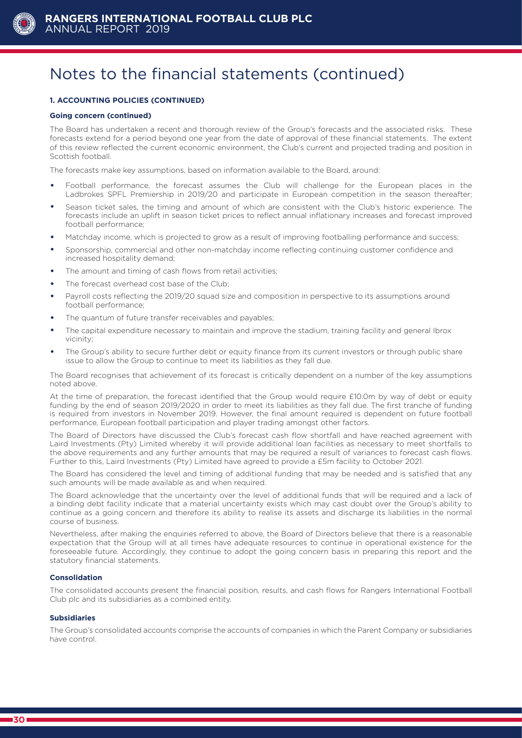

#### **1. ACCOUNTING POLICIES (CONTINUED)**

#### **Going concern (continued)**

The Board has undertaken a recent and thorough review of the Group's forecasts and the associated risks. These forecasts extend for a period beyond one year from the date of approval of these financial statements. The extent of this review reflected the current economic environment, the Club's current and projected trading and position in Scottish football.

The forecasts make key assumptions, based on information available to the Board, around:

- Football performance, the forecast assumes the Club will challenge for the European places in the Ladbrokes SPFL Premiership in 2019/20 and participate in European competition in the season thereafter;
- Season ticket sales, the timing and amount of which are consistent with the Club's historic experience. The forecasts include an uplift in season ticket prices to reflect annual inflationary increases and forecast improved football performance;
- Matchday income, which is projected to grow as a result of improving footballing performance and success;
- Sponsorship, commercial and other non-matchday income reflecting continuing customer confidence and increased hospitality demand:
- The amount and timing of cash flows from retail activities;
- The forecast overhead cost base of the Club;
- Payroll costs reflecting the 2019/20 squad size and composition in perspective to its assumptions around football performance;
- The quantum of future transfer receivables and payables;
- The capital expenditure necessary to maintain and improve the stadium, training facility and general Ibrox vicinity;
- The Group's ability to secure further debt or equity finance from its current investors or through public share issue to allow the Group to continue to meet its liabilities as they fall due.

The Board recognises that achievement of its forecast is critically dependent on a number of the key assumptions noted above.

At the time of preparation, the forecast identified that the Group would require £10.0m by way of debt or equity funding by the end of season 2019/2020 in order to meet its liabilities as they fall due. The first tranche of funding is required from investors in November 2019. However, the final amount required is dependent on future football performance, European football participation and player trading amongst other factors.

The Board of Directors have discussed the Club's forecast cash flow shortfall and have reached agreement with Laird Investments (Pty) Limited whereby it will provide additional loan facilities as necessary to meet shortfalls to the above requirements and any further amounts that may be required a result of variances to forecast cash flows. Further to this, Laird Investments (Pty) Limited have agreed to provide a £5m facility to October 2021.

The Board has considered the level and timing of additional funding that may be needed and is satisfied that any such amounts will be made available as and when required.

The Board acknowledge that the uncertainty over the level of additional funds that will be required and a lack of a binding debt facility indicate that a material uncertainty exists which may cast doubt over the Group's ability to continue as a going concern and therefore its ability to realise its assets and discharge its liabilities in the normal course of business.

Nevertheless, after making the enquiries referred to above, the Board of Directors believe that there is a reasonable expectation that the Group will at all times have adequate resources to continue in operational existence for the foreseeable future. Accordingly, they continue to adopt the going concern basis in preparing this report and the statutory financial statements.

#### **Consolidation**

The consolidated accounts present the financial position, results, and cash flows for Rangers International Football Club plc and its subsidiaries as a combined entity.

#### **Subsidiaries**

The Group's consolidated accounts comprise the accounts of companies in which the Parent Company or subsidiaries have control.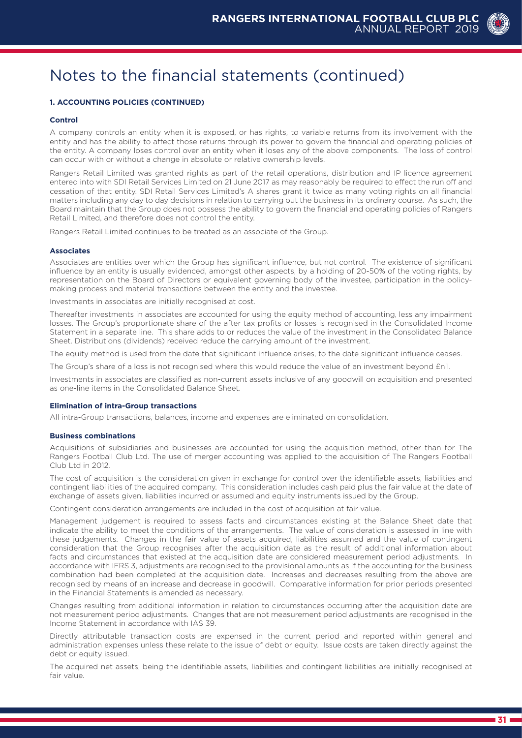#### **1. ACCOUNTING POLICIES (CONTINUED)**

#### **Control**

A company controls an entity when it is exposed, or has rights, to variable returns from its involvement with the entity and has the ability to affect those returns through its power to govern the financial and operating policies of the entity. A company loses control over an entity when it loses any of the above components. The loss of control can occur with or without a change in absolute or relative ownership levels.

Rangers Retail Limited was granted rights as part of the retail operations, distribution and IP licence agreement entered into with SDI Retail Services Limited on 21 June 2017 as may reasonably be required to effect the run off and cessation of that entity. SDI Retail Services Limited's A shares grant it twice as many voting rights on all financial matters including any day to day decisions in relation to carrying out the business in its ordinary course. As such, the Board maintain that the Group does not possess the ability to govern the financial and operating policies of Rangers Retail Limited, and therefore does not control the entity.

Rangers Retail Limited continues to be treated as an associate of the Group.

#### **Associates**

Associates are entities over which the Group has significant influence, but not control. The existence of significant influence by an entity is usually evidenced, amongst other aspects, by a holding of 20-50% of the voting rights, by representation on the Board of Directors or equivalent governing body of the investee, participation in the policymaking process and material transactions between the entity and the investee.

Investments in associates are initially recognised at cost.

Thereafter investments in associates are accounted for using the equity method of accounting, less any impairment losses. The Group's proportionate share of the after tax profits or losses is recognised in the Consolidated Income Statement in a separate line. This share adds to or reduces the value of the investment in the Consolidated Balance Sheet. Distributions (dividends) received reduce the carrying amount of the investment.

The equity method is used from the date that significant influence arises, to the date significant influence ceases.

The Group's share of a loss is not recognised where this would reduce the value of an investment beyond £nil.

Investments in associates are classified as non-current assets inclusive of any goodwill on acquisition and presented as one-line items in the Consolidated Balance Sheet.

#### **Elimination of intra-Group transactions**

All intra-Group transactions, balances, income and expenses are eliminated on consolidation.

#### **Business combinations**

Acquisitions of subsidiaries and businesses are accounted for using the acquisition method, other than for The Rangers Football Club Ltd. The use of merger accounting was applied to the acquisition of The Rangers Football Club Ltd in 2012.

The cost of acquisition is the consideration given in exchange for control over the identifiable assets, liabilities and contingent liabilities of the acquired company. This consideration includes cash paid plus the fair value at the date of exchange of assets given, liabilities incurred or assumed and equity instruments issued by the Group.

Contingent consideration arrangements are included in the cost of acquisition at fair value.

Management judgement is required to assess facts and circumstances existing at the Balance Sheet date that indicate the ability to meet the conditions of the arrangements. The value of consideration is assessed in line with these judgements. Changes in the fair value of assets acquired, liabilities assumed and the value of contingent consideration that the Group recognises after the acquisition date as the result of additional information about facts and circumstances that existed at the acquisition date are considered measurement period adjustments. In accordance with IFRS 3, adjustments are recognised to the provisional amounts as if the accounting for the business combination had been completed at the acquisition date. Increases and decreases resulting from the above are recognised by means of an increase and decrease in goodwill. Comparative information for prior periods presented in the Financial Statements is amended as necessary.

Changes resulting from additional information in relation to circumstances occurring after the acquisition date are not measurement period adjustments. Changes that are not measurement period adjustments are recognised in the Income Statement in accordance with IAS 39.

Directly attributable transaction costs are expensed in the current period and reported within general and administration expenses unless these relate to the issue of debt or equity. Issue costs are taken directly against the debt or equity issued.

The acquired net assets, being the identifiable assets, liabilities and contingent liabilities are initially recognised at fair value.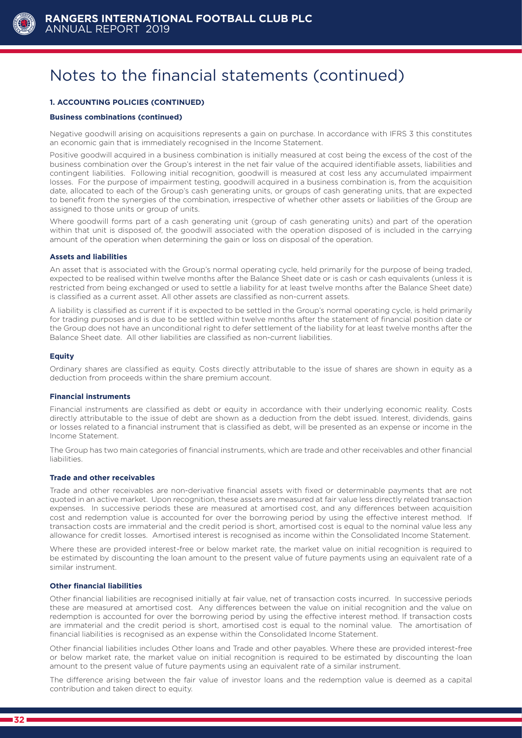

### **1. ACCOUNTING POLICIES (CONTINUED)**

#### **Business combinations (continued)**

Negative goodwill arising on acquisitions represents a gain on purchase. In accordance with IFRS 3 this constitutes an economic gain that is immediately recognised in the Income Statement.

Positive goodwill acquired in a business combination is initially measured at cost being the excess of the cost of the business combination over the Group's interest in the net fair value of the acquired identifiable assets, liabilities and contingent liabilities. Following initial recognition, goodwill is measured at cost less any accumulated impairment losses. For the purpose of impairment testing, goodwill acquired in a business combination is, from the acquisition date, allocated to each of the Group's cash generating units, or groups of cash generating units, that are expected to benefit from the synergies of the combination, irrespective of whether other assets or liabilities of the Group are assigned to those units or group of units.

Where goodwill forms part of a cash generating unit (group of cash generating units) and part of the operation within that unit is disposed of, the goodwill associated with the operation disposed of is included in the carrying amount of the operation when determining the gain or loss on disposal of the operation.

#### **Assets and liabilities**

An asset that is associated with the Group's normal operating cycle, held primarily for the purpose of being traded, expected to be realised within twelve months after the Balance Sheet date or is cash or cash equivalents (unless it is restricted from being exchanged or used to settle a liability for at least twelve months after the Balance Sheet date) is classified as a current asset. All other assets are classified as non-current assets.

A liability is classified as current if it is expected to be settled in the Group's normal operating cycle, is held primarily for trading purposes and is due to be settled within twelve months after the statement of financial position date or the Group does not have an unconditional right to defer settlement of the liability for at least twelve months after the Balance Sheet date. All other liabilities are classified as non-current liabilities.

#### **Equity**

Ordinary shares are classified as equity. Costs directly attributable to the issue of shares are shown in equity as a deduction from proceeds within the share premium account.

#### **Financial instruments**

Financial instruments are classified as debt or equity in accordance with their underlying economic reality. Costs directly attributable to the issue of debt are shown as a deduction from the debt issued. Interest, dividends, gains or losses related to a financial instrument that is classified as debt, will be presented as an expense or income in the Income Statement.

The Group has two main categories of financial instruments, which are trade and other receivables and other financial liabilities.

#### **Trade and other receivables**

Trade and other receivables are non-derivative financial assets with fixed or determinable payments that are not quoted in an active market. Upon recognition, these assets are measured at fair value less directly related transaction expenses. In successive periods these are measured at amortised cost, and any differences between acquisition cost and redemption value is accounted for over the borrowing period by using the effective interest method. If transaction costs are immaterial and the credit period is short, amortised cost is equal to the nominal value less any allowance for credit losses. Amortised interest is recognised as income within the Consolidated Income Statement.

Where these are provided interest-free or below market rate, the market value on initial recognition is required to be estimated by discounting the loan amount to the present value of future payments using an equivalent rate of a similar instrument.

#### **Other financial liabilities**

Other financial liabilities are recognised initially at fair value, net of transaction costs incurred. In successive periods these are measured at amortised cost. Any differences between the value on initial recognition and the value on redemption is accounted for over the borrowing period by using the effective interest method. If transaction costs are immaterial and the credit period is short, amortised cost is equal to the nominal value. The amortisation of financial liabilities is recognised as an expense within the Consolidated Income Statement.

Other financial liabilities includes Other loans and Trade and other payables. Where these are provided interest-free or below market rate, the market value on initial recognition is required to be estimated by discounting the loan amount to the present value of future payments using an equivalent rate of a similar instrument.

The difference arising between the fair value of investor loans and the redemption value is deemed as a capital contribution and taken direct to equity.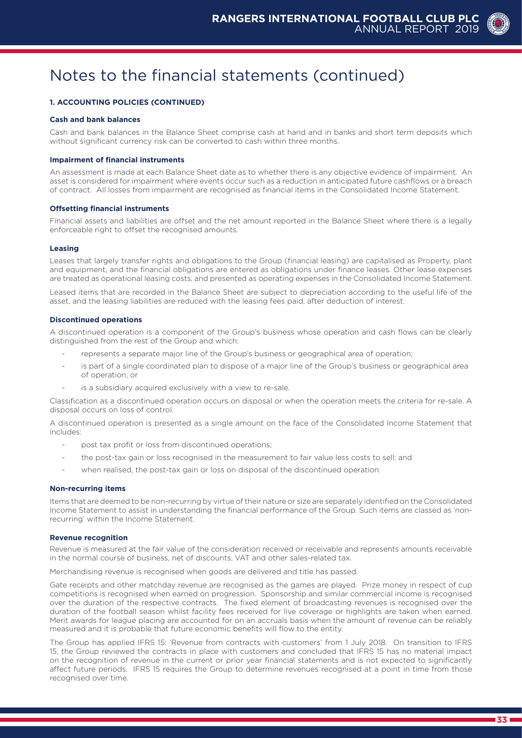#### **1. ACCOUNTING POLICIES (CONTINUED)**

#### **Cash and bank balances**

Cash and bank balances in the Balance Sheet comprise cash at hand and in banks and short term deposits which without significant currency risk can be converted to cash within three months.

#### **Impairment of financial instruments**

An assessment is made at each Balance Sheet date as to whether there is any objective evidence of impairment. An asset is considered for impairment where events occur such as a reduction in anticipated future cashflows or a breach of contract. All losses from impairment are recognised as financial items in the Consolidated Income Statement.

#### **Offsetting financial instruments**

Financial assets and liabilities are offset and the net amount reported in the Balance Sheet where there is a legally enforceable right to offset the recognised amounts.

#### **Leasing**

Leases that largely transfer rights and obligations to the Group (financial leasing) are capitalised as Property, plant and equipment, and the financial obligations are entered as obligations under finance leases. Other lease expenses are treated as operational leasing costs, and presented as operating expenses in the Consolidated Income Statement.

Leased items that are recorded in the Balance Sheet are subject to depreciation according to the useful life of the asset, and the leasing liabilities are reduced with the leasing fees paid, after deduction of interest.

#### **Discontinued operations**

A discontinued operation is a component of the Group's business whose operation and cash flows can be clearly distinguished from the rest of the Group and which:

- represents a separate major line of the Group's business or geographical area of operation;
- is part of a single coordinated plan to dispose of a major line of the Group's business or geographical area of operation; or
- is a subsidiary acquired exclusively with a view to re-sale.

Classification as a discontinued operation occurs on disposal or when the operation meets the criteria for re-sale. A disposal occurs on loss of control.

A discontinued operation is presented as a single amount on the face of the Consolidated Income Statement that includes:

- post tax profit or loss from discontinued operations;
- the post-tax gain or loss recognised in the measurement to fair value less costs to sell; and
- when realised, the post-tax gain or loss on disposal of the discontinued operation.

#### **Non-recurring items**

Items that are deemed to be non-recurring by virtue of their nature or size are separately identified on the Consolidated Income Statement to assist in understanding the financial performance of the Group. Such items are classed as 'nonrecurring' within the Income Statement.

#### **Revenue recognition**

Revenue is measured at the fair value of the consideration received or receivable and represents amounts receivable in the normal course of business, net of discounts, VAT and other sales-related tax.

Merchandising revenue is recognised when goods are delivered and title has passed.

Gate receipts and other matchday revenue are recognised as the games are played. Prize money in respect of cup competitions is recognised when earned on progression. Sponsorship and similar commercial income is recognised over the duration of the respective contracts. The fixed element of broadcasting revenues is recognised over the duration of the football season whilst facility fees received for live coverage or highlights are taken when earned. Merit awards for league placing are accounted for on an accruals basis when the amount of revenue can be reliably measured and it is probable that future economic benefits will flow to the entity.

The Group has applied IFRS 15: 'Revenue from contracts with customers' from 1 July 2018. On transition to IFRS 15, the Group reviewed the contracts in place with customers and concluded that IFRS 15 has no material impact on the recognition of revenue in the current or prior year financial statements and is not expected to significantly affect future periods. IFRS 15 requires the Group to determine revenues recognised at a point in time from those recognised over time.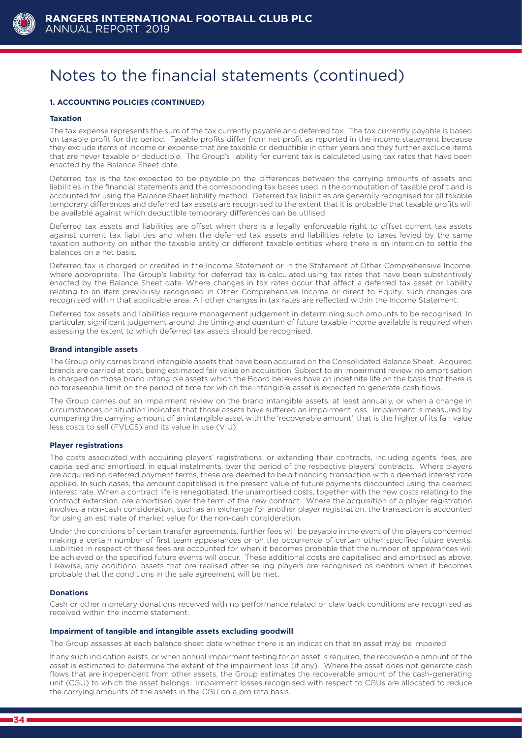

#### **1. ACCOUNTING POLICIES (CONTINUED)**

#### **Taxation**

The tax expense represents the sum of the tax currently payable and deferred tax. The tax currently payable is based on taxable profit for the period. Taxable profits differ from net profit as reported in the income statement because they exclude items of income or expense that are taxable or deductible in other years and they further exclude items that are never taxable or deductible. The Group's liability for current tax is calculated using tax rates that have been enacted by the Balance Sheet date.

Deferred tax is the tax expected to be payable on the differences between the carrying amounts of assets and liabilities in the financial statements and the corresponding tax bases used in the computation of taxable profit and is accounted for using the Balance Sheet liability method. Deferred tax liabilities are generally recognised for all taxable temporary differences and deferred tax assets are recognised to the extent that it is probable that taxable profits will be available against which deductible temporary differences can be utilised.

Deferred tax assets and liabilities are offset when there is a legally enforceable right to offset current tax assets against current tax liabilities and when the deferred tax assets and liabilities relate to taxes levied by the same taxation authority on either the taxable entity or different taxable entities where there is an intention to settle the balances on a net basis.

Deferred tax is charged or credited in the Income Statement or in the Statement of Other Comprehensive Income, where appropriate. The Group's liability for deferred tax is calculated using tax rates that have been substantively enacted by the Balance Sheet date. Where changes in tax rates occur that affect a deferred tax asset or liability relating to an item previously recognised in Other Comprehensive Income or direct to Equity, such changes are recognised within that applicable area. All other changes in tax rates are reflected within the Income Statement.

Deferred tax assets and liabilities require management judgement in determining such amounts to be recognised. In particular, significant judgement around the timing and quantum of future taxable income available is required when assessing the extent to which deferred tax assets should be recognised.

#### **Brand intangible assets**

The Group only carries brand intangible assets that have been acquired on the Consolidated Balance Sheet. Acquired brands are carried at cost, being estimated fair value on acquisition. Subject to an impairment review, no amortisation is charged on those brand intangible assets which the Board believes have an indefinite life on the basis that there is no foreseeable limit on the period of time for which the intangible asset is expected to generate cash flows.

The Group carries out an impairment review on the brand intangible assets, at least annually, or when a change in circumstances or situation indicates that those assets have suffered an impairment loss. Impairment is measured by comparing the carrying amount of an intangible asset with the 'recoverable amount', that is the higher of its fair value less costs to sell (FVLCS) and its value in use (VIU).

#### **Player registrations**

The costs associated with acquiring players' registrations, or extending their contracts, including agents' fees, are capitalised and amortised, in equal instalments, over the period of the respective players' contracts. Where players are acquired on deferred payment terms, these are deemed to be a financing transaction with a deemed interest rate applied. In such cases, the amount capitalised is the present value of future payments discounted using the deemed interest rate. When a contract life is renegotiated, the unamortised costs, together with the new costs relating to the contract extension, are amortised over the term of the new contract. Where the acquisition of a player registration involves a non-cash consideration, such as an exchange for another player registration, the transaction is accounted for using an estimate of market value for the non-cash consideration.

Under the conditions of certain transfer agreements, further fees will be payable in the event of the players concerned making a certain number of first team appearances or on the occurrence of certain other specified future events. Liabilities in respect of these fees are accounted for when it becomes probable that the number of appearances will be achieved or the specified future events will occur. These additional costs are capitalised and amortised as above. Likewise, any additional assets that are realised after selling players are recognised as debtors when it becomes probable that the conditions in the sale agreement will be met.

#### **Donations**

Cash or other monetary donations received with no performance related or claw back conditions are recognised as received within the income statement.

#### **Impairment of tangible and intangible assets excluding goodwill**

The Group assesses at each balance sheet date whether there is an indication that an asset may be impaired.

If any such indication exists, or when annual impairment testing for an asset is required, the recoverable amount of the asset is estimated to determine the extent of the impairment loss (if any). Where the asset does not generate cash flows that are independent from other assets, the Group estimates the recoverable amount of the cash-generating unit (CGU) to which the asset belongs. Impairment losses recognised with respect to CGUs are allocated to reduce the carrying amounts of the assets in the CGU on a pro rata basis.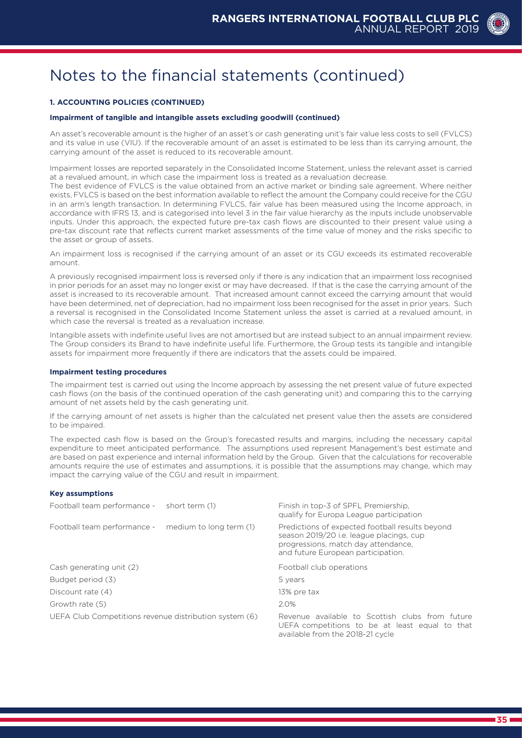#### **1. ACCOUNTING POLICIES (CONTINUED)**

#### **Impairment of tangible and intangible assets excluding goodwill (continued)**

An asset's recoverable amount is the higher of an asset's or cash generating unit's fair value less costs to sell (FVLCS) and its value in use (VIU). If the recoverable amount of an asset is estimated to be less than its carrying amount, the carrying amount of the asset is reduced to its recoverable amount.

Impairment losses are reported separately in the Consolidated Income Statement, unless the relevant asset is carried at a revalued amount, in which case the impairment loss is treated as a revaluation decrease. The best evidence of FVLCS is the value obtained from an active market or binding sale agreement. Where neither exists, FVLCS is based on the best information available to reflect the amount the Company could receive for the CGU

in an arm's length transaction. In determining FVLCS, fair value has been measured using the Income approach, in accordance with IFRS 13, and is categorised into level 3 in the fair value hierarchy as the inputs include unobservable inputs. Under this approach, the expected future pre-tax cash flows are discounted to their present value using a pre-tax discount rate that reflects current market assessments of the time value of money and the risks specific to the asset or group of assets.

An impairment loss is recognised if the carrying amount of an asset or its CGU exceeds its estimated recoverable amount.

A previously recognised impairment loss is reversed only if there is any indication that an impairment loss recognised in prior periods for an asset may no longer exist or may have decreased. If that is the case the carrying amount of the asset is increased to its recoverable amount. That increased amount cannot exceed the carrying amount that would have been determined, net of depreciation, had no impairment loss been recognised for the asset in prior years. Such a reversal is recognised in the Consolidated Income Statement unless the asset is carried at a revalued amount, in which case the reversal is treated as a revaluation increase.

Intangible assets with indefinite useful lives are not amortised but are instead subject to an annual impairment review. The Group considers its Brand to have indefinite useful life. Furthermore, the Group tests its tangible and intangible assets for impairment more frequently if there are indicators that the assets could be impaired.

#### **Impairment testing procedures**

The impairment test is carried out using the Income approach by assessing the net present value of future expected cash flows (on the basis of the continued operation of the cash generating unit) and comparing this to the carrying amount of net assets held by the cash generating unit.

If the carrying amount of net assets is higher than the calculated net present value then the assets are considered to be impaired.

The expected cash flow is based on the Group's forecasted results and margins, including the necessary capital expenditure to meet anticipated performance. The assumptions used represent Management's best estimate and are based on past experience and internal information held by the Group. Given that the calculations for recoverable amounts require the use of estimates and assumptions, it is possible that the assumptions may change, which may impact the carrying value of the CGU and result in impairment.

#### **Key assumptions**

| Football team performance -                            | short term (1)          | Finish in top-3 of SPFL Premiership.<br>qualify for Europa League participation                                                                                          |  |  |
|--------------------------------------------------------|-------------------------|--------------------------------------------------------------------------------------------------------------------------------------------------------------------------|--|--|
| Football team performance -                            | medium to long term (1) | Predictions of expected football results beyond<br>season 2019/20 i.e. league placings, cup<br>progressions, match day attendance,<br>and future European participation. |  |  |
| Cash generating unit (2)                               |                         | Football club operations                                                                                                                                                 |  |  |
| Budget period (3)                                      |                         | 5 years                                                                                                                                                                  |  |  |
| Discount rate (4)                                      |                         | 13% pre tax                                                                                                                                                              |  |  |
| Growth rate (5)                                        |                         | 2.0%                                                                                                                                                                     |  |  |
| UEFA Club Competitions revenue distribution system (6) |                         | Revenue available to Scottish clubs from future<br>UEFA competitions to be at least equal to that<br>available from the 2018-21 cycle                                    |  |  |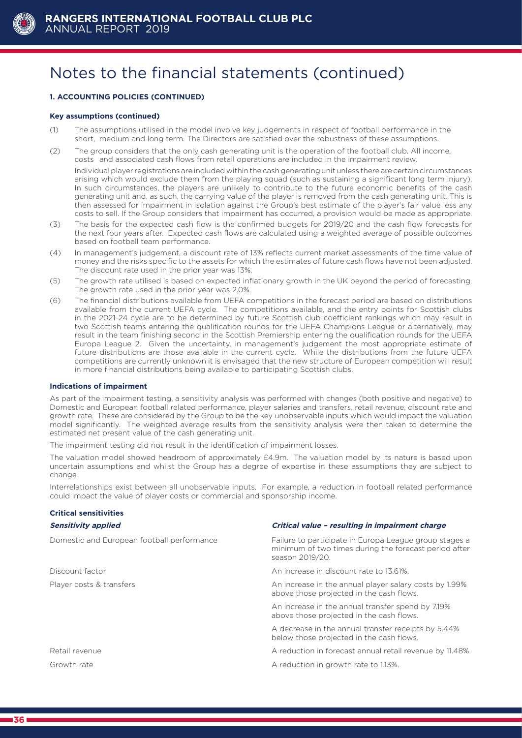

#### **1. ACCOUNTING POLICIES (CONTINUED)**

#### **Key assumptions (continued)**

- (1) The assumptions utilised in the model involve key judgements in respect of football performance in the short, medium and long term. The Directors are satisfied over the robustness of these assumptions.
- (2) The group considers that the only cash generating unit is the operation of the football club. All income, costs and associated cash flows from retail operations are included in the impairment review.

Individual player registrations are included within the cash generating unit unless there are certain circumstances arising which would exclude them from the playing squad (such as sustaining a significant long term injury). In such circumstances, the players are unlikely to contribute to the future economic benefits of the cash generating unit and, as such, the carrying value of the player is removed from the cash generating unit. This is then assessed for impairment in isolation against the Group's best estimate of the player's fair value less any costs to sell. If the Group considers that impairment has occurred, a provision would be made as appropriate.

- (3) The basis for the expected cash flow is the confirmed budgets for 2019/20 and the cash flow forecasts for the next four years after. Expected cash flows are calculated using a weighted average of possible outcomes based on football team performance.
- (4) In management's judgement, a discount rate of 13% reflects current market assessments of the time value of money and the risks specific to the assets for which the estimates of future cash flows have not been adjusted. The discount rate used in the prior year was 13%.
- (5) The growth rate utilised is based on expected inflationary growth in the UK beyond the period of forecasting. The growth rate used in the prior year was 2.0%.
- (6) The financial distributions available from UEFA competitions in the forecast period are based on distributions available from the current UEFA cycle. The competitions available, and the entry points for Scottish clubs in the 2021-24 cycle are to be determined by future Scottish club coefficient rankings which may result in two Scottish teams entering the qualification rounds for the UEFA Champions League or alternatively, may result in the team finishing second in the Scottish Premiership entering the qualification rounds for the UEFA Europa League 2. Given the uncertainty, in management's judgement the most appropriate estimate of future distributions are those available in the current cycle. While the distributions from the future UEFA competitions are currently unknown it is envisaged that the new structure of European competition will result in more financial distributions being available to participating Scottish clubs.

#### **Indications of impairment**

As part of the impairment testing, a sensitivity analysis was performed with changes (both positive and negative) to Domestic and European football related performance, player salaries and transfers, retail revenue, discount rate and growth rate. These are considered by the Group to be the key unobservable inputs which would impact the valuation model significantly. The weighted average results from the sensitivity analysis were then taken to determine the estimated net present value of the cash generating unit.

The impairment testing did not result in the identification of impairment losses.

The valuation model showed headroom of approximately £4.9m. The valuation model by its nature is based upon uncertain assumptions and whilst the Group has a degree of expertise in these assumptions they are subject to change.

Interrelationships exist between all unobservable inputs. For example, a reduction in football related performance could impact the value of player costs or commercial and sponsorship income.

### **Critical sensitivities**

| <b>Sensitivity applied</b>                 | Critical value - resulting in impairment charge                                                                                    |
|--------------------------------------------|------------------------------------------------------------------------------------------------------------------------------------|
| Domestic and European football performance | Failure to participate in Europa League group stages a<br>minimum of two times during the forecast period after<br>season 2019/20. |
| Discount factor                            | An increase in discount rate to 13.61%.                                                                                            |
| Player costs & transfers                   | An increase in the annual player salary costs by 1.99%<br>above those projected in the cash flows.                                 |
|                                            | An increase in the annual transfer spend by 7.19%<br>above those projected in the cash flows.                                      |
|                                            | A decrease in the annual transfer receipts by 5.44%<br>below those projected in the cash flows.                                    |
| Retail revenue                             | A reduction in forecast annual retail revenue by 11.48%.                                                                           |
| Growth rate                                | A reduction in growth rate to 1.13%.                                                                                               |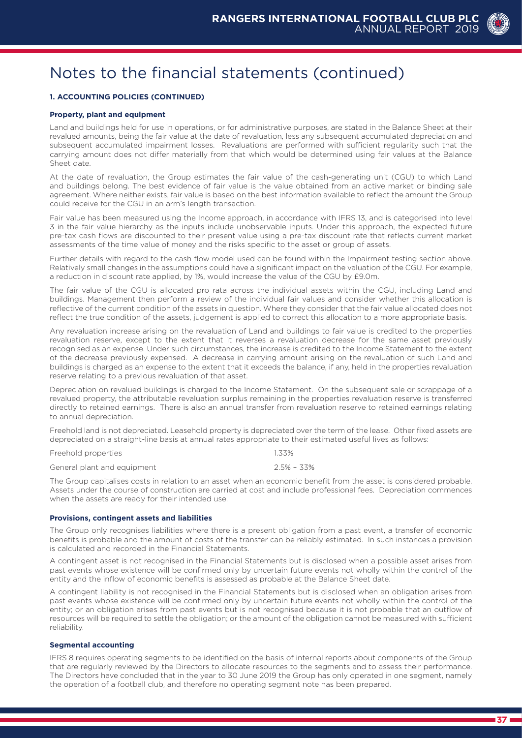#### **1. ACCOUNTING POLICIES (CONTINUED)**

#### **Property, plant and equipment**

Land and buildings held for use in operations, or for administrative purposes, are stated in the Balance Sheet at their revalued amounts, being the fair value at the date of revaluation, less any subsequent accumulated depreciation and subsequent accumulated impairment losses. Revaluations are performed with sufficient regularity such that the carrying amount does not differ materially from that which would be determined using fair values at the Balance Sheet date.

At the date of revaluation, the Group estimates the fair value of the cash-generating unit (CGU) to which Land and buildings belong. The best evidence of fair value is the value obtained from an active market or binding sale agreement. Where neither exists, fair value is based on the best information available to reflect the amount the Group could receive for the CGU in an arm's length transaction.

Fair value has been measured using the Income approach, in accordance with IFRS 13, and is categorised into level 3 in the fair value hierarchy as the inputs include unobservable inputs. Under this approach, the expected future pre-tax cash flows are discounted to their present value using a pre-tax discount rate that reflects current market assessments of the time value of money and the risks specific to the asset or group of assets.

Further details with regard to the cash flow model used can be found within the Impairment testing section above. Relatively small changes in the assumptions could have a significant impact on the valuation of the CGU. For example, a reduction in discount rate applied, by 1%, would increase the value of the CGU by £9.0m.

The fair value of the CGU is allocated pro rata across the individual assets within the CGU, including Land and buildings. Management then perform a review of the individual fair values and consider whether this allocation is reflective of the current condition of the assets in question. Where they consider that the fair value allocated does not reflect the true condition of the assets, judgement is applied to correct this allocation to a more appropriate basis.

Any revaluation increase arising on the revaluation of Land and buildings to fair value is credited to the properties revaluation reserve, except to the extent that it reverses a revaluation decrease for the same asset previously recognised as an expense. Under such circumstances, the increase is credited to the Income Statement to the extent of the decrease previously expensed. A decrease in carrying amount arising on the revaluation of such Land and buildings is charged as an expense to the extent that it exceeds the balance, if any, held in the properties revaluation reserve relating to a previous revaluation of that asset.

Depreciation on revalued buildings is charged to the Income Statement. On the subsequent sale or scrappage of a revalued property, the attributable revaluation surplus remaining in the properties revaluation reserve is transferred directly to retained earnings. There is also an annual transfer from revaluation reserve to retained earnings relating to annual depreciation.

Freehold land is not depreciated. Leasehold property is depreciated over the term of the lease. Other fixed assets are depreciated on a straight-line basis at annual rates appropriate to their estimated useful lives as follows:

Freehold properties 1.33%

General plant and equipment 2.5% – 33%

The Group capitalises costs in relation to an asset when an economic benefit from the asset is considered probable. Assets under the course of construction are carried at cost and include professional fees. Depreciation commences when the assets are ready for their intended use.

#### **Provisions, contingent assets and liabilities**

The Group only recognises liabilities where there is a present obligation from a past event, a transfer of economic benefits is probable and the amount of costs of the transfer can be reliably estimated. In such instances a provision is calculated and recorded in the Financial Statements.

A contingent asset is not recognised in the Financial Statements but is disclosed when a possible asset arises from past events whose existence will be confirmed only by uncertain future events not wholly within the control of the entity and the inflow of economic benefits is assessed as probable at the Balance Sheet date.

A contingent liability is not recognised in the Financial Statements but is disclosed when an obligation arises from past events whose existence will be confirmed only by uncertain future events not wholly within the control of the entity; or an obligation arises from past events but is not recognised because it is not probable that an outflow of resources will be required to settle the obligation; or the amount of the obligation cannot be measured with sufficient reliability.

#### **Segmental accounting**

IFRS 8 requires operating segments to be identified on the basis of internal reports about components of the Group that are regularly reviewed by the Directors to allocate resources to the segments and to assess their performance. The Directors have concluded that in the year to 30 June 2019 the Group has only operated in one segment, namely the operation of a football club, and therefore no operating segment note has been prepared.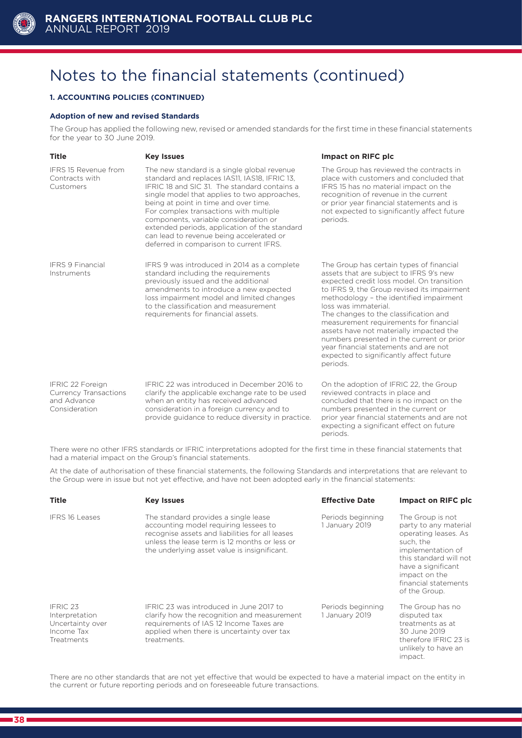

#### **1. ACCOUNTING POLICIES (CONTINUED)**

#### **Adoption of new and revised Standards**

The Group has applied the following new, revised or amended standards for the first time in these financial statements for the year to 30 June 2019.

| <b>Title</b>                                                                     | <b>Key Issues</b>                                                                                                                                                                                                                                                                                                                                                                                                                                                | <b>Impact on RIFC plc</b>                                                                                                                                                                                                                                                                                                                                                                                                                                                                                                     |
|----------------------------------------------------------------------------------|------------------------------------------------------------------------------------------------------------------------------------------------------------------------------------------------------------------------------------------------------------------------------------------------------------------------------------------------------------------------------------------------------------------------------------------------------------------|-------------------------------------------------------------------------------------------------------------------------------------------------------------------------------------------------------------------------------------------------------------------------------------------------------------------------------------------------------------------------------------------------------------------------------------------------------------------------------------------------------------------------------|
| <b>IFRS 15 Revenue from</b><br>Contracts with<br>Customers                       | The new standard is a single global revenue<br>standard and replaces IAS11, IAS18, IFRIC 13,<br>IFRIC 18 and SIC 31. The standard contains a<br>single model that applies to two approaches,<br>being at point in time and over time.<br>For complex transactions with multiple<br>components, variable consideration or<br>extended periods, application of the standard<br>can lead to revenue being accelerated or<br>deferred in comparison to current IFRS. | The Group has reviewed the contracts in<br>place with customers and concluded that<br>IFRS 15 has no material impact on the<br>recognition of revenue in the current<br>or prior year financial statements and is<br>not expected to significantly affect future<br>periods.                                                                                                                                                                                                                                                  |
| <b>IFRS 9 Financial</b><br>Instruments                                           | IFRS 9 was introduced in 2014 as a complete<br>standard including the requirements<br>previously issued and the additional<br>amendments to introduce a new expected<br>loss impairment model and limited changes<br>to the classification and measurement<br>requirements for financial assets.                                                                                                                                                                 | The Group has certain types of financial<br>assets that are subject to IFRS 9's new<br>expected credit loss model. On transition<br>to IFRS 9, the Group revised its impairment<br>methodology - the identified impairment<br>loss was immaterial.<br>The changes to the classification and<br>measurement requirements for financial<br>assets have not materially impacted the<br>numbers presented in the current or prior<br>year financial statements and are not<br>expected to significantly affect future<br>periods. |
| IFRIC 22 Foreign<br><b>Currency Transactions</b><br>and Advance<br>Consideration | IFRIC 22 was introduced in December 2016 to<br>clarify the applicable exchange rate to be used<br>when an entity has received advanced<br>consideration in a foreign currency and to<br>provide guidance to reduce diversity in practice.                                                                                                                                                                                                                        | On the adoption of IFRIC 22, the Group<br>reviewed contracts in place and<br>concluded that there is no impact on the<br>numbers presented in the current or<br>prior year financial statements and are not<br>expecting a significant effect on future                                                                                                                                                                                                                                                                       |

There were no other IFRS standards or IFRIC interpretations adopted for the first time in these financial statements that had a material impact on the Group's financial statements.

periods. The contract of the contract of the contract of the contract of the contract of the contract of the contract of the contract of the contract of the contract of the contract of the contract of the contract of the c

At the date of authorisation of these financial statements, the following Standards and interpretations that are relevant to the Group were in issue but not yet effective, and have not been adopted early in the financial statements:

| <b>Title</b>                                                               | <b>Key Issues</b>                                                                                                                                                                                                                 | <b>Effective Date</b>               | Impact on RIFC plc                                                                                                                                                                                            |
|----------------------------------------------------------------------------|-----------------------------------------------------------------------------------------------------------------------------------------------------------------------------------------------------------------------------------|-------------------------------------|---------------------------------------------------------------------------------------------------------------------------------------------------------------------------------------------------------------|
| <b>IFRS 16 Leases</b>                                                      | The standard provides a single lease<br>accounting model requiring lessees to<br>recognise assets and liabilities for all leases<br>unless the lease term is 12 months or less or<br>the underlying asset value is insignificant. | Periods beginning<br>1 January 2019 | The Group is not<br>party to any material<br>operating leases. As<br>such, the<br>implementation of<br>this standard will not<br>have a significant<br>impact on the<br>financial statements<br>of the Group. |
| IFRIC 23<br>Interpretation<br>Uncertainty over<br>Income Tax<br>Treatments | IERIC 23 was introduced in June 2017 to<br>clarify how the recognition and measurement<br>requirements of IAS 12 Income Taxes are<br>applied when there is uncertainty over tax<br>treatments.                                    | Periods beginning<br>1 January 2019 | The Group has no<br>disputed tax<br>treatments as at<br>30 June 2019<br>therefore IFRIC 23 is<br>unlikely to have an<br>impact.                                                                               |

There are no other standards that are not yet effective that would be expected to have a material impact on the entity in the current or future reporting periods and on foreseeable future transactions.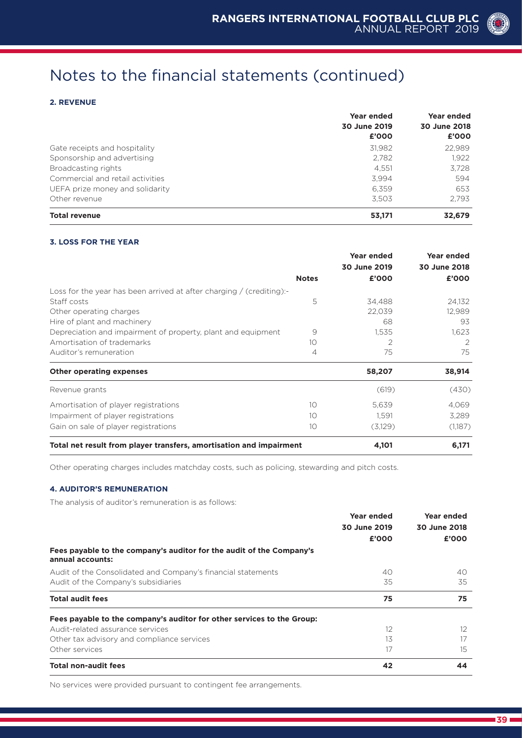#### **2. REVENUE**

|                                  | Year ended   | Year ended<br>30 June 2018 |  |
|----------------------------------|--------------|----------------------------|--|
|                                  | 30 June 2019 |                            |  |
|                                  | £'000        | £'000                      |  |
| Gate receipts and hospitality    | 31.982       | 22.989                     |  |
| Sponsorship and advertising      | 2.782        | 1.922                      |  |
| Broadcasting rights              | 4.551        | 3.728                      |  |
| Commercial and retail activities | 3.994        | 594                        |  |
| UEFA prize money and solidarity  | 6.359        | 653                        |  |
| Other revenue                    | 3.503        | 2.793                      |  |
| <b>Total revenue</b>             | 53,171       | 32,679                     |  |

#### **3. LOSS FOR THE YEAR**

|                                                                      |              | Year ended<br>30 June 2019 | Year ended<br>30 June 2018 |
|----------------------------------------------------------------------|--------------|----------------------------|----------------------------|
|                                                                      | <b>Notes</b> | £'000                      | £'000                      |
| Loss for the year has been arrived at after charging / (crediting):- |              |                            |                            |
| Staff costs                                                          | 5            | 34,488                     | 24,132                     |
| Other operating charges                                              |              | 22,039                     | 12,989                     |
| Hire of plant and machinery                                          |              | 68                         | 93                         |
| Depreciation and impairment of property, plant and equipment         | 9            | 1,535                      | 1,623                      |
| Amortisation of trademarks                                           | 10           | 2                          | 2                          |
| Auditor's remuneration                                               | 4            | 75                         | 75                         |
| <b>Other operating expenses</b>                                      |              | 58,207                     | 38,914                     |
| Revenue grants                                                       |              | (619)                      | (430)                      |
| Amortisation of player registrations                                 | 10           | 5,639                      | 4,069                      |
| Impairment of player registrations                                   | 10           | 1,591                      | 3,289                      |
| Gain on sale of player registrations                                 | 10           | (3,129)                    | (1,187)                    |
| Total net result from player transfers, amortisation and impairment  |              | 4,101                      | 6,171                      |

Other operating charges includes matchday costs, such as policing, stewarding and pitch costs.

#### **4. AUDITOR'S REMUNERATION**

The analysis of auditor's remuneration is as follows:

| Fees payable to the company's auditor for the audit of the Company's   | Year ended<br>30 June 2019<br>£'000 | Year ended<br>30 June 2018<br>£'000 |
|------------------------------------------------------------------------|-------------------------------------|-------------------------------------|
| annual accounts:                                                       |                                     |                                     |
| Audit of the Consolidated and Company's financial statements           | 40                                  | 40                                  |
| Audit of the Company's subsidiaries                                    | 35                                  | 35                                  |
| <b>Total audit fees</b>                                                | 75                                  | 75                                  |
| Fees payable to the company's auditor for other services to the Group: |                                     |                                     |
| Audit-related assurance services                                       | 12                                  | $12 \overline{ }$                   |
| Other tax advisory and compliance services                             | 13                                  | 17                                  |
| Other services                                                         | 17                                  | 15                                  |
| <b>Total non-audit fees</b>                                            | 42                                  | 44                                  |

No services were provided pursuant to contingent fee arrangements.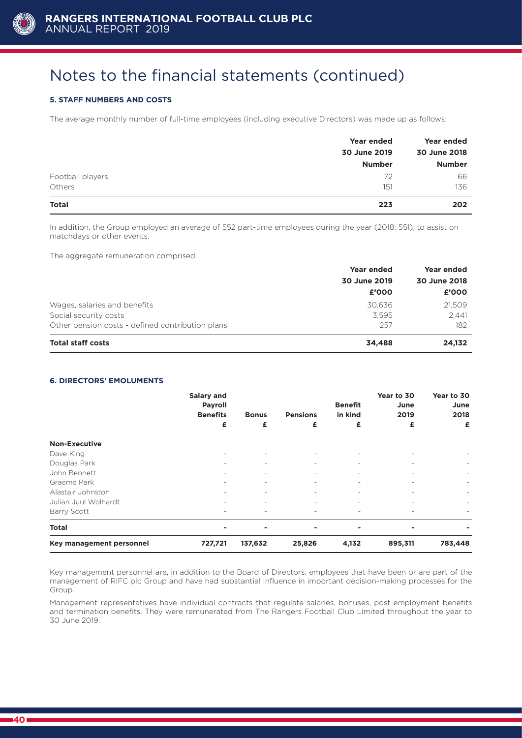

### **5. STAFF NUMBERS AND COSTS**

The average monthly number of full-time employees (including executive Directors) was made up as follows:

|                  | Year ended    | Year ended    |  |
|------------------|---------------|---------------|--|
|                  | 30 June 2019  | 30 June 2018  |  |
|                  | <b>Number</b> | <b>Number</b> |  |
| Football players | 72            | 66            |  |
| Others           | 151           | 136           |  |
| <b>Total</b>     | 223           | 202           |  |

In addition, the Group employed an average of 552 part-time employees during the year (2018: 551), to assist on matchdays or other events.

The aggregate remuneration comprised:

|                                                  | <b>Year ended</b> | <b>Year ended</b><br>30 June 2018 |  |
|--------------------------------------------------|-------------------|-----------------------------------|--|
|                                                  | 30 June 2019      |                                   |  |
|                                                  | £'000             | £'000                             |  |
| Wages, salaries and benefits                     | 30.636            | 21,509                            |  |
| Social security costs                            | 3.595             | 2,441                             |  |
| Other pension costs - defined contribution plans | 257               | 182                               |  |
| <b>Total staff costs</b>                         | 34.488            | 24,132                            |  |

#### **6. DIRECTORS' EMOLUMENTS**

|                          | <b>Salary and</b><br><b>Payroll</b><br><b>Benefits</b><br>£ | <b>Bonus</b><br>£        | <b>Pensions</b><br>£ | <b>Benefit</b><br>in kind<br>£ | Year to 30<br>June<br>2019<br>£ | Year to 30<br>June<br>2018<br>£ |
|--------------------------|-------------------------------------------------------------|--------------------------|----------------------|--------------------------------|---------------------------------|---------------------------------|
| <b>Non-Executive</b>     |                                                             |                          |                      |                                |                                 |                                 |
| Dave King                | $\overline{\phantom{a}}$                                    | $\overline{\phantom{0}}$ |                      |                                | $\overline{\phantom{a}}$        |                                 |
| Douglas Park             |                                                             | $\qquad \qquad -$        |                      |                                |                                 |                                 |
| John Bennett             | $\overline{\phantom{0}}$                                    | $\overline{\phantom{0}}$ | -                    | $\overline{\phantom{0}}$       | $\overline{\phantom{a}}$        |                                 |
| Graeme Park              | $\overline{\phantom{0}}$                                    | $\overline{\phantom{0}}$ | -                    | $\overline{\phantom{0}}$       | ٠                               |                                 |
| Alastair Johnston        | $\overline{\phantom{a}}$                                    | $\overline{\phantom{a}}$ | -                    | $\overline{\phantom{0}}$       | $\overline{\phantom{a}}$        |                                 |
| Julian Juul Wolhardt     | $\overline{\phantom{0}}$                                    | $\overline{\phantom{a}}$ | -                    |                                | ٠                               |                                 |
| Barry Scott              | $\overline{\phantom{0}}$                                    | $\overline{\phantom{0}}$ | -                    | $\overline{\phantom{0}}$       | $\overline{\phantom{m}}$        |                                 |
| <b>Total</b>             | ۰                                                           | $\blacksquare$           | -                    | $\blacksquare$                 | -                               |                                 |
| Key management personnel | 727,721                                                     | 137,632                  | 25,826               | 4,132                          | 895,311                         | 783,448                         |

Key management personnel are, in addition to the Board of Directors, employees that have been or are part of the management of RIFC plc Group and have had substantial influence in important decision-making processes for the Group.

Management representatives have individual contracts that regulate salaries, bonuses, post-employment benefits and termination benefits. They were remunerated from The Rangers Football Club Limited throughout the year to 30 June 2019.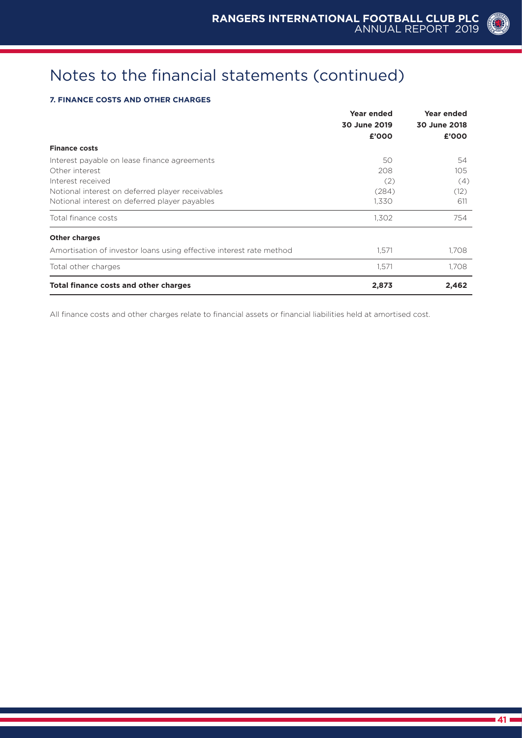### **7. FINANCE COSTS AND OTHER CHARGES**

|                                                                     | <b>Year ended</b> | <b>Year ended</b> |  |
|---------------------------------------------------------------------|-------------------|-------------------|--|
|                                                                     | 30 June 2019      | 30 June 2018      |  |
|                                                                     | £'000             | £'000             |  |
| <b>Finance costs</b>                                                |                   |                   |  |
| Interest payable on lease finance agreements                        | 50                | 54                |  |
| Other interest                                                      | 208               | 105               |  |
| Interest received                                                   | (2)               | (4)               |  |
| Notional interest on deferred player receivables                    | (284)             | (12)              |  |
| Notional interest on deferred player payables                       | 1,330             | 611               |  |
| Total finance costs                                                 | 1,302             | 754               |  |
| <b>Other charges</b>                                                |                   |                   |  |
| Amortisation of investor loans using effective interest rate method | 1,571             | 1,708             |  |
| Total other charges                                                 | 1,571             | 1,708             |  |
| Total finance costs and other charges                               | 2,873             | 2,462             |  |

All finance costs and other charges relate to financial assets or financial liabilities held at amortised cost.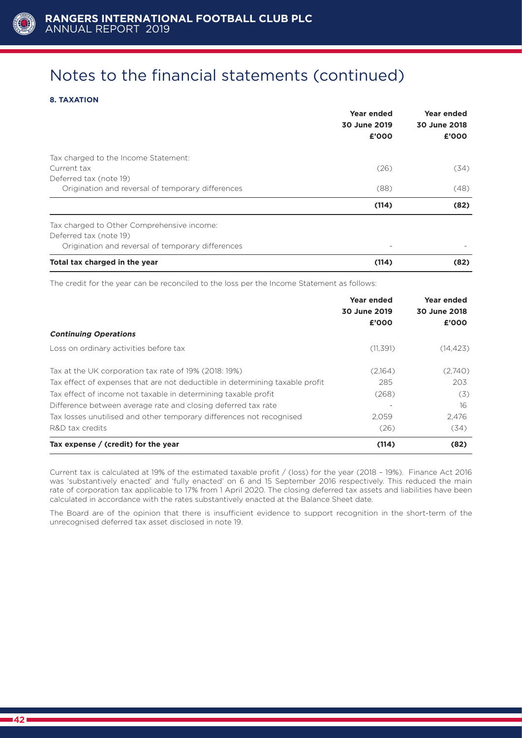

### **8. TAXATION**

|                                                   | Year ended<br>30 June 2019<br>£'000 | Year ended<br>30 June 2018<br>£'000 |
|---------------------------------------------------|-------------------------------------|-------------------------------------|
| Tax charged to the Income Statement:              |                                     |                                     |
| Current tax                                       | (26)                                | (34)                                |
| Deferred tax (note 19)                            |                                     |                                     |
| Origination and reversal of temporary differences | (88)                                | (48)                                |
|                                                   | (114)                               | (82)                                |
| Tax charged to Other Comprehensive income:        |                                     |                                     |
| Deferred tax (note 19)                            |                                     |                                     |
| Origination and reversal of temporary differences | $\overline{\phantom{0}}$            |                                     |
| Total tax charged in the year                     | (114)                               | (82)                                |

The credit for the year can be reconciled to the loss per the Income Statement as follows:

|                                                                              | Year ended<br>30 June 2019<br>£'000 | Year ended<br>30 June 2018<br>£'000 |
|------------------------------------------------------------------------------|-------------------------------------|-------------------------------------|
| <b>Continuing Operations</b>                                                 |                                     |                                     |
| Loss on ordinary activities before tax                                       | (11, 391)                           | (14, 423)                           |
| Tax at the UK corporation tax rate of 19% (2018: 19%)                        | (2,164)                             | (2,740)                             |
| Tax effect of expenses that are not deductible in determining taxable profit | 285                                 | 203                                 |
| Tax effect of income not taxable in determining taxable profit               | (268)                               | (3)                                 |
| Difference between average rate and closing deferred tax rate                |                                     | 16                                  |
| Tax losses unutilised and other temporary differences not recognised         | 2.059                               | 2,476                               |
| R&D tax credits                                                              | (26)                                | (34)                                |
| Tax expense / (credit) for the year                                          | (114)                               | (82)                                |

Current tax is calculated at 19% of the estimated taxable profit / (loss) for the year (2018 – 19%). Finance Act 2016 was 'substantively enacted' and 'fully enacted' on 6 and 15 September 2016 respectively. This reduced the main rate of corporation tax applicable to 17% from 1 April 2020. The closing deferred tax assets and liabilities have been calculated in accordance with the rates substantively enacted at the Balance Sheet date.

The Board are of the opinion that there is insufficient evidence to support recognition in the short-term of the unrecognised deferred tax asset disclosed in note 19.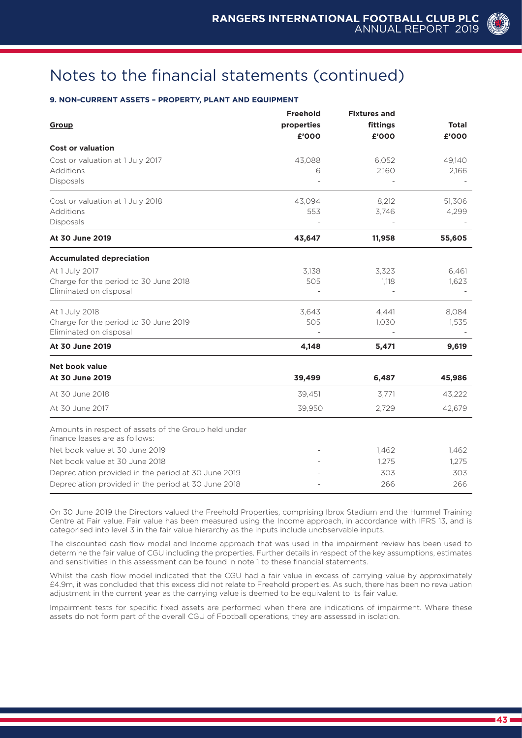### **9. NON-CURRENT ASSETS – PROPERTY, PLANT AND EQUIPMENT**

|                                                                                        | <b>Freehold</b> | <b>Fixtures and</b> |              |
|----------------------------------------------------------------------------------------|-----------------|---------------------|--------------|
| Group                                                                                  | properties      | fittings            | <b>Total</b> |
|                                                                                        | £'000           | £'000               | £'000        |
| <b>Cost or valuation</b>                                                               |                 |                     |              |
| Cost or valuation at 1 July 2017                                                       | 43,088          | 6,052               | 49,140       |
| Additions                                                                              | 6               | 2,160               | 2,166        |
| <b>Disposals</b>                                                                       |                 |                     |              |
| Cost or valuation at 1 July 2018                                                       | 43,094          | 8,212               | 51,306       |
| Additions                                                                              | 553             | 3,746               | 4,299        |
| <b>Disposals</b>                                                                       |                 |                     |              |
| At 30 June 2019                                                                        | 43,647          | 11,958              | 55,605       |
| <b>Accumulated depreciation</b>                                                        |                 |                     |              |
| At 1 July 2017                                                                         | 3,138           | 3,323               | 6,461        |
| Charge for the period to 30 June 2018                                                  | 505             | 1,118               | 1,623        |
| Eliminated on disposal                                                                 |                 |                     |              |
| At 1 July 2018                                                                         | 3,643           | 4,441               | 8,084        |
| Charge for the period to 30 June 2019                                                  | 505             | 1,030               | 1,535        |
| Eliminated on disposal                                                                 |                 |                     |              |
| At 30 June 2019                                                                        | 4,148           | 5,471               | 9,619        |
| <b>Net book value</b>                                                                  |                 |                     |              |
| At 30 June 2019                                                                        | 39,499          | 6,487               | 45,986       |
| At 30 June 2018                                                                        | 39,451          | 3,771               | 43,222       |
| At 30 June 2017                                                                        | 39,950          | 2,729               | 42,679       |
| Amounts in respect of assets of the Group held under<br>finance leases are as follows: |                 |                     |              |
| Net book value at 30 June 2019                                                         |                 | 1,462               | 1,462        |
| Net book value at 30 June 2018                                                         |                 | 1,275               | 1,275        |
| Depreciation provided in the period at 30 June 2019                                    |                 | 303                 | 303          |
| Depreciation provided in the period at 30 June 2018                                    |                 | 266                 | 266          |

On 30 June 2019 the Directors valued the Freehold Properties, comprising Ibrox Stadium and the Hummel Training Centre at Fair value. Fair value has been measured using the Income approach, in accordance with IFRS 13, and is categorised into level 3 in the fair value hierarchy as the inputs include unobservable inputs.

The discounted cash flow model and Income approach that was used in the impairment review has been used to determine the fair value of CGU including the properties. Further details in respect of the key assumptions, estimates and sensitivities in this assessment can be found in note 1 to these financial statements.

Whilst the cash flow model indicated that the CGU had a fair value in excess of carrying value by approximately £4.9m, it was concluded that this excess did not relate to Freehold properties. As such, there has been no revaluation adjustment in the current year as the carrying value is deemed to be equivalent to its fair value.

Impairment tests for specific fixed assets are performed when there are indications of impairment. Where these assets do not form part of the overall CGU of Football operations, they are assessed in isolation.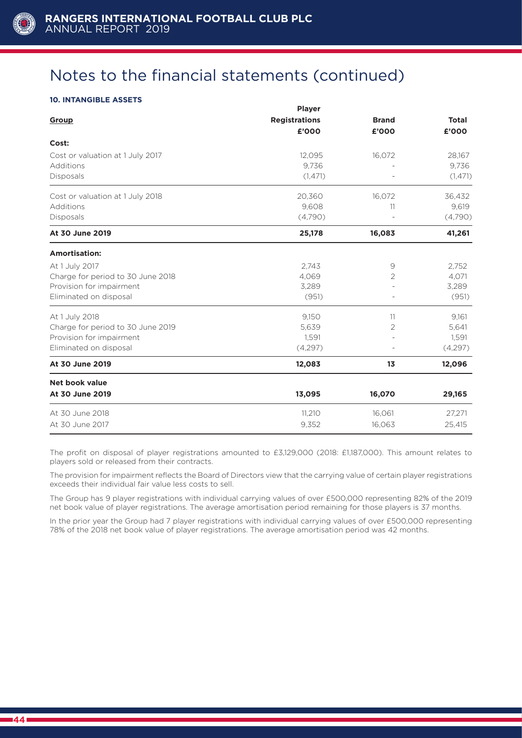

### **10. INTANGIBLE ASSETS**

|                                   | <b>Player</b>        |                |              |  |
|-----------------------------------|----------------------|----------------|--------------|--|
| Group                             | <b>Registrations</b> | <b>Brand</b>   | <b>Total</b> |  |
|                                   | £'000                | £'000          | £'000        |  |
| Cost:                             |                      |                |              |  |
| Cost or valuation at 1 July 2017  | 12,095               | 16,072         | 28,167       |  |
| Additions                         | 9,736                |                | 9,736        |  |
| Disposals                         | (1,471)              |                | (1, 471)     |  |
| Cost or valuation at 1 July 2018  | 20,360               | 16.072         | 36,432       |  |
| Additions                         | 9,608                | 11             | 9,619        |  |
| Disposals                         | (4,790)              |                | (4,790)      |  |
| At 30 June 2019                   | 25,178               | 16,083         | 41,261       |  |
| <b>Amortisation:</b>              |                      |                |              |  |
| At 1 July 2017                    | 2,743                | 9              | 2,752        |  |
| Charge for period to 30 June 2018 | 4,069                | $\overline{2}$ | 4,071        |  |
| Provision for impairment          | 3,289                |                | 3,289        |  |
| Eliminated on disposal            | (951)                |                | (951)        |  |
| At 1 July 2018                    | 9,150                | 11             | 9.161        |  |
| Charge for period to 30 June 2019 | 5,639                | 2              | 5,641        |  |
| Provision for impairment          | 1,591                |                | 1,591        |  |
| Eliminated on disposal            | (4,297)              |                | (4,297)      |  |
| At 30 June 2019                   | 12,083               | 13             | 12,096       |  |
| Net book value                    |                      |                |              |  |
| At 30 June 2019                   | 13,095               | 16,070         | 29,165       |  |
| At 30 June 2018                   | 11,210               | 16,061         | 27,271       |  |
| At 30 June 2017                   | 9,352                | 16,063         | 25,415       |  |

The profit on disposal of player registrations amounted to £3,129,000 (2018: £1,187,000). This amount relates to players sold or released from their contracts.

The provision for impairment reflects the Board of Directors view that the carrying value of certain player registrations exceeds their individual fair value less costs to sell.

The Group has 9 player registrations with individual carrying values of over £500,000 representing 82% of the 2019 net book value of player registrations. The average amortisation period remaining for those players is 37 months.

In the prior year the Group had 7 player registrations with individual carrying values of over £500,000 representing 78% of the 2018 net book value of player registrations. The average amortisation period was 42 months.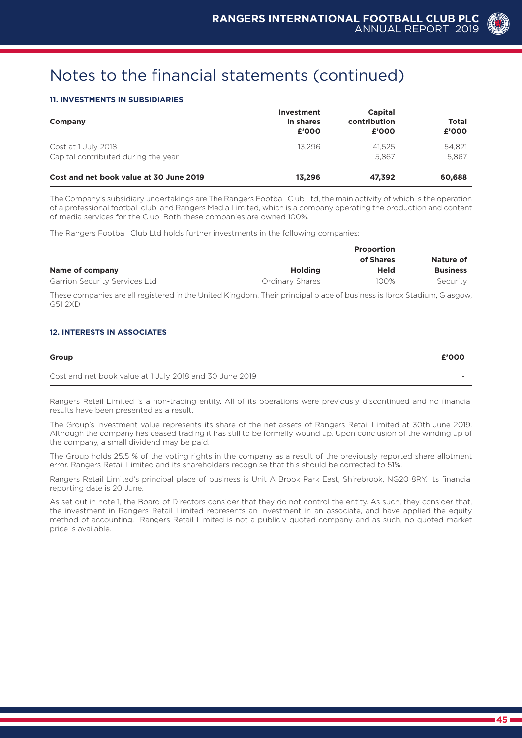#### **11. INVESTMENTS IN SUBSIDIARIES**

| Company                                 | <b>Investment</b><br>in shares<br>£'000 | <b>Capital</b><br>contribution<br>£'000 | <b>Total</b><br>£'000 |
|-----------------------------------------|-----------------------------------------|-----------------------------------------|-----------------------|
| Cost at 1 July 2018                     | 13.296                                  | 41.525                                  | 54.821                |
| Capital contributed during the year     |                                         | 5.867                                   | 5.867                 |
| Cost and net book value at 30 June 2019 | 13.296                                  | 47.392                                  | 60,688                |

The Company's subsidiary undertakings are The Rangers Football Club Ltd, the main activity of which is the operation of a professional football club, and Rangers Media Limited, which is a company operating the production and content of media services for the Club. Both these companies are owned 100%.

The Rangers Football Club Ltd holds further investments in the following companies:

|                               | <b>Proportion</b> |           |                 |  |  |
|-------------------------------|-------------------|-----------|-----------------|--|--|
|                               |                   | of Shares | Nature of       |  |  |
| Name of company               | <b>Holding</b>    | Held      | <b>Business</b> |  |  |
| Garrion Security Services Ltd | Ordinary Shares   | 100%      | Security        |  |  |

These companies are all registered in the United Kingdom. Their principal place of business is Ibrox Stadium, Glasgow, G51 2XD.

#### **12. INTERESTS IN ASSOCIATES**

| Group                                                   | £'000 |
|---------------------------------------------------------|-------|
| Cost and net book value at 1 July 2018 and 30 June 2019 | -     |

Rangers Retail Limited is a non-trading entity. All of its operations were previously discontinued and no financial results have been presented as a result.

The Group's investment value represents its share of the net assets of Rangers Retail Limited at 30th June 2019. Although the company has ceased trading it has still to be formally wound up. Upon conclusion of the winding up of the company, a small dividend may be paid.

The Group holds 25.5 % of the voting rights in the company as a result of the previously reported share allotment error. Rangers Retail Limited and its shareholders recognise that this should be corrected to 51%.

Rangers Retail Limited's principal place of business is Unit A Brook Park East, Shirebrook, NG20 8RY. Its financial reporting date is 20 June.

As set out in note 1, the Board of Directors consider that they do not control the entity. As such, they consider that, the investment in Rangers Retail Limited represents an investment in an associate, and have applied the equity method of accounting. Rangers Retail Limited is not a publicly quoted company and as such, no quoted market price is available.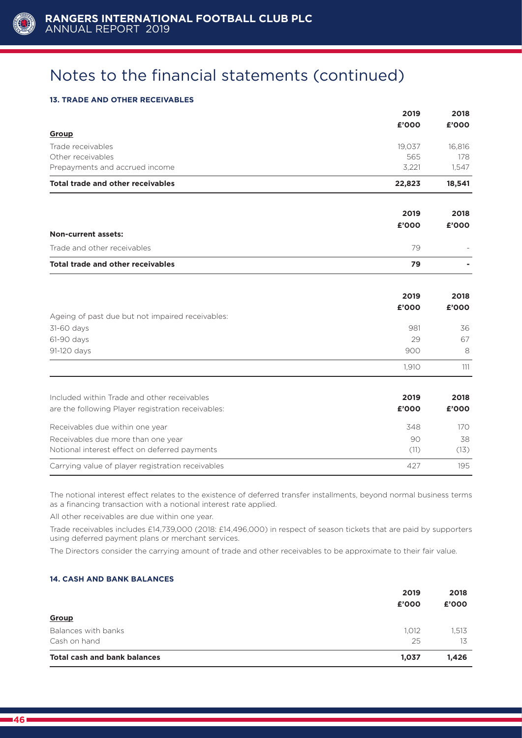

#### **13. TRADE AND OTHER RECEIVABLES**

|                                                    | 2019   | 2018   |
|----------------------------------------------------|--------|--------|
|                                                    | £'000  | £'000  |
| Group                                              |        |        |
| Trade receivables                                  | 19,037 | 16,816 |
| Other receivables                                  | 565    | 178    |
| Prepayments and accrued income                     | 3,221  | 1,547  |
| <b>Total trade and other receivables</b>           | 22,823 | 18,541 |
|                                                    | 2019   | 2018   |
|                                                    | £'000  | £'000  |
| <b>Non-current assets:</b>                         |        |        |
| Trade and other receivables                        | 79     |        |
| <b>Total trade and other receivables</b>           | 79     |        |
|                                                    | 2019   | 2018   |
|                                                    | £'000  | £'000  |
| Ageing of past due but not impaired receivables:   |        |        |
| 31-60 days                                         | 981    | 36     |
| 61-90 days                                         | 29     | 67     |
| 91-120 days                                        | 900    | 8      |
|                                                    | 1,910  | 111    |
| Included within Trade and other receivables        | 2019   | 2018   |
| are the following Player registration receivables: | £'000  | £'000  |
| Receivables due within one year                    | 348    | 170    |
| Receivables due more than one year                 | 90     | 38     |
| Notional interest effect on deferred payments      | (11)   | (13)   |
| Carrying value of player registration receivables  | 427    | 195    |

The notional interest effect relates to the existence of deferred transfer installments, beyond normal business terms as a financing transaction with a notional interest rate applied.

All other receivables are due within one year.

Trade receivables includes £14,739,000 (2018: £14,496,000) in respect of season tickets that are paid by supporters using deferred payment plans or merchant services.

The Directors consider the carrying amount of trade and other receivables to be approximate to their fair value.

#### **14. CASH AND BANK BALANCES**

|                                     | 2019<br>£'000 | 2018<br>£'000 |
|-------------------------------------|---------------|---------------|
| Group                               |               |               |
| Balances with banks                 | 1.012         | 1,513         |
| Cash on hand                        | 25            | 13            |
| <b>Total cash and bank balances</b> | 1,037         | 1,426         |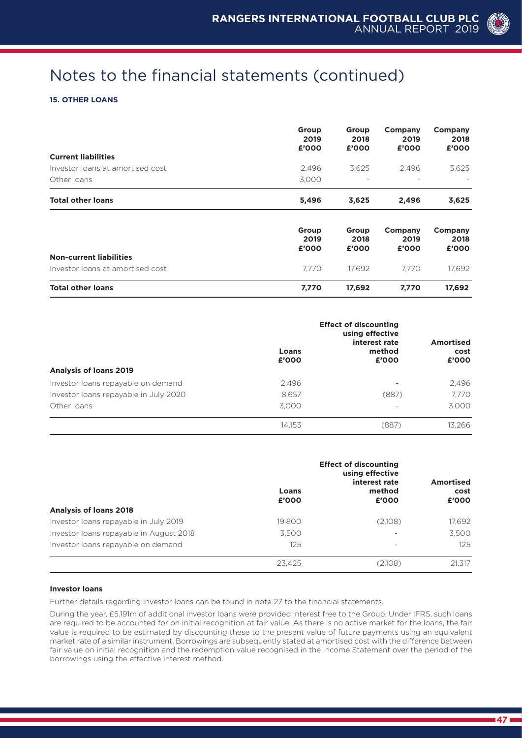#### **15. OTHER LOANS**

|                                  | Group<br>2019<br>£'000 | Group<br>2018<br>£'000   | Company<br>2019<br>£'000 | Company<br>2018<br>£'000 |
|----------------------------------|------------------------|--------------------------|--------------------------|--------------------------|
| <b>Current liabilities</b>       |                        |                          |                          |                          |
| Investor loans at amortised cost | 2,496                  | 3,625                    | 2,496                    | 3,625                    |
| Other loans                      | 3,000                  | $\overline{\phantom{a}}$ | $\overline{\phantom{a}}$ |                          |
| <b>Total other loans</b>         | 5,496                  | 3,625                    | 2,496                    | 3,625                    |
|                                  | Group                  | Group                    | Company                  | Company                  |
|                                  | 2019<br>£'000          | 2018<br>£'000            | 2019<br>£'000            | 2018<br>£'000            |
| <b>Non-current liabilities</b>   |                        |                          |                          |                          |
| Investor loans at amortised cost | 7.770                  | 17,692                   | 7.770                    | 17,692                   |

|                                       | Loans<br>£'000 | <b>Effect of discounting</b><br>using effective<br>interest rate<br>method<br>£'000 | Amortised<br>cost<br>£'000 |
|---------------------------------------|----------------|-------------------------------------------------------------------------------------|----------------------------|
| <b>Analysis of loans 2019</b>         |                |                                                                                     |                            |
| Investor loans repayable on demand    | 2.496          | $\overline{\phantom{0}}$                                                            | 2.496                      |
| Investor loans repayable in July 2020 | 8.657          | (887)                                                                               | 7,770                      |
| Other loans                           | 3.000          | -                                                                                   | 3.000                      |
|                                       | 14,153         | (887)                                                                               | 13,266                     |

|                                         | Loans<br>£'000 | <b>Effect of discounting</b><br>using effective<br>interest rate<br>method<br>£'000 | <b>Amortised</b><br>cost<br>£'000 |
|-----------------------------------------|----------------|-------------------------------------------------------------------------------------|-----------------------------------|
| <b>Analysis of loans 2018</b>           |                |                                                                                     |                                   |
| Investor Ioans repayable in July 2019   | 19,800         | (2,108)                                                                             | 17,692                            |
| Investor loans repayable in August 2018 | 3.500          |                                                                                     | 3,500                             |
| Investor loans repayable on demand      | 125            | ۰                                                                                   | 125                               |
|                                         | 23,425         | (2,108)                                                                             | 21.317                            |

#### **Investor loans**

Further details regarding investor loans can be found in note 27 to the financial statements.

During the year, £5.191m of additional investor loans were provided interest free to the Group. Under IFRS, such loans are required to be accounted for on initial recognition at fair value. As there is no active market for the loans, the fair value is required to be estimated by discounting these to the present value of future payments using an equivalent market rate of a similar instrument. Borrowings are subsequently stated at amortised cost with the difference between fair value on initial recognition and the redemption value recognised in the Income Statement over the period of the borrowings using the effective interest method.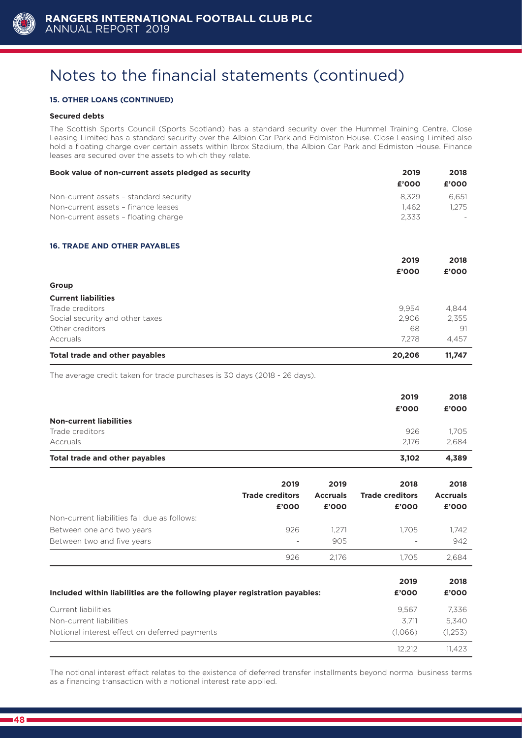

#### **15. OTHER LOANS (CONTINUED)**

#### **Secured debts**

The Scottish Sports Council (Sports Scotland) has a standard security over the Hummel Training Centre. Close Leasing Limited has a standard security over the Albion Car Park and Edmiston House. Close Leasing Limited also hold a floating charge over certain assets within Ibrox Stadium, the Albion Car Park and Edmiston House. Finance leases are secured over the assets to which they relate.

| Book value of non-current assets pledged as security | 2019   | 2018   |
|------------------------------------------------------|--------|--------|
|                                                      | £'000  | £'000  |
| Non-current assets - standard security               | 8,329  | 6,651  |
| Non-current assets - finance leases                  | 1,462  | 1,275  |
| Non-current assets - floating charge                 | 2,333  |        |
| <b>16. TRADE AND OTHER PAYABLES</b>                  |        |        |
|                                                      | 2019   | 2018   |
|                                                      | £'000  | £'000  |
| Group                                                |        |        |
| <b>Current liabilities</b>                           |        |        |
| Trade creditors                                      | 9.954  | 4,844  |
| Social security and other taxes                      | 2,906  | 2,355  |
| Other creditors                                      | 68     | 91     |
| Accruals                                             | 7,278  | 4,457  |
| Total trade and other payables                       | 20,206 | 11,747 |

The average credit taken for trade purchases is 30 days (2018 - 26 days).

|                                | 2019<br>£'000 | 2018<br>£'000 |
|--------------------------------|---------------|---------------|
| <b>Non-current liabilities</b> |               |               |
| Trade creditors                | 926           | 1.705         |
| Accruals                       | 2.176         | 2.684         |
| Total trade and other payables | 3,102         | 4.389         |

|                                              | 2019<br><b>Trade creditors</b><br>£'000 | 2019<br><b>Accruals</b><br>£'000 | 2018<br><b>Trade creditors</b><br>£'000 | 2018<br><b>Accruals</b><br>£'000 |
|----------------------------------------------|-----------------------------------------|----------------------------------|-----------------------------------------|----------------------------------|
| Non-current liabilities fall due as follows: |                                         |                                  |                                         |                                  |
| Between one and two years                    | 926                                     | 1.271                            | 1.705                                   | 1.742                            |
| Between two and five years                   | -                                       | 905                              | $\overline{\phantom{a}}$                | 942                              |
|                                              | 926                                     | 2.176                            | 1.705                                   | 2.684                            |

| Included within liabilities are the following player registration payables: | 2019<br>£'000 | 2018<br>£'000 |
|-----------------------------------------------------------------------------|---------------|---------------|
| Current liabilities                                                         | 9.567         | 7,336         |
| Non-current liabilities                                                     | 3.711         | 5,340         |
| Notional interest effect on deferred payments                               | (1.066)       | (1,253)       |
|                                                                             | 12.212        | 11.423        |

The notional interest effect relates to the existence of deferred transfer installments beyond normal business terms as a financing transaction with a notional interest rate applied.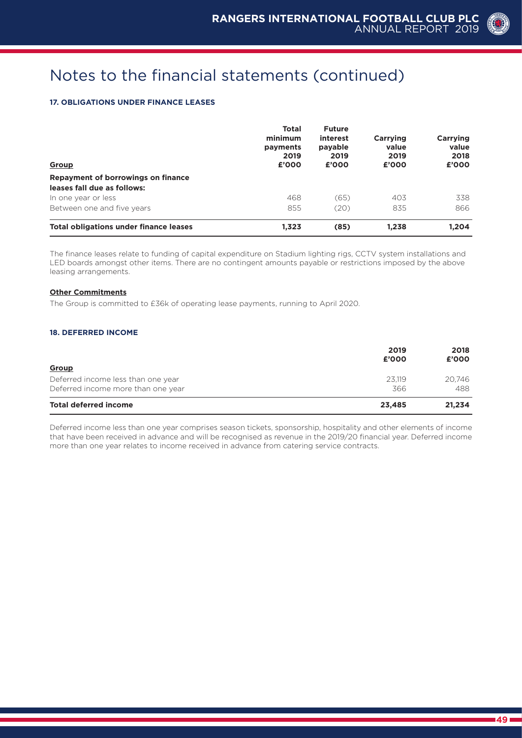#### **17. OBLIGATIONS UNDER FINANCE LEASES**

| Group                                         | <b>Total</b><br>minimum<br>payments<br>2019<br>£'000 | <b>Future</b><br>interest<br>payable<br>2019<br>£'000 | Carrying<br>value<br>2019<br>£'000 | Carrying<br>value<br>2018<br>£'000 |
|-----------------------------------------------|------------------------------------------------------|-------------------------------------------------------|------------------------------------|------------------------------------|
| Repayment of borrowings on finance            | 468                                                  | (65)                                                  | 403                                | 338                                |
| leases fall due as follows:                   |                                                      |                                                       |                                    |                                    |
| In one year or less                           |                                                      |                                                       |                                    |                                    |
| Between one and five years                    | 855                                                  | (20)                                                  | 835                                | 866                                |
| <b>Total obligations under finance leases</b> | 1,323                                                | (85)                                                  | 1.238                              | 1.204                              |

The finance leases relate to funding of capital expenditure on Stadium lighting rigs, CCTV system installations and LED boards amongst other items. There are no contingent amounts payable or restrictions imposed by the above leasing arrangements.

#### **Other Commitments**

The Group is committed to £36k of operating lease payments, running to April 2020.

#### **18. DEFERRED INCOME**

| Group                              | 2019<br>£'000 | 2018<br>£'000 |
|------------------------------------|---------------|---------------|
| Deferred income less than one year | 23.119        | 20.746        |
| Deferred income more than one year | 366           | 488           |
| <b>Total deferred income</b>       | 23,485        | 21,234        |

Deferred income less than one year comprises season tickets, sponsorship, hospitality and other elements of income that have been received in advance and will be recognised as revenue in the 2019/20 financial year. Deferred income more than one year relates to income received in advance from catering service contracts.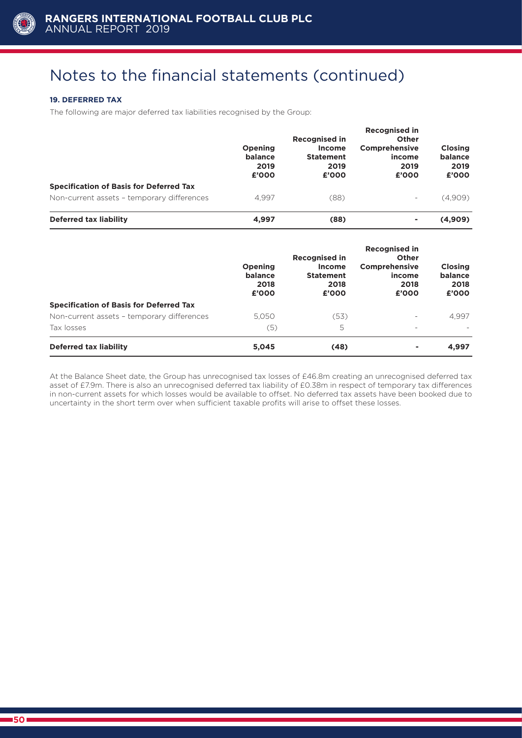

#### **19. DEFERRED TAX**

The following are major deferred tax liabilities recognised by the Group:

|                                                | Opening<br>balance<br>2019<br>£'000 | <b>Recognised in</b><br><b>Income</b><br><b>Statement</b><br>2019<br>£'000 | <b>Recognised in</b><br>Other<br>Comprehensive<br>income<br>2019<br>£'000 | <b>Closing</b><br>balance<br>2019<br>£'000 |
|------------------------------------------------|-------------------------------------|----------------------------------------------------------------------------|---------------------------------------------------------------------------|--------------------------------------------|
| <b>Specification of Basis for Deferred Tax</b> |                                     |                                                                            |                                                                           |                                            |
| Non-current assets - temporary differences     | 4.997                               | (88)                                                                       |                                                                           | (4,909)                                    |
| Deferred tax liability                         | 4,997                               | (88)                                                                       | ۰                                                                         | (4,909)                                    |

|                                                | Opening<br>balance<br>2018<br>£'000 | <b>Recognised in</b><br>Income<br><b>Statement</b><br>2018<br>£'000 | <b>Recognised in</b><br>Other<br>Comprehensive<br>income<br>2018<br>£'000 | <b>Closing</b><br>balance<br>2018<br>£'000 |
|------------------------------------------------|-------------------------------------|---------------------------------------------------------------------|---------------------------------------------------------------------------|--------------------------------------------|
| <b>Specification of Basis for Deferred Tax</b> |                                     |                                                                     |                                                                           |                                            |
| Non-current assets - temporary differences     | 5.050                               | (53)                                                                |                                                                           | 4,997                                      |
| Tax losses                                     | (5)                                 | 5                                                                   |                                                                           |                                            |
| Deferred tax liability                         | 5,045                               | (48)                                                                | ۰                                                                         | 4,997                                      |

At the Balance Sheet date, the Group has unrecognised tax losses of £46.8m creating an unrecognised deferred tax asset of £7.9m. There is also an unrecognised deferred tax liability of £0.38m in respect of temporary tax differences in non-current assets for which losses would be available to offset. No deferred tax assets have been booked due to uncertainty in the short term over when sufficient taxable profits will arise to offset these losses.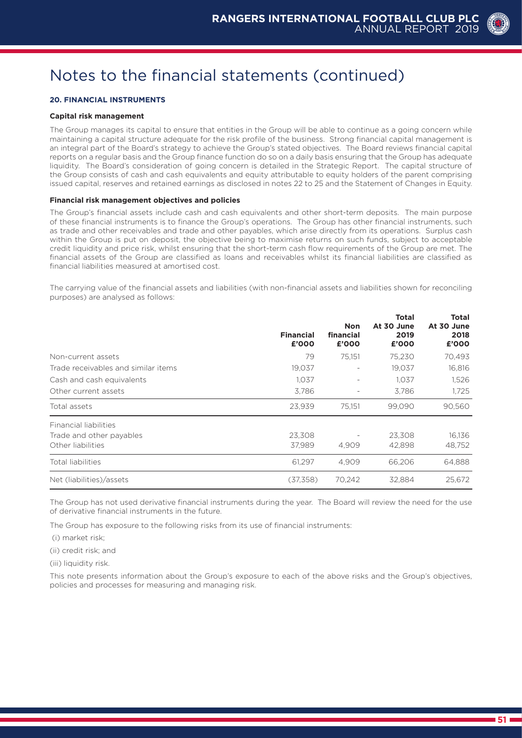

#### **20. FINANCIAL INSTRUMENTS**

#### **Capital risk management**

The Group manages its capital to ensure that entities in the Group will be able to continue as a going concern while maintaining a capital structure adequate for the risk profile of the business. Strong financial capital management is an integral part of the Board's strategy to achieve the Group's stated objectives. The Board reviews financial capital reports on a regular basis and the Group finance function do so on a daily basis ensuring that the Group has adequate liquidity. The Board's consideration of going concern is detailed in the Strategic Report. The capital structure of the Group consists of cash and cash equivalents and equity attributable to equity holders of the parent comprising issued capital, reserves and retained earnings as disclosed in notes 22 to 25 and the Statement of Changes in Equity.

#### **Financial risk management objectives and policies**

The Group's financial assets include cash and cash equivalents and other short-term deposits. The main purpose of these financial instruments is to finance the Group's operations. The Group has other financial instruments, such as trade and other receivables and trade and other payables, which arise directly from its operations. Surplus cash within the Group is put on deposit, the objective being to maximise returns on such funds, subject to acceptable credit liquidity and price risk, whilst ensuring that the short-term cash flow requirements of the Group are met. The financial assets of the Group are classified as loans and receivables whilst its financial liabilities are classified as financial liabilities measured at amortised cost.

The carrying value of the financial assets and liabilities (with non-financial assets and liabilities shown for reconciling purposes) are analysed as follows:

|                                     | <b>Financial</b><br>£'000 | <b>Non</b><br>financial<br>£'000 | <b>Total</b><br>At 30 June<br>2019<br>£'000 | <b>Total</b><br>At 30 June<br>2018<br>£'000 |
|-------------------------------------|---------------------------|----------------------------------|---------------------------------------------|---------------------------------------------|
| Non-current assets                  | 79                        | 75,151                           | 75,230                                      | 70,493                                      |
| Trade receivables and similar items | 19,037                    |                                  | 19,037                                      | 16,816                                      |
| Cash and cash equivalents           | 1,037                     |                                  | 1,037                                       | 1,526                                       |
| Other current assets                | 3,786                     |                                  | 3,786                                       | 1,725                                       |
| Total assets                        | 23,939                    | 75,151                           | 99,090                                      | 90,560                                      |
| <b>Financial liabilities</b>        |                           |                                  |                                             |                                             |
| Trade and other payables            | 23,308                    |                                  | 23,308                                      | 16,136                                      |
| Other liabilities                   | 37.989                    | 4.909                            | 42,898                                      | 48,752                                      |
| Total liabilities                   | 61.297                    | 4.909                            | 66.206                                      | 64,888                                      |
| Net (liabilities)/assets            | (37,358)                  | 70.242                           | 32,884                                      | 25,672                                      |

The Group has not used derivative financial instruments during the year. The Board will review the need for the use of derivative financial instruments in the future.

The Group has exposure to the following risks from its use of financial instruments:

(i) market risk;

(ii) credit risk; and

(iii) liquidity risk.

This note presents information about the Group's exposure to each of the above risks and the Group's objectives, policies and processes for measuring and managing risk.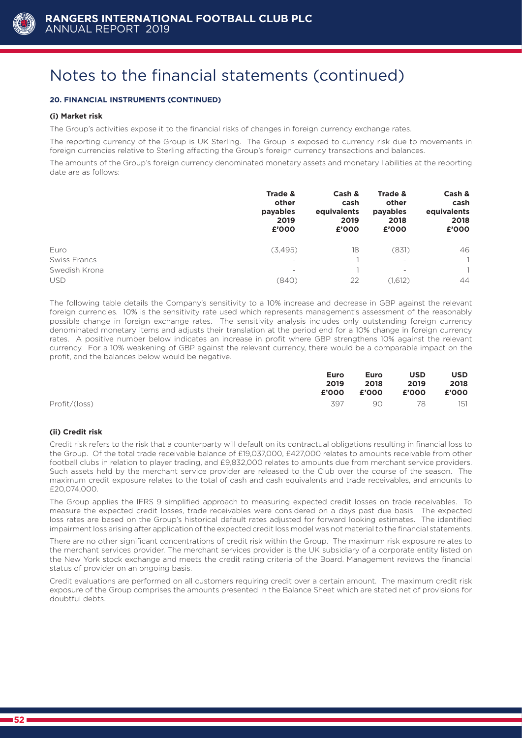

#### **20. FINANCIAL INSTRUMENTS (CONTINUED)**

#### **(i) Market risk**

The Group's activities expose it to the financial risks of changes in foreign currency exchange rates.

The reporting currency of the Group is UK Sterling. The Group is exposed to currency risk due to movements in foreign currencies relative to Sterling affecting the Group's foreign currency transactions and balances.

The amounts of the Group's foreign currency denominated monetary assets and monetary liabilities at the reporting date are as follows:

|                     | Trade &<br>other<br>payables<br>2019<br>£'000 | Cash &<br>cash<br>equivalents<br>2019<br>£'000 | Trade &<br>other<br>payables<br>2018<br>£'000 | Cash &<br>cash<br>equivalents<br>2018<br>£'000 |
|---------------------|-----------------------------------------------|------------------------------------------------|-----------------------------------------------|------------------------------------------------|
| Euro                | (3,495)                                       | 18                                             | (831)                                         | 46                                             |
| <b>Swiss Francs</b> | $\qquad \qquad =$                             |                                                | $\overline{\phantom{0}}$                      | 1.                                             |
| Swedish Krona       | $\qquad \qquad =$                             |                                                | $\overline{\phantom{a}}$                      | $\mathbf 1$                                    |
| <b>USD</b>          | (840)                                         | 22                                             | (1,612)                                       | 44                                             |

The following table details the Company's sensitivity to a 10% increase and decrease in GBP against the relevant foreign currencies. 10% is the sensitivity rate used which represents management's assessment of the reasonably possible change in foreign exchange rates. The sensitivity analysis includes only outstanding foreign currency denominated monetary items and adjusts their translation at the period end for a 10% change in foreign currency rates. A positive number below indicates an increase in profit where GBP strengthens 10% against the relevant currency. For a 10% weakening of GBP against the relevant currency, there would be a comparable impact on the profit, and the balances below would be negative.

|               | Euro  | Euro | <b>USD</b>        | <b>USD</b> |
|---------------|-------|------|-------------------|------------|
|               | 2019  | 2018 | 2019              | 2018       |
|               | £'000 |      | £'000 £'000 £'000 |            |
| Profit/(loss) | 397   |      | 90 78             | 151        |

#### **(ii) Credit risk**

Credit risk refers to the risk that a counterparty will default on its contractual obligations resulting in financial loss to the Group. Of the total trade receivable balance of £19,037,000, £427,000 relates to amounts receivable from other football clubs in relation to player trading, and £9,832,000 relates to amounts due from merchant service providers. Such assets held by the merchant service provider are released to the Club over the course of the season. The maximum credit exposure relates to the total of cash and cash equivalents and trade receivables, and amounts to £20,074,000.

The Group applies the IFRS 9 simplified approach to measuring expected credit losses on trade receivables. To measure the expected credit losses, trade receivables were considered on a days past due basis. The expected loss rates are based on the Group's historical default rates adjusted for forward looking estimates. The identified impairment loss arising after application of the expected credit loss model was not material to the financial statements.

There are no other significant concentrations of credit risk within the Group. The maximum risk exposure relates to the merchant services provider. The merchant services provider is the UK subsidiary of a corporate entity listed on the New York stock exchange and meets the credit rating criteria of the Board. Management reviews the financial status of provider on an ongoing basis.

Credit evaluations are performed on all customers requiring credit over a certain amount. The maximum credit risk exposure of the Group comprises the amounts presented in the Balance Sheet which are stated net of provisions for doubtful debts.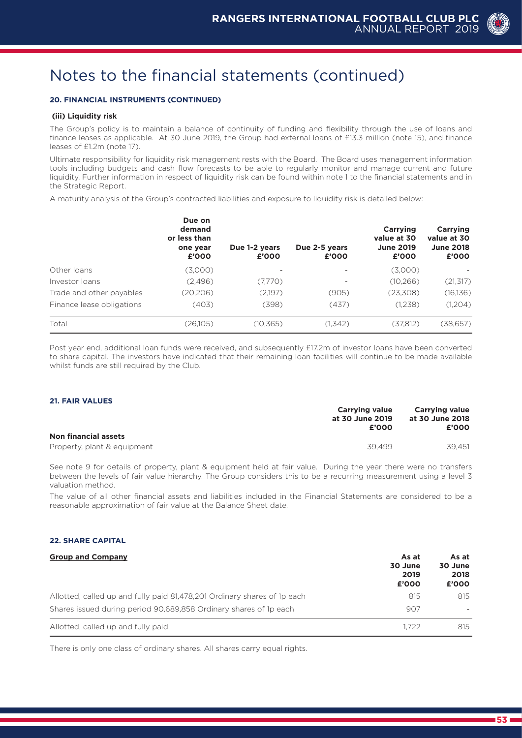#### **20. FINANCIAL INSTRUMENTS (CONTINUED)**

#### **(iii) Liquidity risk**

The Group's policy is to maintain a balance of continuity of funding and flexibility through the use of loans and finance leases as applicable. At 30 June 2019, the Group had external loans of £13.3 million (note 15), and finance leases of £1.2m (note 17).

Ultimate responsibility for liquidity risk management rests with the Board. The Board uses management information tools including budgets and cash flow forecasts to be able to regularly monitor and manage current and future liquidity. Further information in respect of liquidity risk can be found within note 1 to the financial statements and in the Strategic Report.

A maturity analysis of the Group's contracted liabilities and exposure to liquidity risk is detailed below:

|                           | Due on<br>demand<br>or less than<br>one year<br>£'000 | Due 1-2 years<br>£'000 | Due 2-5 years<br>£'000   | Carrying<br>value at 30<br><b>June 2019</b><br>£'000 | Carrying<br>value at 30<br><b>June 2018</b><br>£'000 |
|---------------------------|-------------------------------------------------------|------------------------|--------------------------|------------------------------------------------------|------------------------------------------------------|
| Other loans               | (3,000)                                               |                        | $\overline{\phantom{a}}$ | (3,000)                                              |                                                      |
| Investor loans            | (2,496)                                               | (7,770)                | $\qquad \qquad =$        | (10, 266)                                            | (21, 317)                                            |
| Trade and other payables  | (20, 206)                                             | (2,197)                | (905)                    | (23,308)                                             | (16, 136)                                            |
| Finance lease obligations | (403)                                                 | (398)                  | (437)                    | (1,238)                                              | (1,204)                                              |
| Total                     | (26,105)                                              | (10, 365)              | (1,342)                  | (37,812)                                             | (38, 657)                                            |

Post year end, additional loan funds were received, and subsequently £17.2m of investor loans have been converted to share capital. The investors have indicated that their remaining loan facilities will continue to be made available whilst funds are still required by the Club.

#### **21. FAIR VALUES**

|                             | <b>Carrying value</b> | <b>Carrying value</b><br>at 30 June 2018 |  |
|-----------------------------|-----------------------|------------------------------------------|--|
|                             | at 30 June 2019       |                                          |  |
|                             | £'000                 | £'000                                    |  |
| <b>Non financial assets</b> |                       |                                          |  |
| Property, plant & equipment | 39499                 | 39.451                                   |  |

See note 9 for details of property, plant & equipment held at fair value. During the year there were no transfers between the levels of fair value hierarchy. The Group considers this to be a recurring measurement using a level 3 valuation method.

The value of all other financial assets and liabilities included in the Financial Statements are considered to be a reasonable approximation of fair value at the Balance Sheet date.

#### **22. SHARE CAPITAL**

| <b>Group and Company</b>                                                 | As at<br>30 June<br>2019<br>£'000 | As at<br>30 June<br>2018<br>£'000 |  |
|--------------------------------------------------------------------------|-----------------------------------|-----------------------------------|--|
| Allotted, called up and fully paid 81,478,201 Ordinary shares of 1p each | 815                               | 815                               |  |
| Shares issued during period 90,689,858 Ordinary shares of 1p each        | 907                               |                                   |  |
| Allotted, called up and fully paid                                       | 1.722                             | 815                               |  |

There is only one class of ordinary shares. All shares carry equal rights.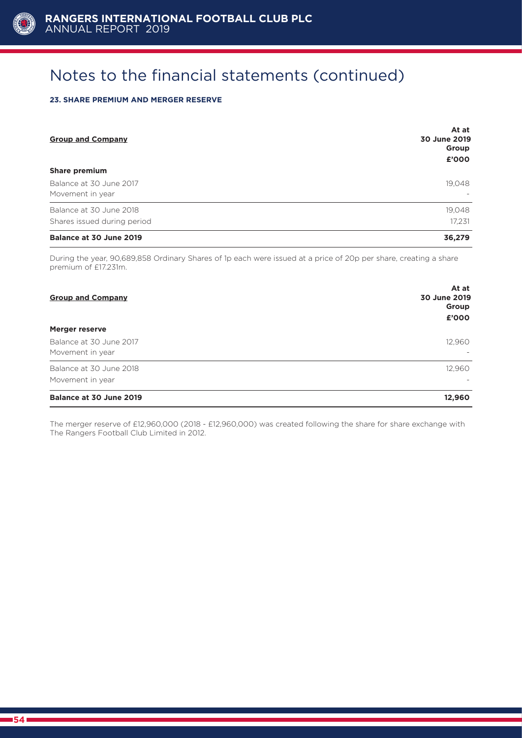

#### **23. SHARE PREMIUM AND MERGER RESERVE**

| <b>Group and Company</b>                    | At at<br>30 June 2019<br>Group<br>£'000 |
|---------------------------------------------|-----------------------------------------|
| <b>Share premium</b>                        |                                         |
| Balance at 30 June 2017<br>Movement in year | 19,048                                  |
| Balance at 30 June 2018                     | 19,048                                  |
| Shares issued during period                 | 17,231                                  |
| Balance at 30 June 2019                     | 36.279                                  |

During the year, 90,689,858 Ordinary Shares of 1p each were issued at a price of 20p per share, creating a share premium of £17.231m.

| <b>Group and Company</b>                    | At at<br>30 June 2019<br>Group<br>£'000 |
|---------------------------------------------|-----------------------------------------|
| Merger reserve                              |                                         |
| Balance at 30 June 2017<br>Movement in year | 12,960<br>$\overline{\phantom{a}}$      |
| Balance at 30 June 2018<br>Movement in year | 12,960<br>$\overline{\phantom{a}}$      |
| Balance at 30 June 2019                     | 12,960                                  |

The merger reserve of £12,960,000 (2018 - £12,960,000) was created following the share for share exchange with The Rangers Football Club Limited in 2012.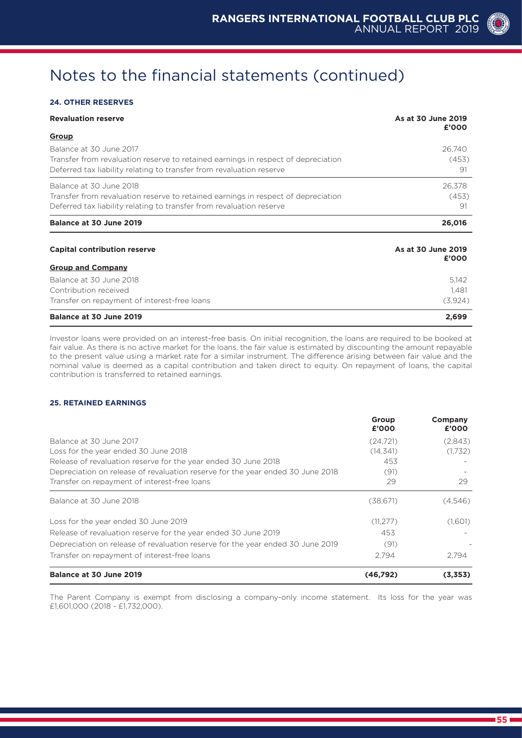#### **24. OTHER RESERVES**

| <b>Revaluation reserve</b>                                                                                                                                                           | As at 30 June 2019<br>£'000 |
|--------------------------------------------------------------------------------------------------------------------------------------------------------------------------------------|-----------------------------|
| <b>Group</b>                                                                                                                                                                         |                             |
| Balance at 30 June 2017<br>Transfer from revaluation reserve to retained earnings in respect of depreciation<br>Deferred tax liability relating to transfer from revaluation reserve | 26,740<br>(453)<br>91       |
| Balance at 30 June 2018<br>Transfer from revaluation reserve to retained earnings in respect of depreciation<br>Deferred tax liability relating to transfer from revaluation reserve | 26,378<br>(453)<br>91       |
| Balance at 30 June 2019                                                                                                                                                              | 26,016                      |
| <b>Capital contribution reserve</b>                                                                                                                                                  | As at 30 June 2019<br>£'000 |
| <b>Group and Company</b>                                                                                                                                                             |                             |
| Balance at 30 June 2018<br>Contribution received<br>Transfer on repayment of interest-free loans                                                                                     | 5,142<br>1.481<br>(3,924)   |
| Balance at 30 June 2019                                                                                                                                                              | 2,699                       |

Investor loans were provided on an interest-free basis. On initial recognition, the loans are required to be booked at fair value. As there is no active market for the loans, the fair value is estimated by discounting the amount repayable to the present value using a market rate for a similar instrument. The difference arising between fair value and the nominal value is deemed as a capital contribution and taken direct to equity. On repayment of loans, the capital contribution is transferred to retained earnings.

#### **25. RETAINED EARNINGS**

|                                                                                | Group<br>£'000 | Company<br>£'000 |
|--------------------------------------------------------------------------------|----------------|------------------|
| Balance at 30 June 2017                                                        | (24,721)       | (2,843)          |
| Loss for the year ended 30 June 2018                                           | (14, 341)      | (1,732)          |
| Release of revaluation reserve for the year ended 30 June 2018                 | 453            |                  |
| Depreciation on release of revaluation reserve for the year ended 30 June 2018 | (91)           |                  |
| Transfer on repayment of interest-free loans                                   | 29             | 29               |
| Balance at 30 June 2018                                                        | (38,671)       | (4,546)          |
| Loss for the year ended 30 June 2019                                           | (11, 277)      | (1,601)          |
| Release of revaluation reserve for the year ended 30 June 2019                 | 453            |                  |
| Depreciation on release of revaluation reserve for the year ended 30 June 2019 | (91)           |                  |
| Transfer on repayment of interest-free loans                                   | 2.794          | 2.794            |
| Balance at 30 June 2019                                                        | (46,792)       | (3,353)          |

The Parent Company is exempt from disclosing a company-only income statement. Its loss for the year was £1,601,000 (2018 - £1,732,000).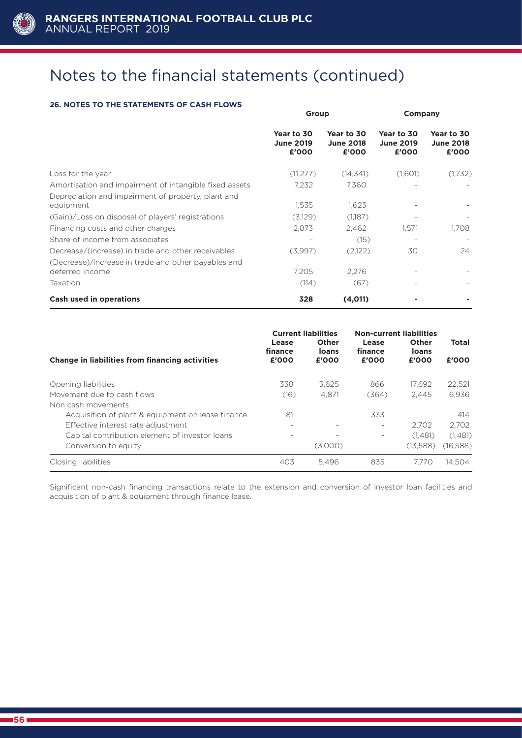

#### **26. NOTES TO THE STATEMENTS OF CASH FLOWS**

|                                                                        | Group                                   |                                         | Company                                 |                                         |
|------------------------------------------------------------------------|-----------------------------------------|-----------------------------------------|-----------------------------------------|-----------------------------------------|
|                                                                        | Year to 30<br><b>June 2019</b><br>£'000 | Year to 30<br><b>June 2018</b><br>£'000 | Year to 30<br><b>June 2019</b><br>£'000 | Year to 30<br><b>June 2018</b><br>£'000 |
| Loss for the year                                                      | (11, 277)                               | (14, 341)                               | (1,601)                                 | (1,732)                                 |
| Amortisation and impairment of intangible fixed assets                 | 7,232                                   | 7,360                                   |                                         |                                         |
| Depreciation and impairment of property, plant and<br>equipment        | 1,535                                   | 1,623                                   |                                         |                                         |
| (Gain)/Loss on disposal of players' registrations                      | (3,129)                                 | (1,187)                                 |                                         |                                         |
| Financing costs and other charges                                      | 2,873                                   | 2,462                                   | 1,571                                   | 1,708                                   |
| Share of income from associates                                        |                                         | (15)                                    |                                         |                                         |
| Decrease/(increase) in trade and other receivables                     | (3,997)                                 | (2,122)                                 | 30                                      | 24                                      |
| (Decrease)/increase in trade and other payables and<br>deferred income | 7,205                                   | 2,276                                   |                                         |                                         |
| Taxation                                                               | (114)                                   | (67)                                    |                                         |                                         |
| Cash used in operations                                                | 328                                     | (4,011)                                 |                                         |                                         |

| Change in liabilities from financing activities   | Lease<br>finance<br>£'000 | <b>Current liabilities</b><br>Other<br>loans<br>£'000 | <b>Non-current liabilities</b><br>Lease<br>finance<br>£'000 | Other<br>loans<br>£'000  | <b>Total</b><br>£'000 |
|---------------------------------------------------|---------------------------|-------------------------------------------------------|-------------------------------------------------------------|--------------------------|-----------------------|
| Opening liabilities                               | 338                       | 3.625                                                 | 866                                                         | 17.692                   | 22,521                |
| Movement due to cash flows                        | (16)                      | 4.871                                                 | (364)                                                       | 2.445                    | 6.936                 |
| Non cash movements                                |                           |                                                       |                                                             |                          |                       |
| Acquisition of plant & equipment on lease finance | 81                        |                                                       | 333                                                         | $\overline{\phantom{a}}$ | 414                   |
| Effective interest rate adjustment                |                           |                                                       | $\overline{\phantom{0}}$                                    | 2.702                    | 2.702                 |
| Capital contribution element of investor loans    |                           |                                                       | $\overline{\phantom{0}}$                                    | (1.481)                  | (1,481)               |
| Conversion to equity                              |                           | (3,000)                                               | $\overline{\phantom{0}}$                                    | (13.588)                 | (16,588)              |
| Closing liabilities                               | 403                       | 5.496                                                 | 835                                                         | 7.770                    | 14.504                |

Significant non-cash financing transactions relate to the extension and conversion of investor loan facilities and acquisition of plant & equipment through finance lease.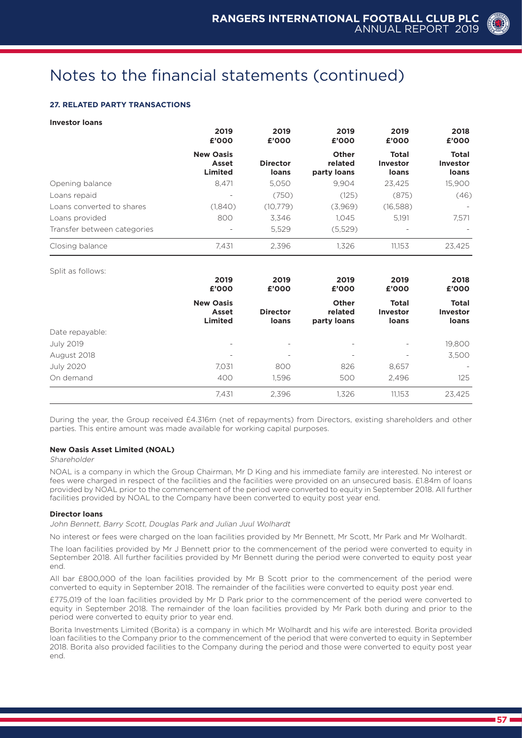#### **27. RELATED PARTY TRANSACTIONS**

#### **Investor loans**

|                             | 2019<br>£'000                               | 2019<br>£'000            | 2019<br>£'000                   | 2019<br>£'000                            | 2018<br>£'000                            |
|-----------------------------|---------------------------------------------|--------------------------|---------------------------------|------------------------------------------|------------------------------------------|
|                             | <b>New Oasis</b><br>Asset<br><b>Limited</b> | <b>Director</b><br>loans | Other<br>related<br>party loans | <b>Total</b><br><b>Investor</b><br>loans | <b>Total</b><br><b>Investor</b><br>loans |
| Opening balance             | 8.471                                       | 5.050                    | 9.904                           | 23,425                                   | 15,900                                   |
| Loans repaid                | $\qquad \qquad \blacksquare$                | (750)                    | (125)                           | (875)                                    | (46)                                     |
| Loans converted to shares   | (1,840)                                     | (10,779)                 | (3,969)                         | (16,588)                                 |                                          |
| Loans provided              | 800                                         | 3.346                    | 1.045                           | 5.191                                    | 7,571                                    |
| Transfer between categories | $\overline{\phantom{a}}$                    | 5,529                    | (5,529)                         | $\overline{\phantom{0}}$                 |                                          |
| Closing balance             | 7,431                                       | 2,396                    | 1,326                           | 11.153                                   | 23,425                                   |

Split as follows:

| Opine du Tonomu.<br>2019<br>£'000 | 2019<br>£'000                               | 2019<br>£'000            | 2019<br>£'000                   | 2018<br>£'000                            |                                   |
|-----------------------------------|---------------------------------------------|--------------------------|---------------------------------|------------------------------------------|-----------------------------------|
|                                   | <b>New Oasis</b><br>Asset<br><b>Limited</b> | <b>Director</b><br>loans | Other<br>related<br>party loans | <b>Total</b><br><b>Investor</b><br>loans | <b>Total</b><br>Investor<br>loans |
| Date repayable:                   |                                             |                          |                                 |                                          |                                   |
| <b>July 2019</b>                  | $\qquad \qquad \blacksquare$                | $\overline{\phantom{a}}$ | $\overline{\phantom{0}}$        | $\overline{\phantom{a}}$                 | 19,800                            |
| August 2018                       | $\qquad \qquad \blacksquare$                | $\overline{\phantom{a}}$ | $\overline{\phantom{0}}$        | $\overline{\phantom{0}}$                 | 3,500                             |
| <b>July 2020</b>                  | 7,031                                       | 800                      | 826                             | 8,657                                    |                                   |
| On demand                         | 400                                         | 1,596                    | 500                             | 2.496                                    | 125                               |
|                                   | 7,431                                       | 2,396                    | 1,326                           | 11,153                                   | 23,425                            |

During the year, the Group received £4.316m (net of repayments) from Directors, existing shareholders and other parties. This entire amount was made available for working capital purposes.

#### **New Oasis Asset Limited (NOAL)**

#### Shareholder

NOAL is a company in which the Group Chairman, Mr D King and his immediate family are interested. No interest or fees were charged in respect of the facilities and the facilities were provided on an unsecured basis. £1.84m of loans provided by NOAL prior to the commencement of the period were converted to equity in September 2018. All further facilities provided by NOAL to the Company have been converted to equity post year end.

#### **Director loans**

John Bennett, Barry Scott, Douglas Park and Julian Juul Wolhardt

No interest or fees were charged on the loan facilities provided by Mr Bennett, Mr Scott, Mr Park and Mr Wolhardt.

The loan facilities provided by Mr J Bennett prior to the commencement of the period were converted to equity in September 2018. All further facilities provided by Mr Bennett during the period were converted to equity post year end.

All bar £800,000 of the loan facilities provided by Mr B Scott prior to the commencement of the period were converted to equity in September 2018. The remainder of the facilities were converted to equity post year end.

£775,019 of the loan facilities provided by Mr D Park prior to the commencement of the period were converted to equity in September 2018. The remainder of the loan facilities provided by Mr Park both during and prior to the period were converted to equity prior to year end.

Borita Investments Limited (Borita) is a company in which Mr Wolhardt and his wife are interested. Borita provided loan facilities to the Company prior to the commencement of the period that were converted to equity in September 2018. Borita also provided facilities to the Company during the period and those were converted to equity post year end.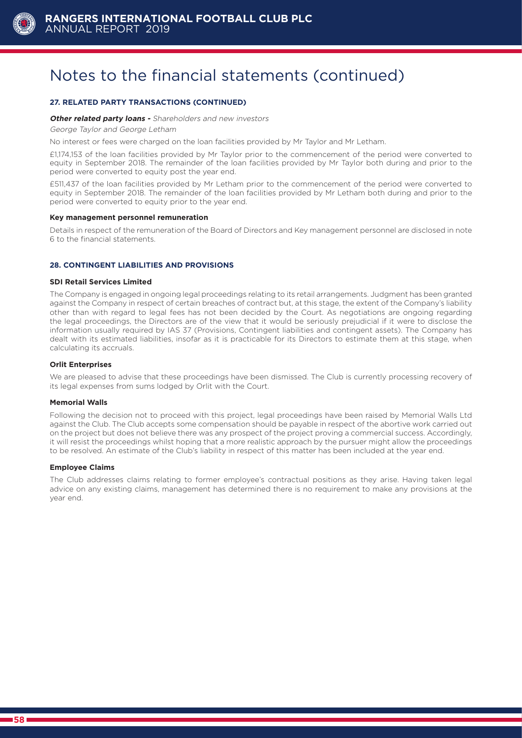

#### **27. RELATED PARTY TRANSACTIONS (CONTINUED)**

#### **Other related party loans -** Shareholders and new investors

George Taylor and George Letham

No interest or fees were charged on the loan facilities provided by Mr Taylor and Mr Letham.

£1,174,153 of the loan facilities provided by Mr Taylor prior to the commencement of the period were converted to equity in September 2018. The remainder of the loan facilities provided by Mr Taylor both during and prior to the period were converted to equity post the year end.

£511,437 of the loan facilities provided by Mr Letham prior to the commencement of the period were converted to equity in September 2018. The remainder of the loan facilities provided by Mr Letham both during and prior to the period were converted to equity prior to the year end.

#### **Key management personnel remuneration**

Details in respect of the remuneration of the Board of Directors and Key management personnel are disclosed in note 6 to the financial statements.

#### **28. CONTINGENT LIABILITIES AND PROVISIONS**

#### **SDI Retail Services Limited**

The Company is engaged in ongoing legal proceedings relating to its retail arrangements. Judgment has been granted against the Company in respect of certain breaches of contract but, at this stage, the extent of the Company's liability other than with regard to legal fees has not been decided by the Court. As negotiations are ongoing regarding the legal proceedings, the Directors are of the view that it would be seriously prejudicial if it were to disclose the information usually required by IAS 37 (Provisions, Contingent liabilities and contingent assets). The Company has dealt with its estimated liabilities, insofar as it is practicable for its Directors to estimate them at this stage, when calculating its accruals.

#### **Orlit Enterprises**

We are pleased to advise that these proceedings have been dismissed. The Club is currently processing recovery of its legal expenses from sums lodged by Orlit with the Court.

#### **Memorial Walls**

Following the decision not to proceed with this project, legal proceedings have been raised by Memorial Walls Ltd against the Club. The Club accepts some compensation should be payable in respect of the abortive work carried out on the project but does not believe there was any prospect of the project proving a commercial success. Accordingly, it will resist the proceedings whilst hoping that a more realistic approach by the pursuer might allow the proceedings to be resolved. An estimate of the Club's liability in respect of this matter has been included at the year end.

#### **Employee Claims**

The Club addresses claims relating to former employee's contractual positions as they arise. Having taken legal advice on any existing claims, management has determined there is no requirement to make any provisions at the year end.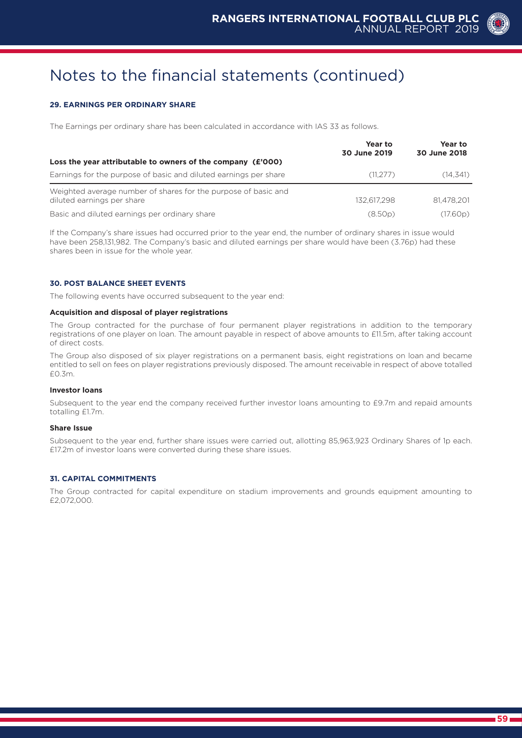#### **29. EARNINGS PER ORDINARY SHARE**

The Earnings per ordinary share has been calculated in accordance with IAS 33 as follows.

|                                                                                              | Year to<br>30 June 2019 | Year to<br>30 June 2018 |
|----------------------------------------------------------------------------------------------|-------------------------|-------------------------|
| Loss the year attributable to owners of the company (£'000)                                  |                         |                         |
| Earnings for the purpose of basic and diluted earnings per share                             | (11.277)                | (14, 341)               |
| Weighted average number of shares for the purpose of basic and<br>diluted earnings per share | 132.617.298             | 81.478.201              |
| Basic and diluted earnings per ordinary share                                                | (8.50p)                 | (17.60p)                |

If the Company's share issues had occurred prior to the year end, the number of ordinary shares in issue would have been 258,131,982. The Company's basic and diluted earnings per share would have been (3.76p) had these shares been in issue for the whole year.

#### **30. POST BALANCE SHEET EVENTS**

The following events have occurred subsequent to the year end:

#### **Acquisition and disposal of player registrations**

The Group contracted for the purchase of four permanent player registrations in addition to the temporary registrations of one player on loan. The amount payable in respect of above amounts to £11.5m, after taking account of direct costs.

The Group also disposed of six player registrations on a permanent basis, eight registrations on loan and became entitled to sell on fees on player registrations previously disposed. The amount receivable in respect of above totalled £0.3m.

#### **Investor loans**

Subsequent to the year end the company received further investor loans amounting to £9.7m and repaid amounts totalling £1.7m.

#### **Share Issue**

Subsequent to the year end, further share issues were carried out, allotting 85,963,923 Ordinary Shares of 1p each. £17.2m of investor loans were converted during these share issues.

#### **31. CAPITAL COMMITMENTS**

The Group contracted for capital expenditure on stadium improvements and grounds equipment amounting to £2,072,000.